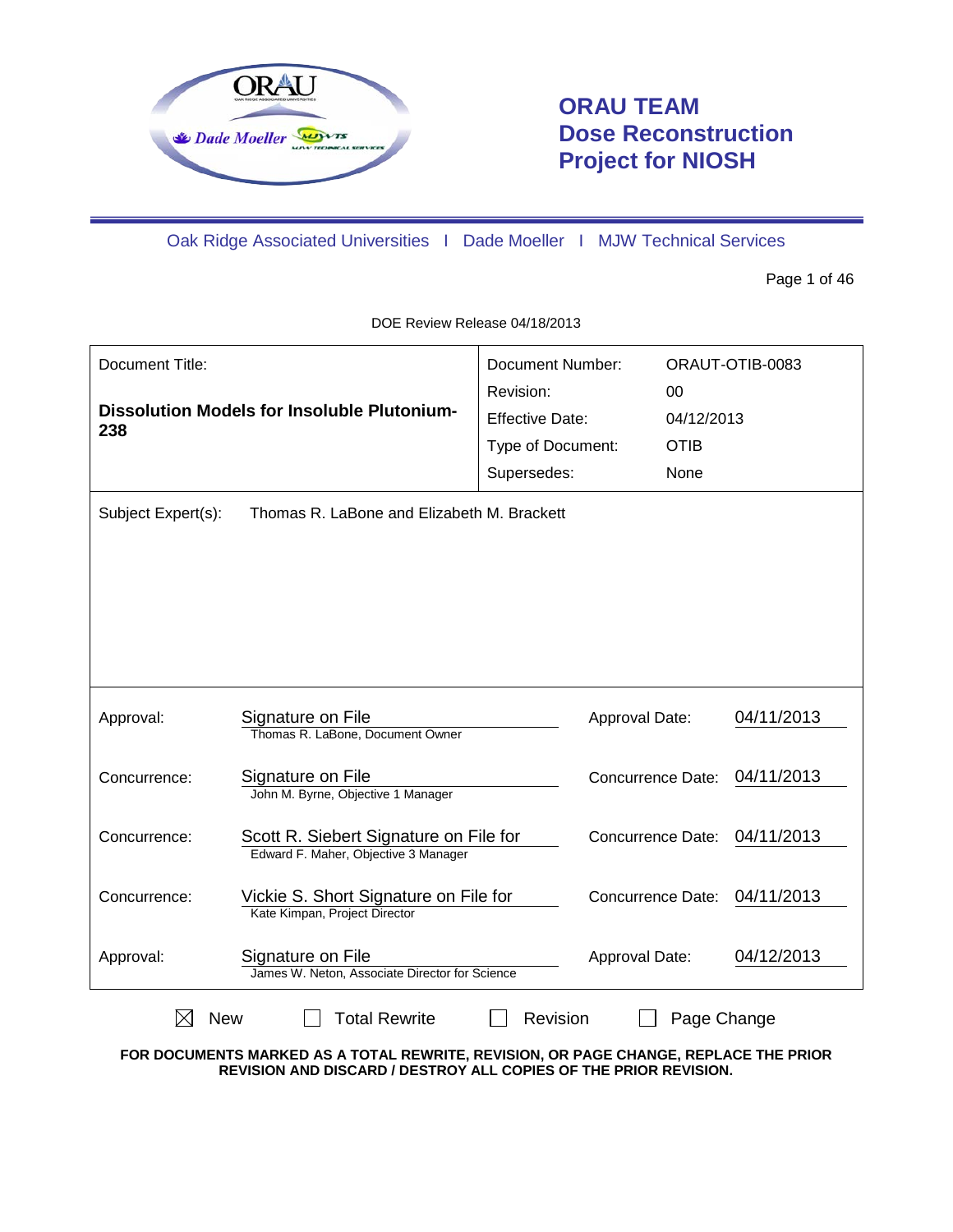

# **ORAU TEAM Dose Reconstruction Project for NIOSH**

Oak Ridge Associated Universities I Dade Moeller I MJW Technical Services

Page 1 of 46

| Document Title:                                           |                                                                                | Document Number:  |                          | ORAUT-OTIB-0083 |            |
|-----------------------------------------------------------|--------------------------------------------------------------------------------|-------------------|--------------------------|-----------------|------------|
|                                                           |                                                                                |                   |                          | 00              |            |
| <b>Dissolution Models for Insoluble Plutonium-</b><br>238 | <b>Effective Date:</b>                                                         |                   | 04/12/2013               |                 |            |
|                                                           |                                                                                | Type of Document: |                          | <b>OTIB</b>     |            |
|                                                           |                                                                                | Supersedes:       |                          | None            |            |
| Subject Expert(s):                                        | Thomas R. LaBone and Elizabeth M. Brackett                                     |                   |                          |                 |            |
| Approval:                                                 | Signature on File<br>Thomas R. LaBone, Document Owner                          |                   | Approval Date:           |                 | 04/11/2013 |
| Concurrence:                                              | Signature on File<br>John M. Byrne, Objective 1 Manager                        |                   | <b>Concurrence Date:</b> |                 | 04/11/2013 |
| Concurrence:                                              | Scott R. Siebert Signature on File for<br>Edward F. Maher, Objective 3 Manager |                   | Concurrence Date:        |                 | 04/11/2013 |
| Concurrence:                                              | Vickie S. Short Signature on File for<br>Kate Kimpan, Project Director         |                   | <b>Concurrence Date:</b> |                 | 04/11/2013 |
| Approval:                                                 | Signature on File<br>James W. Neton, Associate Director for Science            |                   | Approval Date:           |                 | 04/12/2013 |
| <b>New</b>                                                | <b>Total Rewrite</b>                                                           | Revision          |                          | Page Change     |            |

DOE Review Release 04/18/2013

**FOR DOCUMENTS MARKED AS A TOTAL REWRITE, REVISION, OR PAGE CHANGE, REPLACE THE PRIOR REVISION AND DISCARD / DESTROY ALL COPIES OF THE PRIOR REVISION.**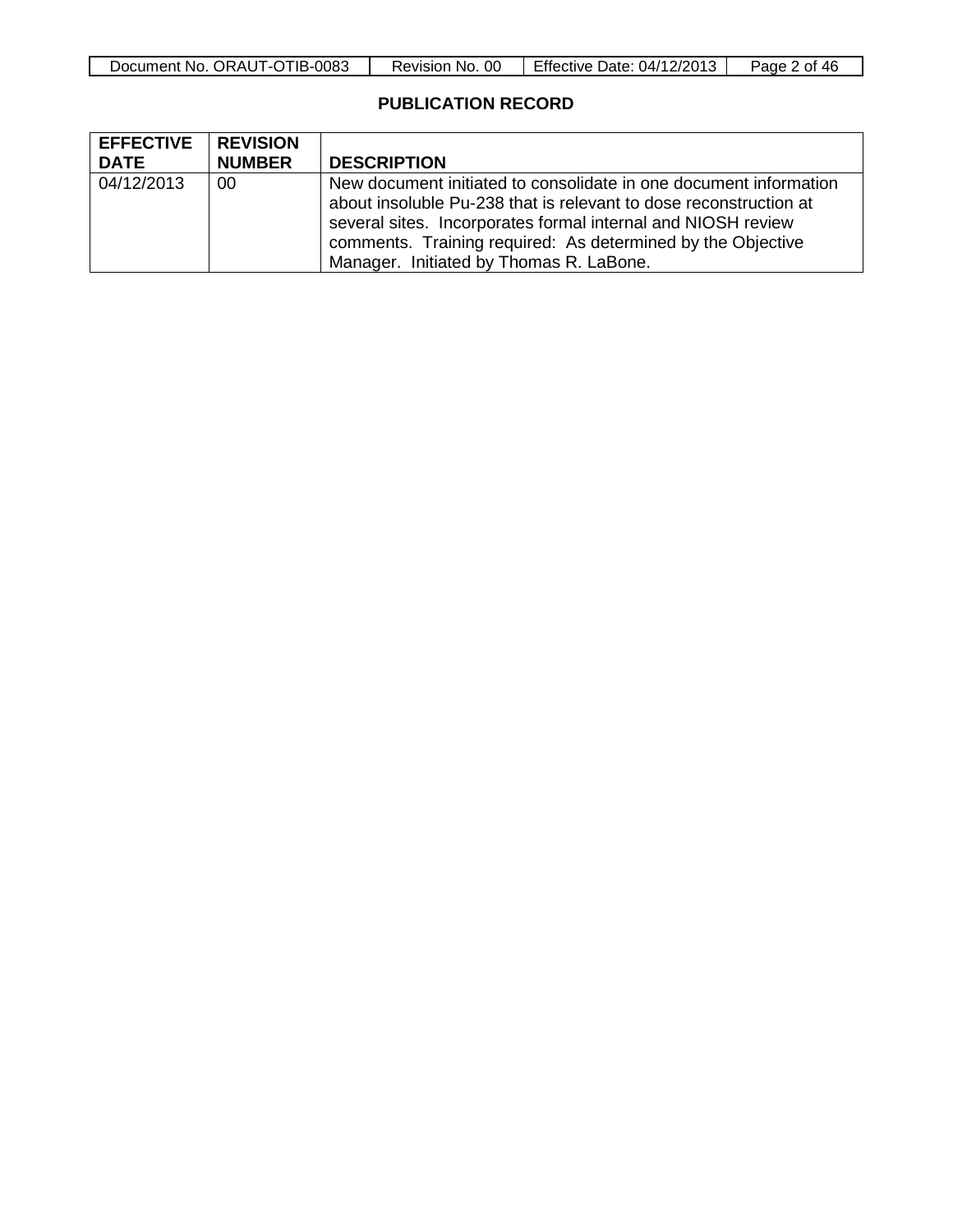| Document No. ORAUT-OTIB-0083 | Revision No. 00 | Effective Date: 04/12/2013 | Page 2 of 46 |
|------------------------------|-----------------|----------------------------|--------------|
|------------------------------|-----------------|----------------------------|--------------|

### **PUBLICATION RECORD**

| <b>EFFECTIVE</b> | <b>REVISION</b> |                                                                                                                                                                                                                                                                                                                  |
|------------------|-----------------|------------------------------------------------------------------------------------------------------------------------------------------------------------------------------------------------------------------------------------------------------------------------------------------------------------------|
| <b>DATE</b>      | <b>NUMBER</b>   | <b>DESCRIPTION</b>                                                                                                                                                                                                                                                                                               |
| 04/12/2013       | 00              | New document initiated to consolidate in one document information<br>about insoluble Pu-238 that is relevant to dose reconstruction at<br>several sites. Incorporates formal internal and NIOSH review<br>comments. Training required: As determined by the Objective<br>Manager. Initiated by Thomas R. LaBone. |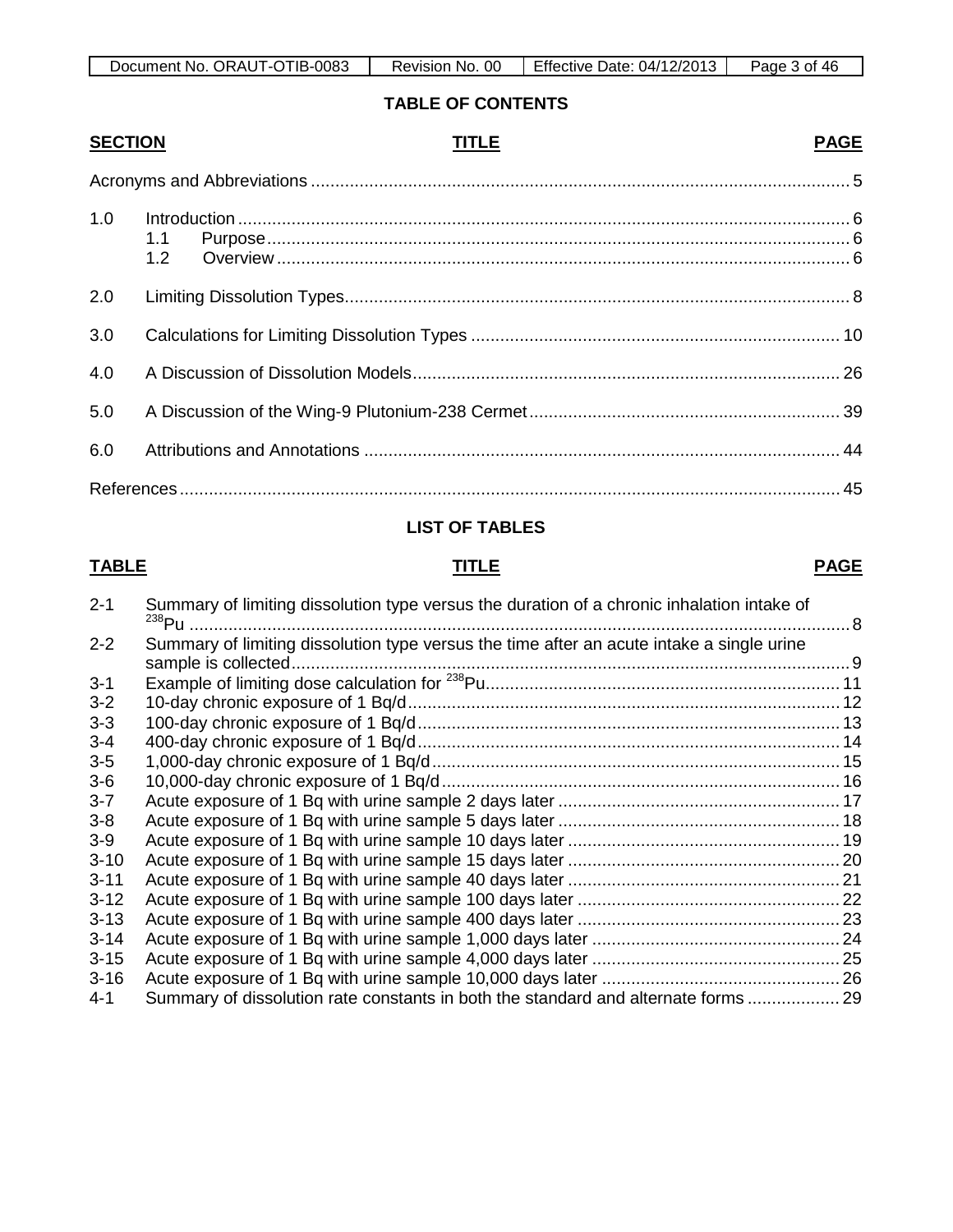| OTIB-0083<br>ORAUT-C<br>Document No. | 0C<br>No.<br>Revision, | Effective<br>Date: 04/12/2013 | -46<br>Page<br>∍of |
|--------------------------------------|------------------------|-------------------------------|--------------------|

**TABLE OF CONTENTS**

# **SECTION TITLE PAGE**

| 1.0 |  |
|-----|--|
| 2.0 |  |
| 3.0 |  |
| 4.0 |  |
| 5.0 |  |
| 6.0 |  |
|     |  |

## **LIST OF TABLES**

#### **TABLE TITLE PAGE**

| $2 - 1$  | Summary of limiting dissolution type versus the duration of a chronic inhalation intake of<br>$^{238}$ Pu | 8 |
|----------|-----------------------------------------------------------------------------------------------------------|---|
| $2 - 2$  | Summary of limiting dissolution type versus the time after an acute intake a single urine                 |   |
| $3 - 1$  |                                                                                                           |   |
| $3 - 2$  |                                                                                                           |   |
| $3 - 3$  |                                                                                                           |   |
| $3 - 4$  |                                                                                                           |   |
| $3-5$    |                                                                                                           |   |
| $3-6$    |                                                                                                           |   |
| $3 - 7$  |                                                                                                           |   |
| $3 - 8$  |                                                                                                           |   |
| $3-9$    |                                                                                                           |   |
| $3 - 10$ |                                                                                                           |   |
| $3 - 11$ |                                                                                                           |   |
| $3 - 12$ |                                                                                                           |   |
| $3 - 13$ |                                                                                                           |   |
| $3 - 14$ |                                                                                                           |   |
| $3 - 15$ |                                                                                                           |   |
| $3 - 16$ |                                                                                                           |   |
| $4 - 1$  | Summary of dissolution rate constants in both the standard and alternate forms  29                        |   |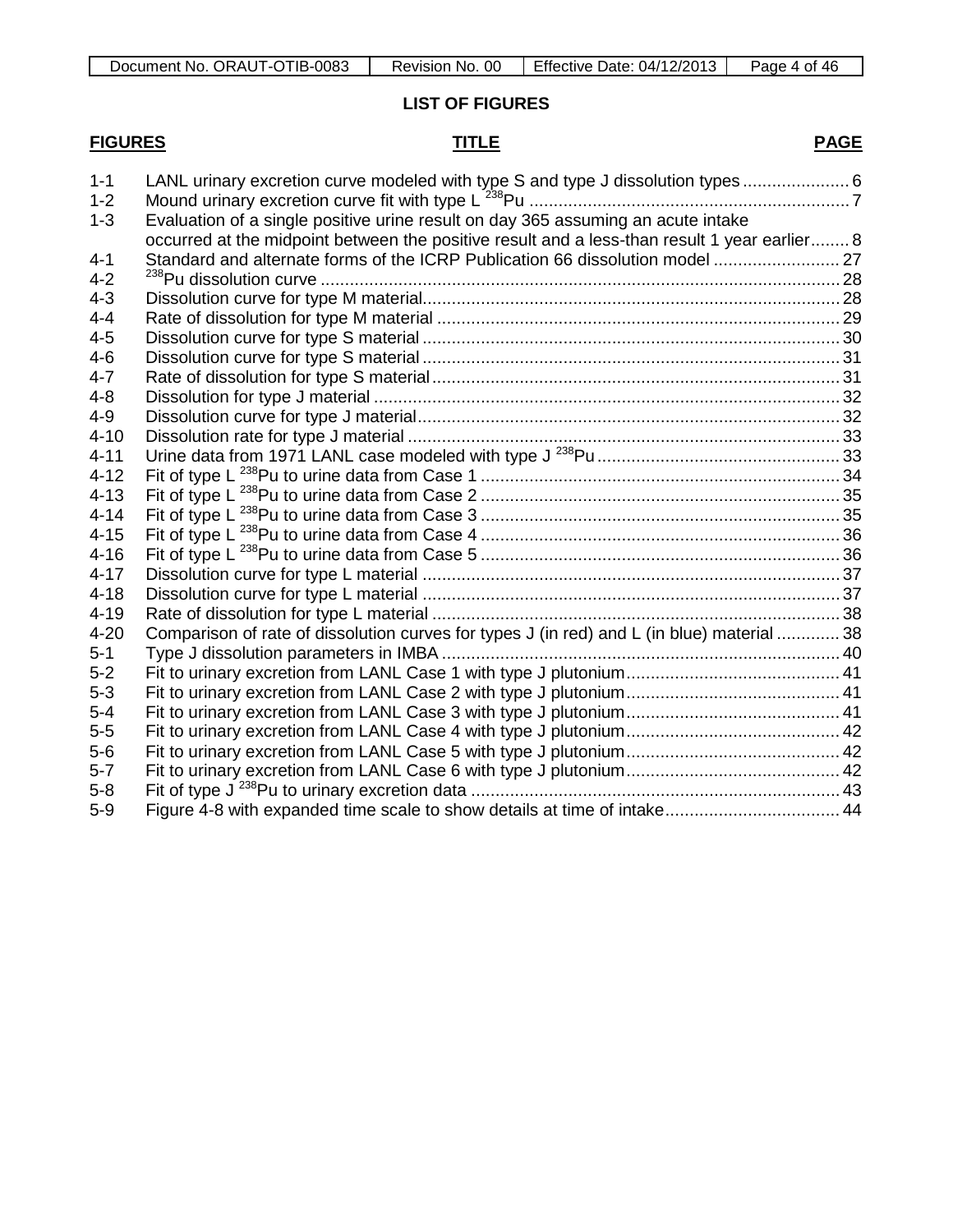**LIST OF FIGURES**

# **FIGURES TITLE PAGE**

| $1 - 1$<br>LANL urinary excretion curve modeled with type S and type J dissolution types  6<br>$1 - 2$<br>Evaluation of a single positive urine result on day 365 assuming an acute intake<br>$1 - 3$<br>occurred at the midpoint between the positive result and a less-than result 1 year earlier 8<br>Standard and alternate forms of the ICRP Publication 66 dissolution model  27<br>Comparison of rate of dissolution curves for types J (in red) and L (in blue) material  38<br>Figure 4-8 with expanded time scale to show details at time of intake 44 |          |  |
|------------------------------------------------------------------------------------------------------------------------------------------------------------------------------------------------------------------------------------------------------------------------------------------------------------------------------------------------------------------------------------------------------------------------------------------------------------------------------------------------------------------------------------------------------------------|----------|--|
|                                                                                                                                                                                                                                                                                                                                                                                                                                                                                                                                                                  |          |  |
|                                                                                                                                                                                                                                                                                                                                                                                                                                                                                                                                                                  |          |  |
|                                                                                                                                                                                                                                                                                                                                                                                                                                                                                                                                                                  |          |  |
|                                                                                                                                                                                                                                                                                                                                                                                                                                                                                                                                                                  |          |  |
|                                                                                                                                                                                                                                                                                                                                                                                                                                                                                                                                                                  | $4 - 1$  |  |
|                                                                                                                                                                                                                                                                                                                                                                                                                                                                                                                                                                  | $4 - 2$  |  |
|                                                                                                                                                                                                                                                                                                                                                                                                                                                                                                                                                                  | $4 - 3$  |  |
|                                                                                                                                                                                                                                                                                                                                                                                                                                                                                                                                                                  | $4 - 4$  |  |
|                                                                                                                                                                                                                                                                                                                                                                                                                                                                                                                                                                  | $4 - 5$  |  |
|                                                                                                                                                                                                                                                                                                                                                                                                                                                                                                                                                                  | $4-6$    |  |
|                                                                                                                                                                                                                                                                                                                                                                                                                                                                                                                                                                  | $4 - 7$  |  |
|                                                                                                                                                                                                                                                                                                                                                                                                                                                                                                                                                                  | $4 - 8$  |  |
|                                                                                                                                                                                                                                                                                                                                                                                                                                                                                                                                                                  | $4 - 9$  |  |
|                                                                                                                                                                                                                                                                                                                                                                                                                                                                                                                                                                  | $4 - 10$ |  |
|                                                                                                                                                                                                                                                                                                                                                                                                                                                                                                                                                                  | $4 - 11$ |  |
|                                                                                                                                                                                                                                                                                                                                                                                                                                                                                                                                                                  | $4 - 12$ |  |
|                                                                                                                                                                                                                                                                                                                                                                                                                                                                                                                                                                  | $4 - 13$ |  |
|                                                                                                                                                                                                                                                                                                                                                                                                                                                                                                                                                                  | $4 - 14$ |  |
|                                                                                                                                                                                                                                                                                                                                                                                                                                                                                                                                                                  | $4 - 15$ |  |
|                                                                                                                                                                                                                                                                                                                                                                                                                                                                                                                                                                  | $4 - 16$ |  |
|                                                                                                                                                                                                                                                                                                                                                                                                                                                                                                                                                                  | $4 - 17$ |  |
|                                                                                                                                                                                                                                                                                                                                                                                                                                                                                                                                                                  | $4 - 18$ |  |
|                                                                                                                                                                                                                                                                                                                                                                                                                                                                                                                                                                  | $4 - 19$ |  |
|                                                                                                                                                                                                                                                                                                                                                                                                                                                                                                                                                                  | $4 - 20$ |  |
|                                                                                                                                                                                                                                                                                                                                                                                                                                                                                                                                                                  | $5-1$    |  |
|                                                                                                                                                                                                                                                                                                                                                                                                                                                                                                                                                                  | $5 - 2$  |  |
|                                                                                                                                                                                                                                                                                                                                                                                                                                                                                                                                                                  | $5 - 3$  |  |
|                                                                                                                                                                                                                                                                                                                                                                                                                                                                                                                                                                  | $5 - 4$  |  |
|                                                                                                                                                                                                                                                                                                                                                                                                                                                                                                                                                                  | $5-5$    |  |
|                                                                                                                                                                                                                                                                                                                                                                                                                                                                                                                                                                  | $5-6$    |  |
|                                                                                                                                                                                                                                                                                                                                                                                                                                                                                                                                                                  | $5 - 7$  |  |
|                                                                                                                                                                                                                                                                                                                                                                                                                                                                                                                                                                  | $5-8$    |  |
|                                                                                                                                                                                                                                                                                                                                                                                                                                                                                                                                                                  | $5-9$    |  |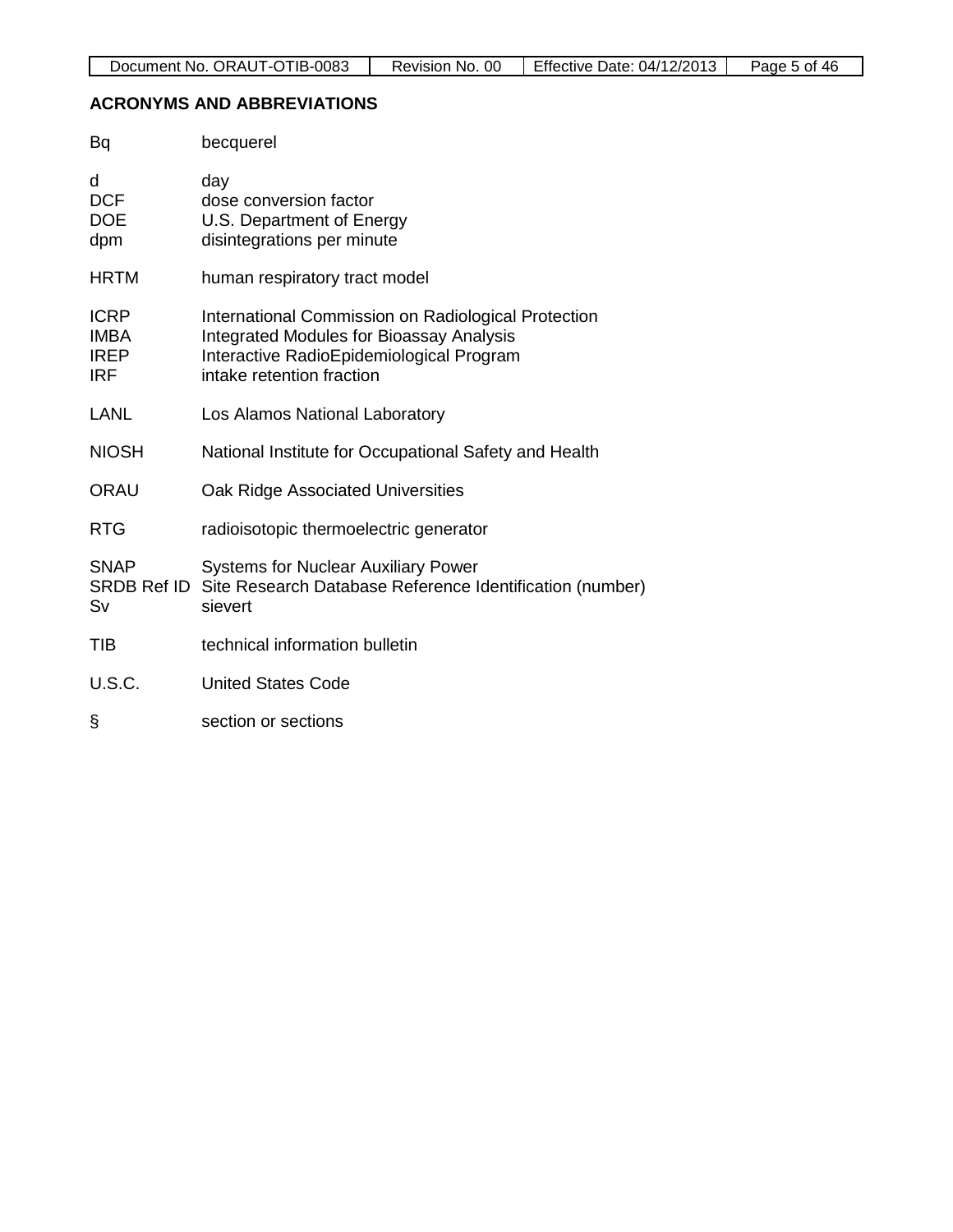### **ACRONYMS AND ABBREVIATIONS**

| <b>Bq</b>                                               | becquerel                                                                                                                                                                       |
|---------------------------------------------------------|---------------------------------------------------------------------------------------------------------------------------------------------------------------------------------|
| d<br><b>DCF</b><br><b>DOE</b><br>dpm                    | day<br>dose conversion factor<br>U.S. Department of Energy<br>disintegrations per minute                                                                                        |
| <b>HRTM</b>                                             | human respiratory tract model                                                                                                                                                   |
| <b>ICRP</b><br><b>IMBA</b><br><b>IREP</b><br><b>IRF</b> | International Commission on Radiological Protection<br><b>Integrated Modules for Bioassay Analysis</b><br>Interactive RadioEpidemiological Program<br>intake retention fraction |
| <b>LANL</b>                                             | Los Alamos National Laboratory                                                                                                                                                  |
| <b>NIOSH</b>                                            | National Institute for Occupational Safety and Health                                                                                                                           |
| <b>ORAU</b>                                             | Oak Ridge Associated Universities                                                                                                                                               |
| <b>RTG</b>                                              | radioisotopic thermoelectric generator                                                                                                                                          |
| <b>SNAP</b><br>Sv                                       | <b>Systems for Nuclear Auxiliary Power</b><br>SRDB Ref ID Site Research Database Reference Identification (number)<br>sievert                                                   |
| <b>TIB</b>                                              | technical information bulletin                                                                                                                                                  |
| <b>U.S.C.</b>                                           | <b>United States Code</b>                                                                                                                                                       |
| ş                                                       | section or sections                                                                                                                                                             |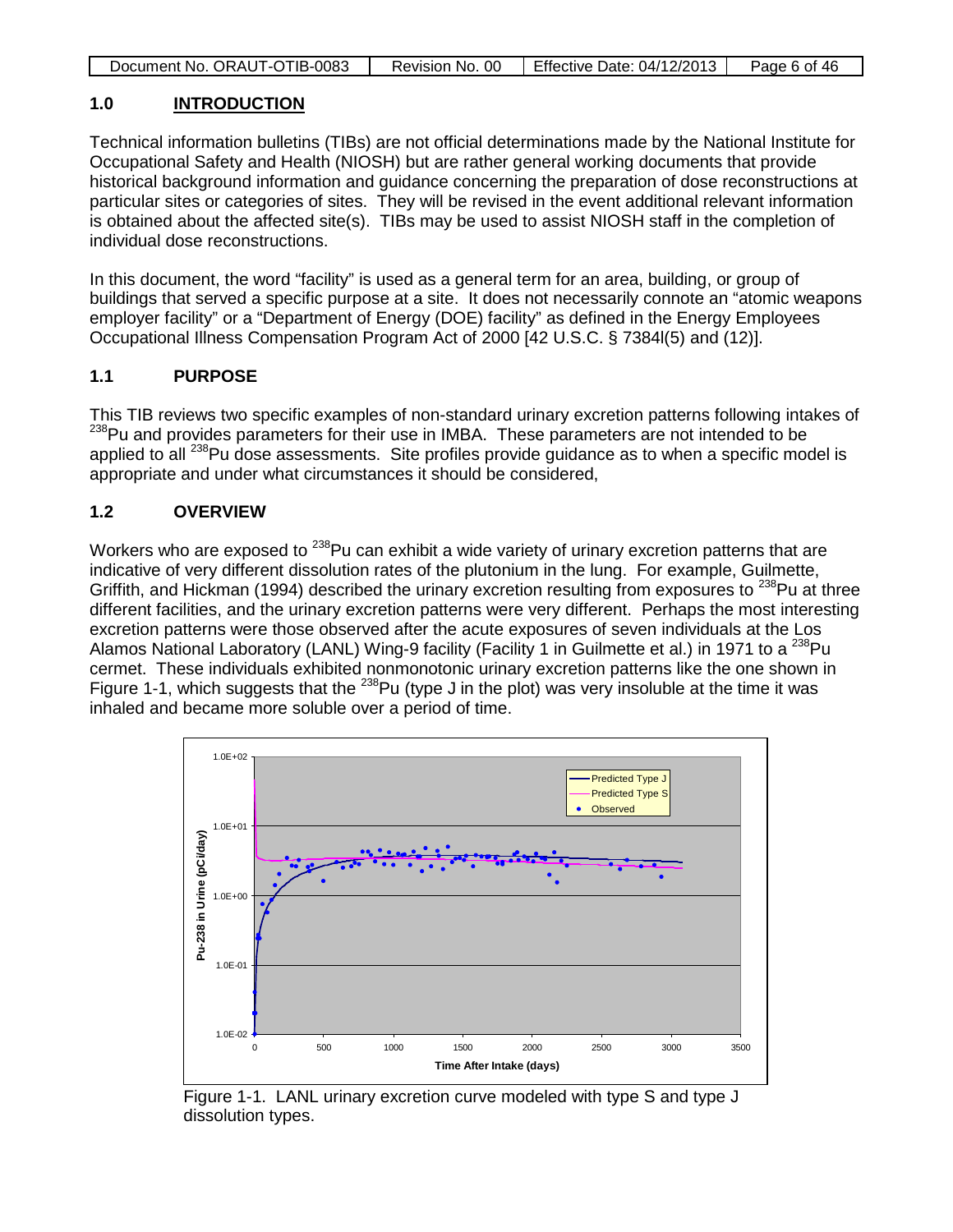| Document No. ORAUT-OTIB-0083 | Revision No. 00 | Effective Date: 04/12/2013 | Page 6 of 46 |
|------------------------------|-----------------|----------------------------|--------------|
|                              |                 |                            |              |

## **1.0 INTRODUCTION**

Technical information bulletins (TIBs) are not official determinations made by the National Institute for Occupational Safety and Health (NIOSH) but are rather general working documents that provide historical background information and guidance concerning the preparation of dose reconstructions at particular sites or categories of sites. They will be revised in the event additional relevant information is obtained about the affected site(s). TIBs may be used to assist NIOSH staff in the completion of individual dose reconstructions.

In this document, the word "facility" is used as a general term for an area, building, or group of buildings that served a specific purpose at a site. It does not necessarily connote an "atomic weapons employer facility" or a "Department of Energy (DOE) facility" as defined in the Energy Employees Occupational Illness Compensation Program Act of 2000 [42 U.S.C. § 7384l(5) and (12)].

# **1.1 PURPOSE**

This TIB reviews two specific examples of non-standard urinary excretion patterns following intakes of <sup>238</sup>Pu and provides parameters for their use in IMBA. These parameters are not intended to be applied to all  $^{238}$ Pu dose assessments. Site profiles provide guidance as to when a specific model is appropriate and under what circumstances it should be considered,

# **1.2 OVERVIEW**

Workers who are exposed to <sup>238</sup>Pu can exhibit a wide variety of urinary excretion patterns that are indicative of very different dissolution rates of the plutonium in the lung. For example, Guilmette, Griffith, and Hickman (1994) described the urinary excretion resulting from exposures to <sup>238</sup>Pu at three different facilities, and the urinary excretion patterns were very different. Perhaps the most interesting excretion patterns were those observed after the acute exposures of seven individuals at the Los Alamos National Laboratory (LANL) Wing-9 facility (Facility 1 in Guilmette et al.) in 1971 to a <sup>238</sup>Pu cermet. These individuals exhibited nonmonotonic urinary excretion patterns like the one shown in Figure 1-1, which suggests that the  $^{238}$ Pu (type J in the plot) was very insoluble at the time it was inhaled and became more soluble over a period of time.



Figure 1-1. LANL urinary excretion curve modeled with type S and type J dissolution types.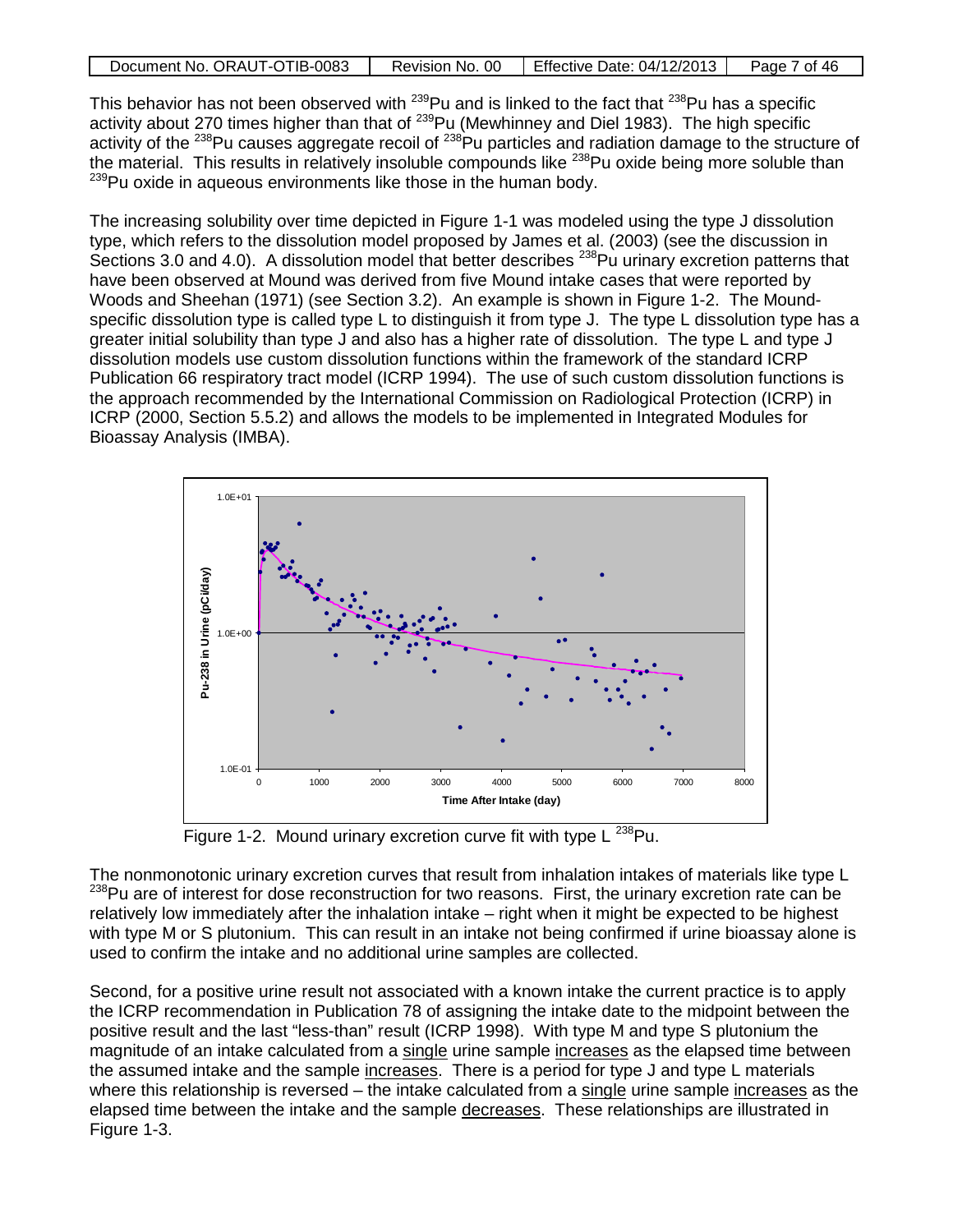| Document No. ORAUT-OTIB-0083 | Revision No. 00 | Effective Date: 04/12/2013 | Page 7 of 46 |
|------------------------------|-----------------|----------------------------|--------------|
|                              |                 |                            |              |

This behavior has not been observed with  $^{239}$ Pu and is linked to the fact that  $^{238}$ Pu has a specific activity about 270 times higher than that of <sup>239</sup>Pu (Mewhinney and Diel 1983). The high specific activity of the <sup>238</sup>Pu causes aggregate recoil of <sup>238</sup>Pu particles and radiation damage to the structure of the material. This results in relatively insoluble compounds like <sup>238</sup>Pu oxide being more soluble than <sup>239</sup>Pu oxide in aqueous environments like those in the human body.

The increasing solubility over time depicted in Figure 1-1 was modeled using the type J dissolution type, which refers to the dissolution model proposed by James et al. (2003) (see the discussion in Sections 3.0 and 4.0). A dissolution model that better describes <sup>238</sup>Pu urinary excretion patterns that have been observed at Mound was derived from five Mound intake cases that were reported by Woods and Sheehan (1971) (see Section 3.2). An example is shown in Figure 1-2. The Moundspecific dissolution type is called type L to distinguish it from type J. The type L dissolution type has a greater initial solubility than type J and also has a higher rate of dissolution. The type L and type J dissolution models use custom dissolution functions within the framework of the standard ICRP Publication 66 respiratory tract model (ICRP 1994). The use of such custom dissolution functions is the approach recommended by the International Commission on Radiological Protection (ICRP) in ICRP (2000, Section 5.5.2) and allows the models to be implemented in Integrated Modules for Bioassay Analysis (IMBA).



Figure 1-2. Mound urinary excretion curve fit with type  $\mathsf{L}^{238}\mathsf{Pu}$ .

The nonmonotonic urinary excretion curves that result from inhalation intakes of materials like type L <sup>238</sup>Pu are of interest for dose reconstruction for two reasons. First, the urinary excretion rate can be relatively low immediately after the inhalation intake – right when it might be expected to be highest with type M or S plutonium. This can result in an intake not being confirmed if urine bioassay alone is used to confirm the intake and no additional urine samples are collected.

Second, for a positive urine result not associated with a known intake the current practice is to apply the ICRP recommendation in Publication 78 of assigning the intake date to the midpoint between the positive result and the last "less-than" result (ICRP 1998). With type M and type S plutonium the magnitude of an intake calculated from a single urine sample increases as the elapsed time between the assumed intake and the sample increases. There is a period for type J and type L materials where this relationship is reversed – the intake calculated from a single urine sample increases as the elapsed time between the intake and the sample decreases. These relationships are illustrated in Figure 1-3.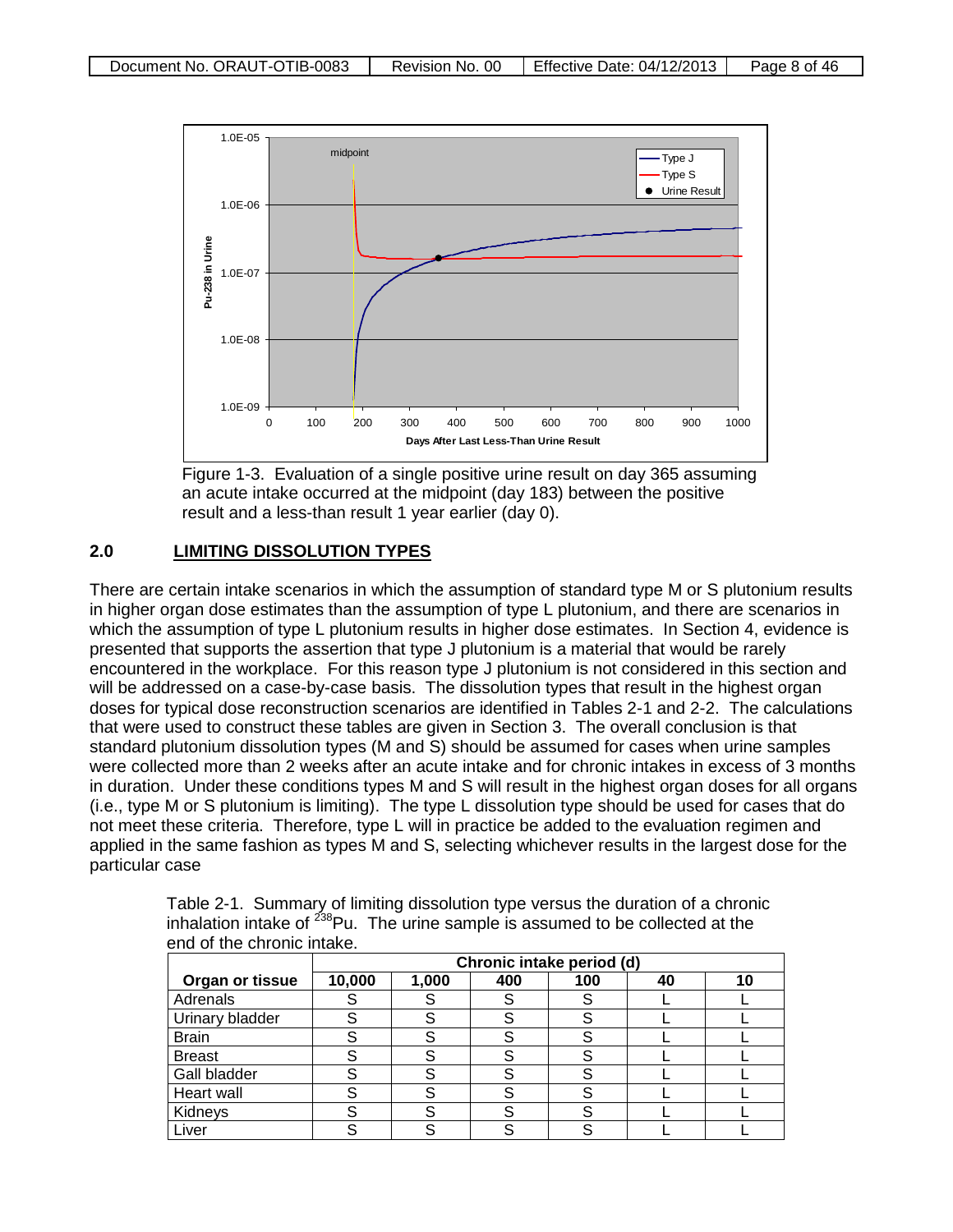

Figure 1-3. Evaluation of a single positive urine result on day 365 assuming an acute intake occurred at the midpoint (day 183) between the positive result and a less-than result 1 year earlier (day 0).

#### **2.0 LIMITING DISSOLUTION TYPES**

There are certain intake scenarios in which the assumption of standard type M or S plutonium results in higher organ dose estimates than the assumption of type L plutonium, and there are scenarios in which the assumption of type L plutonium results in higher dose estimates. In Section 4, evidence is presented that supports the assertion that type J plutonium is a material that would be rarely encountered in the workplace. For this reason type J plutonium is not considered in this section and will be addressed on a case-by-case basis. The dissolution types that result in the highest organ doses for typical dose reconstruction scenarios are identified in Tables 2-1 and 2-2. The calculations that were used to construct these tables are given in Section 3. The overall conclusion is that standard plutonium dissolution types (M and S) should be assumed for cases when urine samples were collected more than 2 weeks after an acute intake and for chronic intakes in excess of 3 months in duration. Under these conditions types M and S will result in the highest organ doses for all organs (i.e., type M or S plutonium is limiting). The type L dissolution type should be used for cases that do not meet these criteria. Therefore, type L will in practice be added to the evaluation regimen and applied in the same fashion as types M and S, selecting whichever results in the largest dose for the particular case

|                 | Chronic intake period (d) |       |     |     |    |    |  |
|-----------------|---------------------------|-------|-----|-----|----|----|--|
| Organ or tissue | 10,000                    | 1,000 | 400 | 100 | 40 | 10 |  |
| Adrenals        |                           |       |     |     |    |    |  |
| Urinary bladder |                           | S     |     |     |    |    |  |
| <b>Brain</b>    |                           |       |     |     |    |    |  |
| <b>Breast</b>   |                           |       |     |     |    |    |  |
| Gall bladder    |                           |       |     |     |    |    |  |
| Heart wall      |                           |       |     |     |    |    |  |
| Kidneys         |                           | S     |     |     |    |    |  |
| Liver           |                           |       |     |     |    |    |  |

Table 2-1. Summary of limiting dissolution type versus the duration of a chronic inhalation intake of  $^{238}$ Pu. The urine sample is assumed to be collected at the end of the chronic intake.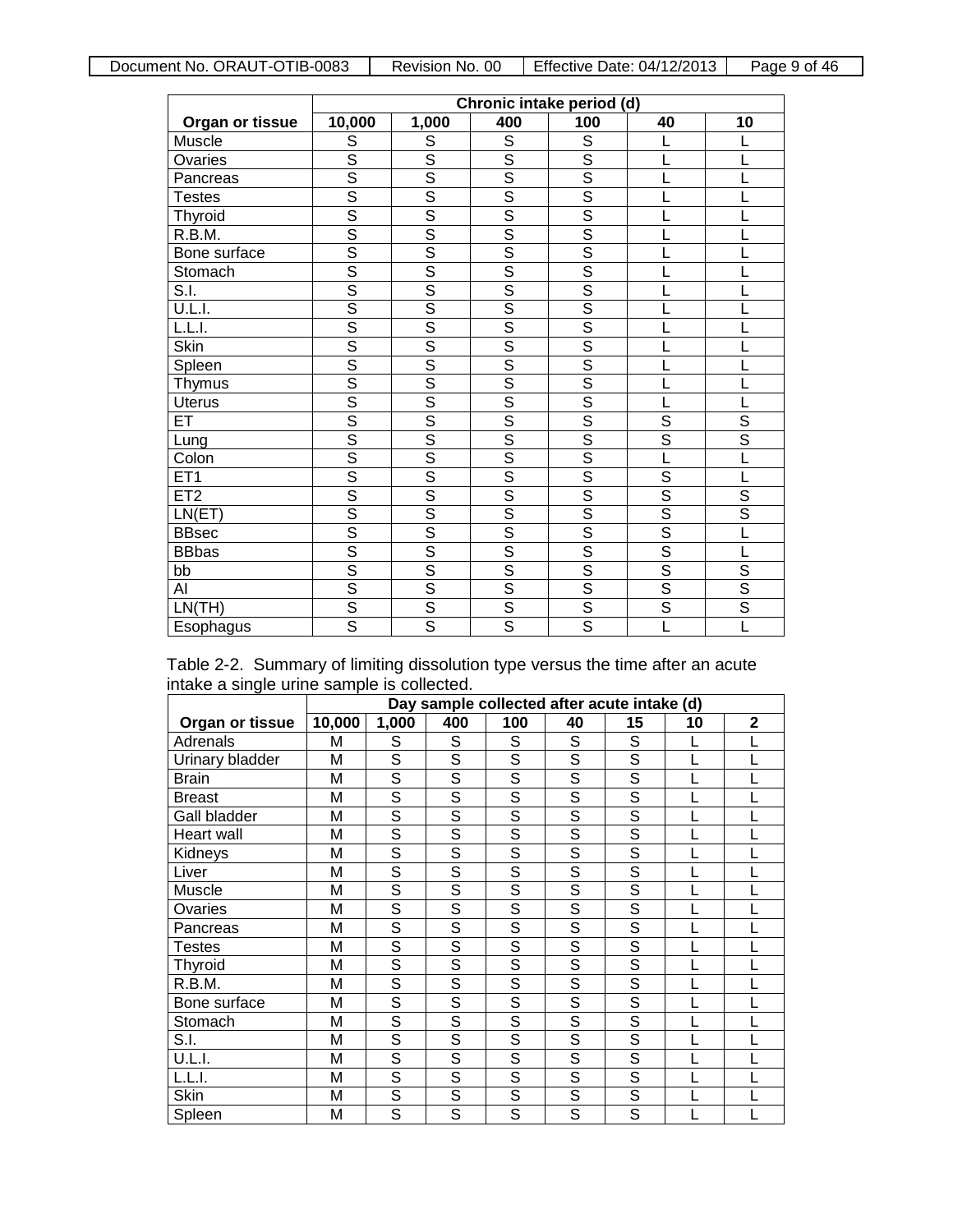|                 | Chronic intake period (d) |                         |                         |                         |                         |                         |
|-----------------|---------------------------|-------------------------|-------------------------|-------------------------|-------------------------|-------------------------|
| Organ or tissue | 10,000                    | 1,000                   | 400                     | 100                     | 40                      | 10                      |
| Muscle          | S                         | S                       | $\overline{s}$          | $\overline{s}$          |                         |                         |
| Ovaries         | $\overline{s}$            | $\overline{s}$          | S                       | S                       |                         |                         |
| Pancreas        | $\overline{s}$            | $\overline{\mathsf{s}}$ | $\overline{\mathsf{s}}$ | $\overline{\mathsf{s}}$ |                         |                         |
| <b>Testes</b>   | $\overline{s}$            | $\overline{\mathsf{s}}$ | $\overline{\mathsf{s}}$ | $\overline{\mathsf{s}}$ |                         |                         |
| Thyroid         | $\overline{s}$            | $\overline{s}$          | $\overline{\mathsf{s}}$ | S                       |                         |                         |
| R.B.M.          | $\overline{\mathsf{s}}$   | $\overline{\mathsf{s}}$ | $\overline{\mathsf{s}}$ | $\overline{\mathsf{s}}$ |                         |                         |
| Bone surface    | $\overline{s}$            | $\overline{\mathsf{s}}$ | $\overline{s}$          | $\overline{\mathsf{s}}$ |                         |                         |
| Stomach         | $\overline{\mathsf{s}}$   | $\overline{s}$          | $\overline{s}$          | $\overline{\mathsf{s}}$ |                         |                         |
| S.I.            | $\overline{\mathsf{s}}$   | $\overline{\mathsf{s}}$ | $\overline{\mathsf{s}}$ | $\overline{s}$          |                         |                         |
| U.L.I.          | $\overline{\mathsf{s}}$   | $\overline{\mathsf{s}}$ | $\overline{\mathsf{s}}$ | $\overline{\mathsf{s}}$ |                         |                         |
| L.L.I.          | $\overline{\mathsf{s}}$   | $\overline{s}$          | $\overline{s}$          | $\overline{\mathsf{s}}$ |                         |                         |
| <b>Skin</b>     | $\overline{s}$            | $\overline{\mathsf{s}}$ | $\overline{\mathsf{s}}$ | $\overline{\mathsf{s}}$ |                         |                         |
| Spleen          | $\overline{s}$            | $\overline{\mathsf{s}}$ | $\overline{s}$          | $\overline{s}$          |                         |                         |
| <b>Thymus</b>   | $\overline{\mathsf{s}}$   | $\overline{\mathsf{s}}$ | $\overline{\mathsf{s}}$ | $\overline{\mathsf{s}}$ |                         |                         |
| <b>Uterus</b>   | $\overline{s}$            | $\overline{\mathsf{s}}$ | $\overline{s}$          | $\overline{\mathsf{s}}$ |                         |                         |
| ET              | $\overline{\mathsf{s}}$   | $\overline{\mathsf{s}}$ | $\overline{\mathsf{s}}$ | $\overline{\mathsf{s}}$ | $\overline{S}$          | $\overline{\mathsf{s}}$ |
| Lung            | $\overline{s}$            | $\overline{\mathsf{s}}$ | $\overline{\mathsf{s}}$ | $\overline{\mathsf{s}}$ | $\overline{\mathsf{s}}$ | $\overline{\mathsf{s}}$ |
| Colon           | $\overline{\mathsf{s}}$   | $\overline{s}$          | $\overline{\mathsf{s}}$ | $\overline{s}$          | Ĺ                       |                         |
| ET1             | $\overline{\mathsf{s}}$   | $\overline{\mathsf{s}}$ | Ŝ                       | $\overline{\mathsf{s}}$ | S                       |                         |
| ET2             | $\overline{\mathsf{s}}$   | $\overline{\mathsf{s}}$ | $\overline{\mathsf{s}}$ | $\overline{s}$          | $\overline{\mathsf{s}}$ | $\overline{\mathsf{s}}$ |
| LN(ET)          | $\overline{\mathsf{s}}$   | $\overline{\mathsf{s}}$ | $\overline{\mathsf{s}}$ | $\overline{\mathsf{s}}$ | $\overline{s}$          | $\overline{\mathsf{s}}$ |
| <b>BBsec</b>    | $\overline{s}$            | $\overline{\mathsf{s}}$ | $\overline{\mathsf{s}}$ | $\overline{\mathsf{s}}$ | $\overline{s}$          |                         |
| <b>BBbas</b>    | $\overline{\mathsf{s}}$   | $\overline{\mathsf{s}}$ | $\overline{\mathsf{s}}$ | $\overline{s}$          | $\overline{\mathsf{s}}$ |                         |
| bb              | $\overline{s}$            | $\overline{\mathsf{s}}$ | $\overline{\mathsf{s}}$ | $\overline{s}$          | $\overline{s}$          | $\overline{\mathsf{s}}$ |
| AI              | $\overline{\mathsf{s}}$   | $\overline{\mathsf{s}}$ | $\overline{\mathsf{s}}$ | $\overline{s}$          | $\overline{s}$          | $\overline{s}$          |
| LN(TH)          | $rac{S}{S}$               | $\overline{\mathsf{s}}$ | $\overline{\mathsf{s}}$ | $\overline{\mathsf{s}}$ | $\overline{\mathsf{s}}$ | $\overline{s}$          |
| Esophagus       |                           | $\overline{s}$          | $\overline{s}$          | $\overline{s}$          |                         |                         |

|                                            |  | Table 2-2. Summary of limiting dissolution type versus the time after an acute |  |  |  |
|--------------------------------------------|--|--------------------------------------------------------------------------------|--|--|--|
| intake a single urine sample is collected. |  |                                                                                |  |  |  |

|                 |        | Day sample collected after acute intake (d) |                |                          |                |                |    |              |  |
|-----------------|--------|---------------------------------------------|----------------|--------------------------|----------------|----------------|----|--------------|--|
| Organ or tissue | 10,000 | 1,000                                       | 400            | 100                      | 40             | 15             | 10 | $\mathbf{2}$ |  |
| Adrenals        | Μ      | S                                           | S              | S                        | S              | S              |    |              |  |
| Urinary bladder | M      | $\overline{s}$                              | S              | $\overline{s}$           | $\overline{s}$ | $\overline{s}$ |    |              |  |
| <b>Brain</b>    | M      | $\overline{s}$                              | S              | $\overline{s}$           | $\overline{s}$ | $\overline{s}$ |    |              |  |
| <b>Breast</b>   | M      | S                                           | $\overline{s}$ | $\overline{s}$           | $\overline{s}$ | $\overline{s}$ |    |              |  |
| Gall bladder    | M      | $\overline{s}$                              | $\overline{s}$ | $\overline{s}$           | $\overline{s}$ | $\overline{s}$ |    |              |  |
| Heart wall      | M      | $\overline{s}$                              | S              | $\overline{s}$           | $\overline{s}$ | $\overline{s}$ |    |              |  |
| Kidneys         | M      | S                                           | S              | $\overline{s}$           | $\overline{s}$ | $\overline{s}$ |    |              |  |
| Liver           | M      | S                                           | S              | $\overline{s}$           | S              | S              |    |              |  |
| Muscle          | M      | $\overline{s}$                              | $\overline{s}$ | $\overline{s}$           | $\overline{s}$ | $\overline{s}$ |    |              |  |
| Ovaries         | M      | $\overline{s}$                              | S              | $\overline{\mathcal{S}}$ | $\overline{s}$ | $\overline{s}$ |    |              |  |
| Pancreas        | M      | S                                           | S              | $\overline{s}$           | S              | S              |    |              |  |
| Testes          | M      | $\overline{s}$                              | $\overline{s}$ | $\overline{s}$           | $\overline{s}$ | S              |    |              |  |
| Thyroid         | M      | $\overline{s}$                              | $\overline{s}$ | $\overline{\mathcal{S}}$ | $\overline{s}$ | $\overline{s}$ |    |              |  |
| R.B.M.          | M      | $\overline{s}$                              | S              | $\overline{\mathcal{S}}$ | $\overline{s}$ | $\overline{s}$ |    |              |  |
| Bone surface    | M      | S                                           | S              | $\overline{\mathcal{S}}$ | S              | S              |    |              |  |
| Stomach         | M      | $\overline{s}$                              | $\overline{s}$ | $\overline{s}$           | $\overline{s}$ | S              |    |              |  |
| S.I.            | M      | $\overline{s}$                              | $\overline{s}$ | $\overline{s}$           | S              | $\overline{s}$ |    |              |  |
| U.L.I.          | M      | $\overline{s}$                              | $\overline{s}$ | $\overline{\mathcal{S}}$ | $\overline{s}$ | $\overline{s}$ |    |              |  |
| L.L.I.          | M      | S                                           | S              | $\overline{s}$           | $\overline{s}$ | S              |    |              |  |
| Skin            | M      | $\overline{s}$                              | $\overline{s}$ | $\overline{s}$           | $\overline{s}$ | $\overline{s}$ |    |              |  |
| Spleen          | M      | $\overline{\mathsf{s}}$                     | $\overline{s}$ | $\overline{s}$           | S              | $\overline{s}$ |    |              |  |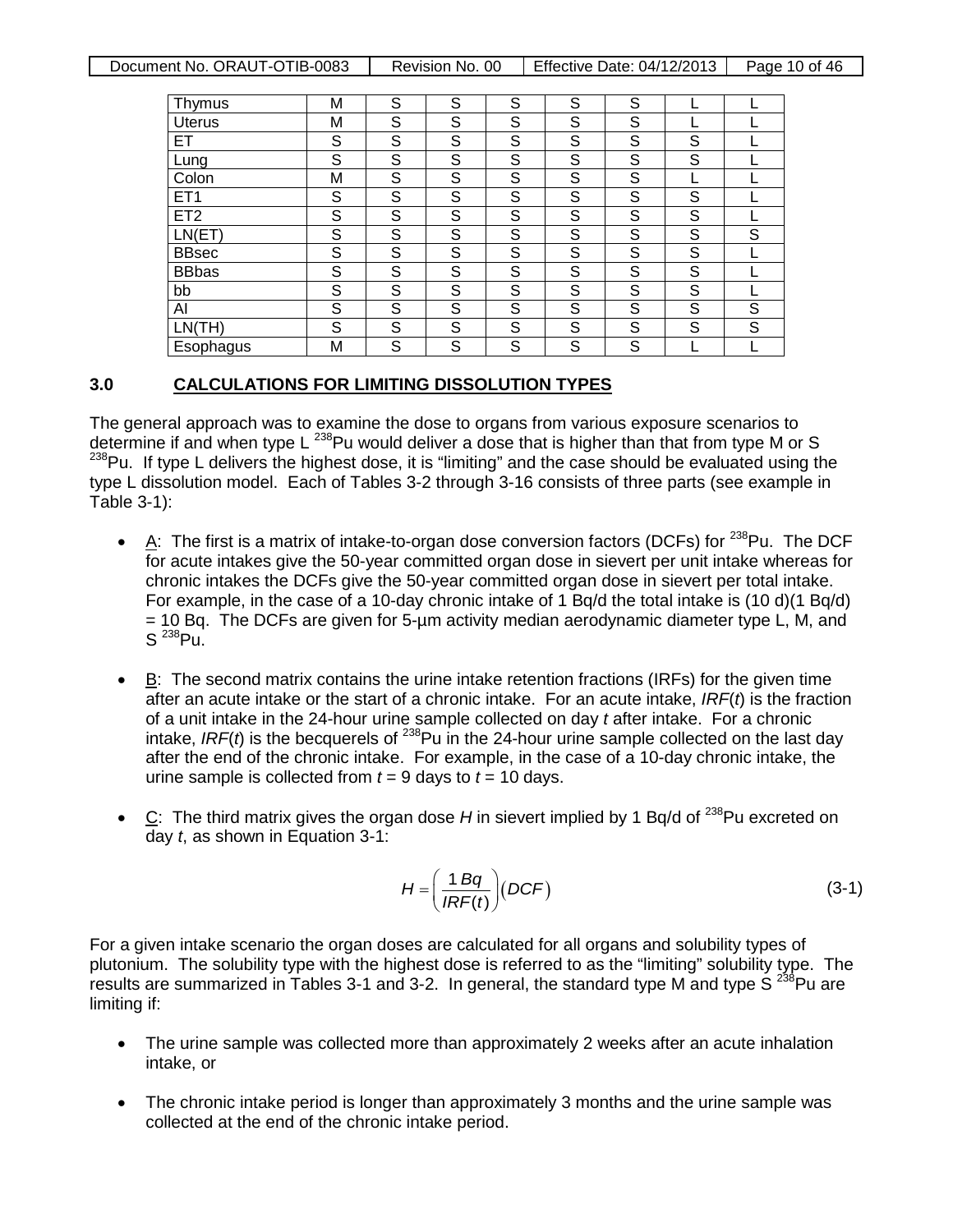|  | Document No. ORAUT-OTIB-0083 | Revision No. 00 | Effective Date: 04/12/2013 | Page 10 of 46 |
|--|------------------------------|-----------------|----------------------------|---------------|
|--|------------------------------|-----------------|----------------------------|---------------|

| Thymus          | М | S | S | S | S | S |   |   |
|-----------------|---|---|---|---|---|---|---|---|
| <b>Uterus</b>   | M | S | S | S | S | S |   |   |
| ET              | S | S | S | S | S | S | S |   |
| Lung            | S | S | S | S | S | S | S |   |
| Colon           | М | S | S | S | S | S |   |   |
| ET <sub>1</sub> | S | S | S | S | S | S | S |   |
| ET <sub>2</sub> | S | S | S | S | S | S | S |   |
| LN(ET)          | S | S | S | S | S | S | S | S |
| <b>BBsec</b>    | S | S | S | S | S | S | S |   |
| <b>BBbas</b>    | S | S | S | S | S | S | S |   |
| bb              | S | S | S | S | S | S | S |   |
| AI              | S | S | S | S | S | S | S | S |
| LN(TH)          | S | S | S | S | S | S | S | S |
| Esophagus       | M | S | S | S | S | S |   |   |

#### **3.0 CALCULATIONS FOR LIMITING DISSOLUTION TYPES**

The general approach was to examine the dose to organs from various exposure scenarios to determine if and when type L<sup>238</sup>Pu would deliver a dose that is higher than that from type M or S  $238$ Pu. If type L delivers the highest dose, it is "limiting" and the case should be evaluated using the type L dissolution model. Each of Tables 3-2 through 3-16 consists of three parts (see example in Table 3-1):

- A: The first is a matrix of intake-to-organ dose conversion factors (DCFs) for  $^{238}$ Pu. The DCF for acute intakes give the 50-year committed organ dose in sievert per unit intake whereas for chronic intakes the DCFs give the 50-year committed organ dose in sievert per total intake. For example, in the case of a 10-day chronic intake of 1 Bq/d the total intake is (10 d)(1 Bq/d) = 10 Bq. The DCFs are given for 5-µm activity median aerodynamic diameter type L, M, and  $S^{238}$ Pu.
- $\bullet$  **B**: The second matrix contains the urine intake retention fractions (IRFs) for the given time after an acute intake or the start of a chronic intake. For an acute intake, *IRF*(*t*) is the fraction of a unit intake in the 24-hour urine sample collected on day *t* after intake. For a chronic intake, *IRF*(*t*) is the becquerels of 238Pu in the 24-hour urine sample collected on the last day after the end of the chronic intake. For example, in the case of a 10-day chronic intake, the urine sample is collected from  $t = 9$  days to  $t = 10$  days.
- C: The third matrix gives the organ dose H in sievert implied by 1 Bq/d of <sup>238</sup>Pu excreted on day *t*, as shown in Equation 3-1:

$$
H = \left(\frac{1 \ Bq}{IRF(t)}\right)(DCF) \tag{3-1}
$$

For a given intake scenario the organ doses are calculated for all organs and solubility types of plutonium. The solubility type with the highest dose is referred to as the "limiting" solubility type. The results are summarized in Tables 3-1 and 3-2. In general, the standard type M and type  $S^{238}$ Pu are limiting if:

- The urine sample was collected more than approximately 2 weeks after an acute inhalation intake, or
- The chronic intake period is longer than approximately 3 months and the urine sample was collected at the end of the chronic intake period.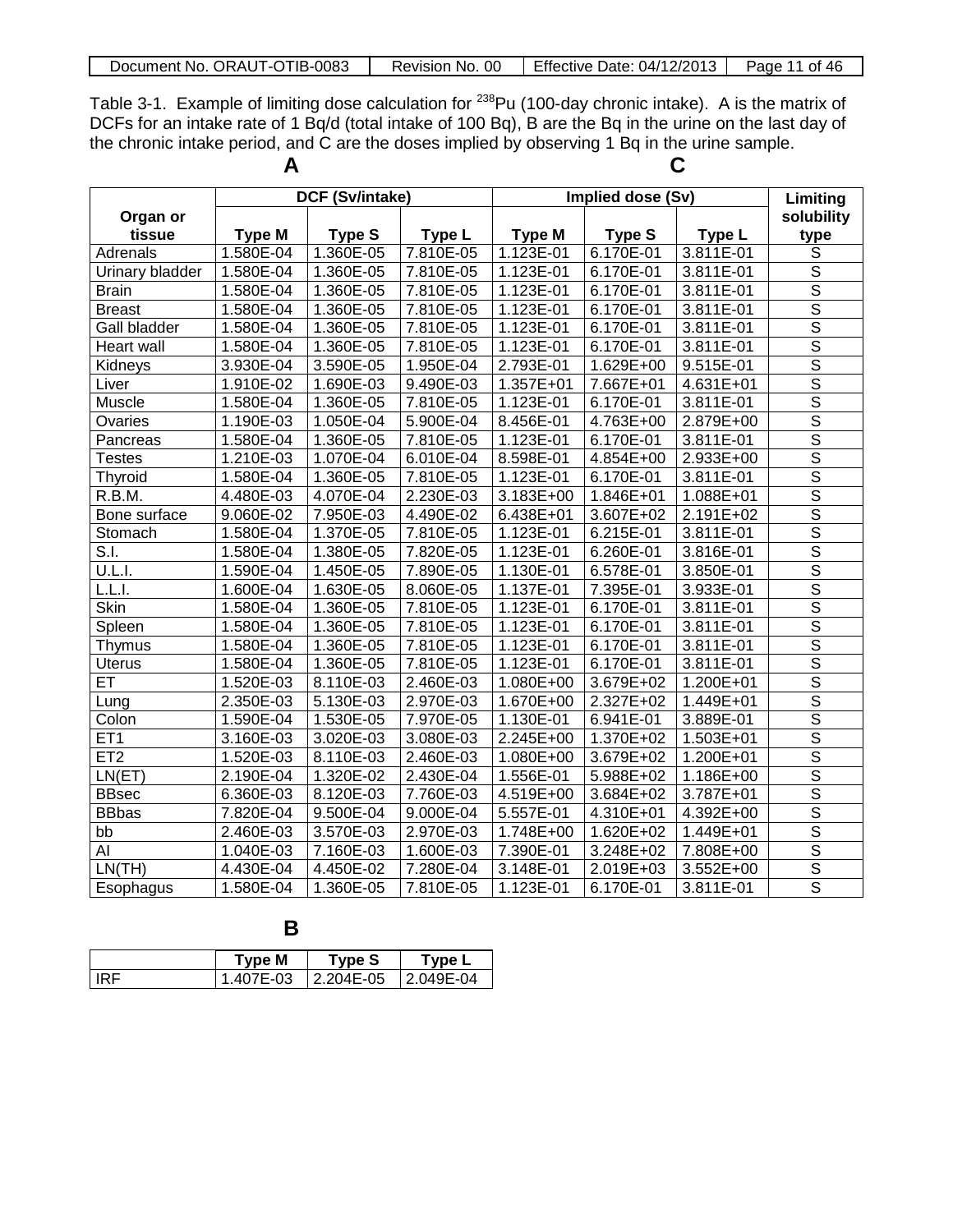| Document No. ORAUT-OTIB-0083 |  | Revision No. 00 Fffective Date: $04/12/2013$   Page 11 of 46 |  |
|------------------------------|--|--------------------------------------------------------------|--|
|------------------------------|--|--------------------------------------------------------------|--|

Table 3-1. Example of limiting dose calculation for <sup>238</sup>Pu (100-day chronic intake). A is the matrix of DCFs for an intake rate of 1 Bq/d (total intake of 100 Bq), B are the Bq in the urine on the last day of the chronic intake period, and  $\overline{C}$  are the doses implied by observing 1 Bq in the urine sample.

|                    | A             |                 |               | С             |                   |               |                         |
|--------------------|---------------|-----------------|---------------|---------------|-------------------|---------------|-------------------------|
|                    |               | DCF (Sv/intake) |               |               | Implied dose (Sv) |               | Limiting                |
| Organ or<br>tissue | <b>Type M</b> | <b>Type S</b>   | <b>Type L</b> | <b>Type M</b> | <b>Type S</b>     | Type L        | solubility<br>type      |
| Adrenals           | 1.580E-04     | 1.360E-05       | 7.810E-05     | 1.123E-01     | 6.170E-01         | 3.811E-01     | S                       |
| Urinary bladder    | 1.580E-04     | 1.360E-05       | 7.810E-05     | 1.123E-01     | 6.170E-01         | 3.811E-01     | $\mathbb S$             |
| <b>Brain</b>       | 1.580E-04     | 1.360E-05       | 7.810E-05     | 1.123E-01     | 6.170E-01         | 3.811E-01     | $\mathbb S$             |
| <b>Breast</b>      | 1.580E-04     | 1.360E-05       | 7.810E-05     | 1.123E-01     | 6.170E-01         | 3.811E-01     | $\overline{\mathsf{s}}$ |
| Gall bladder       | 1.580E-04     | 1.360E-05       | 7.810E-05     | 1.123E-01     | 6.170E-01         | 3.811E-01     | $\overline{s}$          |
| Heart wall         | 1.580E-04     | 1.360E-05       | 7.810E-05     | 1.123E-01     | 6.170E-01         | 3.811E-01     | $\overline{\mathsf{s}}$ |
| Kidneys            | 3.930E-04     | 3.590E-05       | 1.950E-04     | 2.793E-01     | 1.629E+00         | 9.515E-01     | $\overline{s}$          |
| Liver              | 1.910E-02     | 1.690E-03       | 9.490E-03     | 1.357E+01     | 7.667E+01         | 4.631E+01     | $\overline{\mathsf{s}}$ |
| Muscle             | 1.580E-04     | 1.360E-05       | 7.810E-05     | 1.123E-01     | 6.170E-01         | 3.811E-01     | $\overline{\mathsf{s}}$ |
| Ovaries            | 1.190E-03     | 1.050E-04       | 5.900E-04     | 8.456E-01     | 4.763E+00         | 2.879E+00     | $\overline{S}$          |
| Pancreas           | 1.580E-04     | 1.360E-05       | 7.810E-05     | 1.123E-01     | 6.170E-01         | 3.811E-01     | $\overline{S}$          |
| <b>Testes</b>      | 1.210E-03     | 1.070E-04       | 6.010E-04     | 8.598E-01     | 4.854E+00         | 2.933E+00     | $\mathbb S$             |
| Thyroid            | 1.580E-04     | 1.360E-05       | 7.810E-05     | 1.123E-01     | 6.170E-01         | 3.811E-01     | $\overline{\mathsf{s}}$ |
| R.B.M.             | 4.480E-03     | 4.070E-04       | 2.230E-03     | 3.183E+00     | 1.846E+01         | 1.088E+01     | $\overline{\mathsf{s}}$ |
| Bone surface       | 9.060E-02     | 7.950E-03       | 4.490E-02     | 6.438E+01     | 3.607E+02         | 2.191E+02     | $\overline{\mathsf{s}}$ |
| Stomach            | 1.580E-04     | 1.370E-05       | 7.810E-05     | 1.123E-01     | $6.215E-01$       | 3.811E-01     | $\overline{s}$          |
| S.I.               | 1.580E-04     | 1.380E-05       | 7.820E-05     | 1.123E-01     | 6.260E-01         | 3.816E-01     | $\overline{\mathsf{s}}$ |
| U.L.I.             | 1.590E-04     | 1.450E-05       | 7.890E-05     | 1.130E-01     | 6.578E-01         | 3.850E-01     | $\overline{s}$          |
| L.L.I.             | 1.600E-04     | 1.630E-05       | 8.060E-05     | 1.137E-01     | 7.395E-01         | 3.933E-01     | $\overline{\mathsf{s}}$ |
| Skin               | 1.580E-04     | 1.360E-05       | 7.810E-05     | 1.123E-01     | 6.170E-01         | 3.811E-01     | $\overline{s}$          |
| Spleen             | 1.580E-04     | 1.360E-05       | 7.810E-05     | 1.123E-01     | 6.170E-01         | 3.811E-01     | $\mathbb S$             |
| Thymus             | 1.580E-04     | 1.360E-05       | 7.810E-05     | 1.123E-01     | 6.170E-01         | 3.811E-01     | $\overline{\mathsf{s}}$ |
| <b>Uterus</b>      | 1.580E-04     | 1.360E-05       | 7.810E-05     | 1.123E-01     | 6.170E-01         | 3.811E-01     | $\overline{\mathsf{s}}$ |
| ET                 | 1.520E-03     | 8.110E-03       | 2.460E-03     | 1.080E+00     | 3.679E+02         | 1.200E+01     | $\overline{\mathsf{s}}$ |
| Lung               | 2.350E-03     | 5.130E-03       | 2.970E-03     | 1.670E+00     | 2.327E+02         | 1.449E+01     | $\overline{s}$          |
| Colon              | 1.590E-04     | 1.530E-05       | 7.970E-05     | 1.130E-01     | 6.941E-01         | 3.889E-01     | $\overline{\mathsf{s}}$ |
| ET <sub>1</sub>    | 3.160E-03     | 3.020E-03       | 3.080E-03     | 2.245E+00     | 1.370E+02         | 1.503E+01     | $\overline{\mathsf{s}}$ |
| ET2                | 1.520E-03     | 8.110E-03       | 2.460E-03     | 1.080E+00     | 3.679E+02         | $1.200E + 01$ | $\overline{s}$          |
| LN(ET)             | 2.190E-04     | 1.320E-02       | 2.430E-04     | 1.556E-01     | 5.988E+02         | 1.186E+00     | $\overline{\mathsf{s}}$ |
| <b>BBsec</b>       | 6.360E-03     | 8.120E-03       | 7.760E-03     | 4.519E+00     | 3.684E+02         | 3.787E+01     | $\overline{s}$          |
| <b>BBbas</b>       | 7.820E-04     | 9.500E-04       | 9.000E-04     | 5.557E-01     | $4.310E + 01$     | 4.392E+00     | $\overline{\mathsf{s}}$ |
| bb                 | 2.460E-03     | 3.570E-03       | 2.970E-03     | 1.748E+00     | 1.620E+02         | 1.449E+01     | $\overline{\mathsf{s}}$ |
| AI                 | 1.040E-03     | 7.160E-03       | 1.600E-03     | 7.390E-01     | 3.248E+02         | 7.808E+00     | $\overline{\mathsf{s}}$ |
| LN(TH)             | 4.430E-04     | 4.450E-02       | 7.280E-04     | 3.148E-01     | 2.019E+03         | 3.552E+00     | $\overline{\mathsf{s}}$ |
| Esophagus          | 1.580E-04     | 1.360E-05       | 7.810E-05     | 1.123E-01     | 6.170E-01         | 3.811E-01     | $\overline{s}$          |

**B**

|            | Type M    | <b>Type S</b> | $\tau$ vpe L   |
|------------|-----------|---------------|----------------|
| <b>IRF</b> | 1.407E-03 | l 2.204E-05   | $12.049E - 04$ |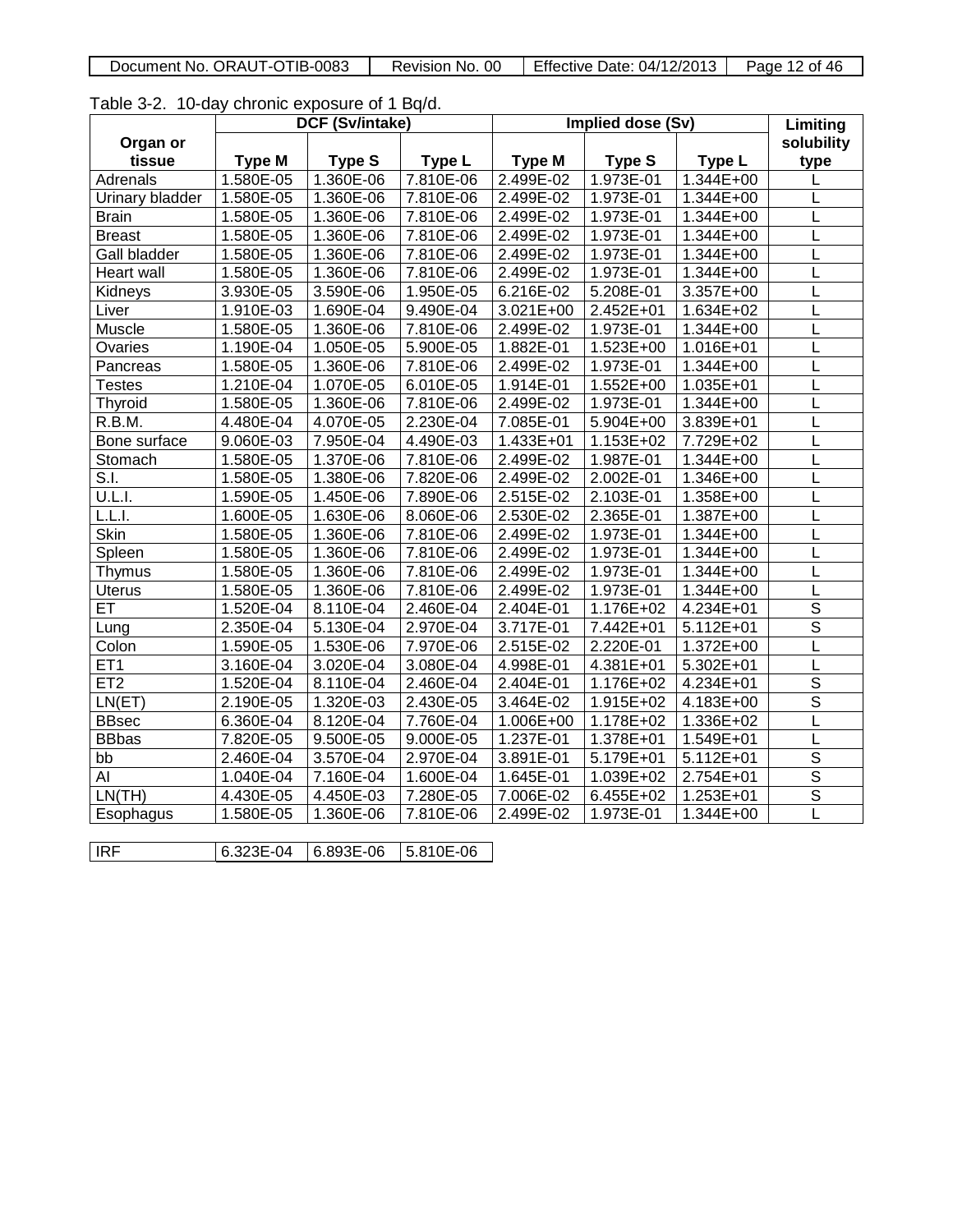Table 3-2. 10-day chronic exposure of 1 Bq/d.

|                     |               | DCF (Sv/intake) |           | Implied dose (Sv) |               |                        | Limiting                 |
|---------------------|---------------|-----------------|-----------|-------------------|---------------|------------------------|--------------------------|
| Organ or            |               |                 |           |                   |               |                        | solubility               |
| tissue              | <b>Type M</b> | <b>Type S</b>   | Type L    | <b>Type M</b>     | <b>Type S</b> | Type L                 | type                     |
| Adrenals            | 1.580E-05     | 1.360E-06       | 7.810E-06 | 2.499E-02         | 1.973E-01     | $1.344E + 00$          | L                        |
| Urinary bladder     | $1.580E-05$   | $1.360E-06$     | 7.810E-06 | 2.499E-02         | $1.973E-01$   | 1.344E+00              | L                        |
| <b>Brain</b>        | 1.580E-05     | 1.360E-06       | 7.810E-06 | 2.499E-02         | 1.973E-01     | 1.344E+00              | L                        |
| <b>Breast</b>       | 1.580E-05     | 1.360E-06       | 7.810E-06 | 2.499E-02         | 1.973E-01     | 1.344E+00              | L                        |
| <b>Gall bladder</b> | 1.580E-05     | 1.360E-06       | 7.810E-06 | 2.499E-02         | 1.973E-01     | 1.344E+00              | L                        |
| Heart wall          | 1.580E-05     | 1.360E-06       | 7.810E-06 | 2.499E-02         | 1.973E-01     | $1.344E + 00$          | L                        |
| Kidneys             | 3.930E-05     | 3.590E-06       | 1.950E-05 | 6.216E-02         | 5.208E-01     | 3.357E+00              | L                        |
| Liver               | 1.910E-03     | 1.690E-04       | 9.490E-04 | 3.021E+00         | 2.452E+01     | 1.634E+02              | L                        |
| Muscle              | 1.580E-05     | 1.360E-06       | 7.810E-06 | 2.499E-02         | 1.973E-01     | 1.344E+00              | L                        |
| Ovaries             | 1.190E-04     | 1.050E-05       | 5.900E-05 | 1.882E-01         | 1.523E+00     | 1.016E+01              | L                        |
| Pancreas            | 1.580E-05     | 1.360E-06       | 7.810E-06 | 2.499E-02         | 1.973E-01     | 1.344E+00              | L                        |
| <b>Testes</b>       | 1.210E-04     | 1.070E-05       | 6.010E-05 | 1.914E-01         | $1.552E+00$   | 1.035E+01              | L                        |
| Thyroid             | 1.580E-05     | 1.360E-06       | 7.810E-06 | 2.499E-02         | 1.973E-01     | $1.344E + 00$          | L                        |
| R.B.M.              | 4.480E-04     | 4.070E-05       | 2.230E-04 | $7.085E-01$       | 5.904E+00     | 3.839E+01              | L                        |
| Bone surface        | $9.060E-03$   | 7.950E-04       | 4.490E-03 | $1.433E + 01$     | 1.153E+02     | 7.729E+02              | L                        |
| Stomach             | 1.580E-05     | 1.370E-06       | 7.810E-06 | 2.499E-02         | 1.987E-01     | $1.344E+00$            | Г                        |
| S.I.                | 1.580E-05     | 1.380E-06       | 7.820E-06 | 2.499E-02         | 2.002E-01     | 1.346E+00              | L                        |
| U.L.I.              | 1.590E-05     | 1.450E-06       | 7.890E-06 | 2.515E-02         | 2.103E-01     | 1.358E+00              | L                        |
| L.L.I.              | 1.600E-05     | 1.630E-06       | 8.060E-06 | 2.530E-02         | 2.365E-01     | $1.387E + 00$          | L                        |
| <b>Skin</b>         | 1.580E-05     | 1.360E-06       | 7.810E-06 | 2.499E-02         | 1.973E-01     | 1.344E+00              | L                        |
| Spleen              | 1.580E-05     | 1.360E-06       | 7.810E-06 | 2.499E-02         | 1.973E-01     | 1.344E+00              | L                        |
| Thymus              | 1.580E-05     | 1.360E-06       | 7.810E-06 | 2.499E-02         | 1.973E-01     | 1.344E+00              | L                        |
| <b>Uterus</b>       | 1.580E-05     | 1.360E-06       | 7.810E-06 | 2.499E-02         | 1.973E-01     | 1.344E+00              | L                        |
| ET                  | 1.520E-04     | 8.110E-04       | 2.460E-04 | 2.404E-01         | 1.176E+02     | 4.234E+01              | $\overline{\mathcal{S}}$ |
| Lung                | 2.350E-04     | 5.130E-04       | 2.970E-04 | $3.717E-01$       | 7.442E+01     | $\overline{5.112E+01}$ | $\overline{s}$           |
| Colon               | 1.590E-05     | 1.530E-06       | 7.970E-06 | 2.515E-02         | 2.220E-01     | 1.372E+00              | L                        |
| ET <sub>1</sub>     | 3.160E-04     | 3.020E-04       | 3.080E-04 | 4.998E-01         | 4.381E+01     | 5.302E+01              | L                        |
| ET <sub>2</sub>     | 1.520E-04     | 8.110E-04       | 2.460E-04 | 2.404E-01         | 1.176E+02     | $4.234E + 01$          | $\overline{s}$           |
| LN(ET)              | 2.190E-05     | 1.320E-03       | 2.430E-05 | 3.464E-02         | 1.915E+02     | 4.183E+00              | $\overline{\mathsf{s}}$  |
| <b>BBsec</b>        | 6.360E-04     | 8.120E-04       | 7.760E-04 | $1.006E + 00$     | 1.178E+02     | 1.336E+02              | L                        |
| <b>BBbas</b>        | 7.820E-05     | 9.500E-05       | 9.000E-05 | 1.237E-01         | 1.378E+01     | 1.549E+01              | L                        |
| bb                  | 2.460E-04     | 3.570E-04       | 2.970E-04 | 3.891E-01         | 5.179E+01     | 5.112E+01              | $\overline{\mathsf{s}}$  |
| Al                  | 1.040E-04     | 7.160E-04       | 1.600E-04 | 1.645E-01         | 1.039E+02     | 2.754E+01              | $\overline{\mathsf{s}}$  |
| LN(TH)              | 4.430E-05     | 4.450E-03       | 7.280E-05 | 7.006E-02         | 6.455E+02     | 1.253E+01              | $\overline{\mathsf{s}}$  |
| Esophagus           | 1.580E-05     | 1.360E-06       | 7.810E-06 | 2.499E-02         | 1.973E-01     | 1.344E+00              | L                        |
|                     |               |                 |           |                   |               |                        |                          |
| IRF                 | 6.323E-04     | 6.893E-06       | 5.810E-06 |                   |               |                        |                          |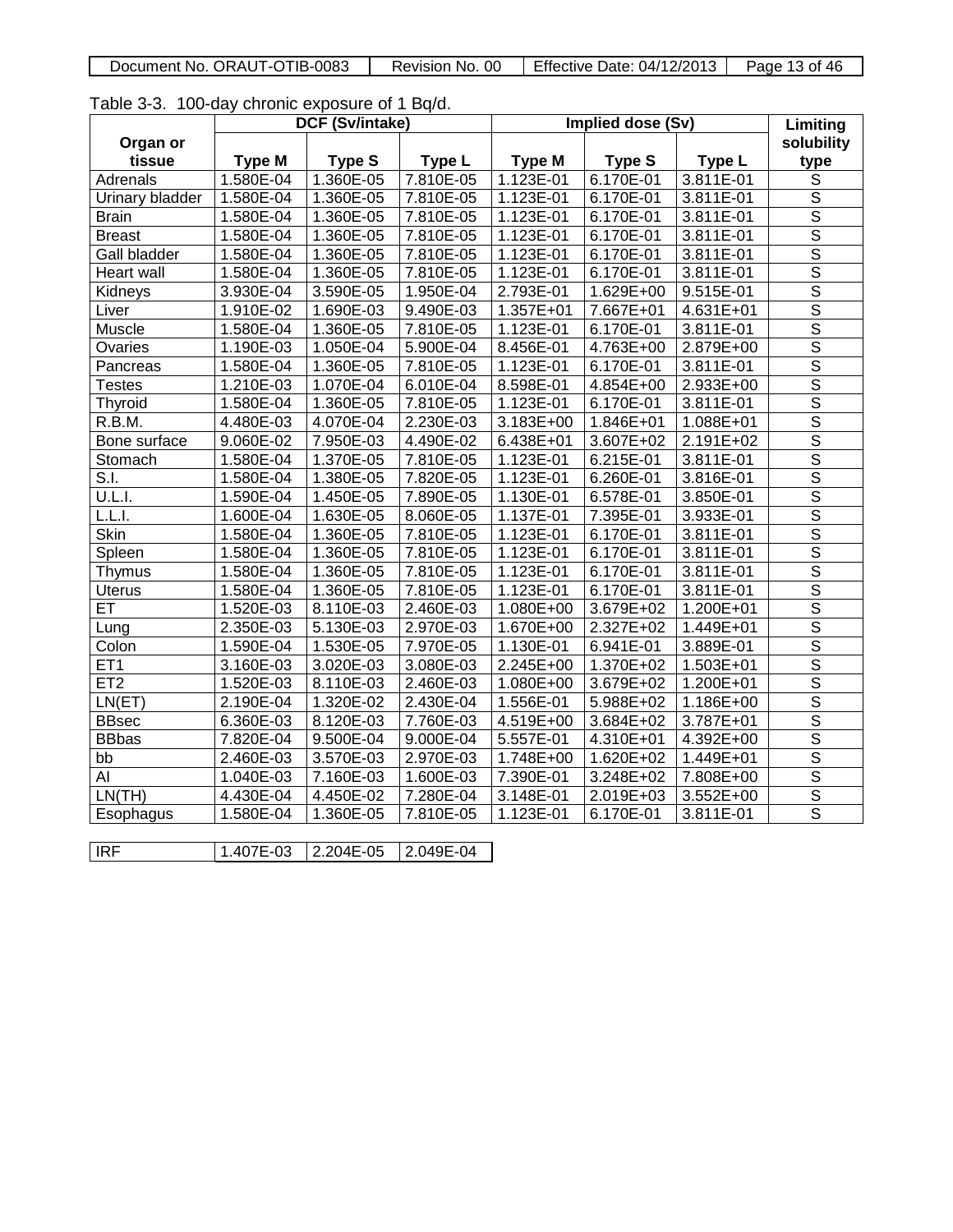| Document No. ORAUT-OTIB-0083 | Revision No. 00 | Effective Date: 04/12/2013 | 13 of 46<br>Page |
|------------------------------|-----------------|----------------------------|------------------|

Table 3-3. 100-day chronic exposure of 1 Bq/d.

|                 |               | DCF (Sv/intake) |               | Implied dose (Sv) |               | Limiting      |                         |
|-----------------|---------------|-----------------|---------------|-------------------|---------------|---------------|-------------------------|
| Organ or        |               |                 |               |                   |               |               | solubility              |
| tissue          | <b>Type M</b> | <b>Type S</b>   | <b>Type L</b> | <b>Type M</b>     | <b>Type S</b> | Type L        | type                    |
| Adrenals        | 1.580E-04     | 1.360E-05       | 7.810E-05     | 1.123E-01         | 6.170E-01     | 3.811E-01     | $\mathbb S$             |
| Urinary bladder | 1.580E-04     | 1.360E-05       | 7.810E-05     | 1.123E-01         | 6.170E-01     | 3.811E-01     | $\overline{\mathsf{s}}$ |
| <b>Brain</b>    | 1.580E-04     | 1.360E-05       | 7.810E-05     | 1.123E-01         | 6.170E-01     | 3.811E-01     | $\overline{\mathsf{s}}$ |
| <b>Breast</b>   | 1.580E-04     | 1.360E-05       | 7.810E-05     | 1.123E-01         | 6.170E-01     | 3.811E-01     | $\overline{\mathsf{s}}$ |
| Gall bladder    | 1.580E-04     | 1.360E-05       | 7.810E-05     | $1.123E-01$       | 6.170E-01     | 3.811E-01     | $\overline{\mathsf{s}}$ |
| Heart wall      | 1.580E-04     | 1.360E-05       | 7.810E-05     | 1.123E-01         | 6.170E-01     | 3.811E-01     | $\overline{\mathsf{s}}$ |
| Kidneys         | 3.930E-04     | 3.590E-05       | 1.950E-04     | 2.793E-01         | 1.629E+00     | 9.515E-01     | $\overline{\mathsf{s}}$ |
| Liver           | 1.910E-02     | 1.690E-03       | 9.490E-03     | 1.357E+01         | 7.667E+01     | 4.631E+01     | $\overline{s}$          |
| Muscle          | 1.580E-04     | 1.360E-05       | 7.810E-05     | $1.123E-01$       | 6.170E-01     | $3.811E-01$   | $\overline{\mathsf{s}}$ |
| <b>Ovaries</b>  | 1.190E-03     | 1.050E-04       | 5.900E-04     | 8.456E-01         | 4.763E+00     | 2.879E+00     | $\overline{\mathsf{s}}$ |
| Pancreas        | 1.580E-04     | 1.360E-05       | 7.810E-05     | 1.123E-01         | 6.170E-01     | 3.811E-01     | $\overline{\mathsf{s}}$ |
| Testes          | 1.210E-03     | 1.070E-04       | 6.010E-04     | 8.598E-01         | 4.854E+00     | 2.933E+00     | $\overline{s}$          |
| Thyroid         | 1.580E-04     | 1.360E-05       | 7.810E-05     | 1.123E-01         | 6.170E-01     | 3.811E-01     | $\overline{\mathsf{s}}$ |
| R.B.M.          | 4.480E-03     | 4.070E-04       | 2.230E-03     | 3.183E+00         | 1.846E+01     | 1.088E+01     | $\overline{\mathsf{s}}$ |
| Bone surface    | 9.060E-02     | 7.950E-03       | 4.490E-02     | 6.438E+01         | 3.607E+02     | 2.191E+02     | $\overline{s}$          |
| Stomach         | 1.580E-04     | 1.370E-05       | 7.810E-05     | $1.123E-01$       | 6.215E-01     | 3.811E-01     | $\overline{s}$          |
| S.I.            | 1.580E-04     | 1.380E-05       | 7.820E-05     | 1.123E-01         | $6.260E-01$   | 3.816E-01     | $\overline{\mathsf{s}}$ |
| U.L.I.          | 1.590E-04     | 1.450E-05       | 7.890E-05     | 1.130E-01         | 6.578E-01     | 3.850E-01     | $\overline{s}$          |
| <u>tīli.</u>    | 1.600E-04     | 1.630E-05       | 8.060E-05     | 1.137E-01         | 7.395E-01     | 3.933E-01     | $\overline{\mathsf{s}}$ |
| Skin            | $1.580E-04$   | 1.360E-05       | 7.810E-05     | 1.123E-01         | 6.170E-01     | 3.811E-01     | $\overline{\mathsf{s}}$ |
| Spleen          | 1.580E-04     | 1.360E-05       | 7.810E-05     | 1.123E-01         | 6.170E-01     | 3.811E-01     | $\overline{\mathsf{s}}$ |
| Thymus          | 1.580E-04     | 1.360E-05       | 7.810E-05     | 1.123E-01         | 6.170E-01     | 3.811E-01     | $\overline{\mathsf{s}}$ |
| <b>Uterus</b>   | 1.580E-04     | 1.360E-05       | 7.810E-05     | $1.123E-01$       | 6.170E-01     | $3.811E-01$   | $\overline{\mathsf{s}}$ |
| ET              | 1.520E-03     | 8.110E-03       | 2.460E-03     | 1.080E+00         | 3.679E+02     | 1.200E+01     | $\overline{\mathsf{s}}$ |
| Lung            | 2.350E-03     | 5.130E-03       | 2.970E-03     | 1.670E+00         | 2.327E+02     | 1.449E+01     | $\overline{\mathsf{s}}$ |
| Colon           | 1.590E-04     | 1.530E-05       | 7.970E-05     | 1.130E-01         | 6.941E-01     | 3.889E-01     | $\overline{\mathsf{s}}$ |
| ET <sub>1</sub> | 3.160E-03     | 3.020E-03       | 3.080E-03     | $2.245E + 00$     | 1.370E+02     | 1.503E+01     | $\overline{\mathsf{s}}$ |
| ET2             | 1.520E-03     | 8.110E-03       | 2.460E-03     | 1.080E+00         | 3.679E+02     | 1.200E+01     | $\overline{\mathsf{s}}$ |
| LN(ET)          | 2.190E-04     | 1.320E-02       | 2.430E-04     | 1.556E-01         | 5.988E+02     | 1.186E+00     | $\overline{\mathsf{s}}$ |
| <b>BBsec</b>    | 6.360E-03     | 8.120E-03       | 7.760E-03     | $4.519E+00$       | 3.684E+02     | 3.787E+01     | $\overline{s}$          |
| <b>BBbas</b>    | 7.820E-04     | 9.500E-04       | 9.000E-04     | 5.557E-01         | 4.310E+01     | $4.392E + 00$ | $\overline{\mathsf{s}}$ |
| bb              | 2.460E-03     | 3.570E-03       | 2.970E-03     | 1.748E+00         | 1.620E+02     | 1.449E+01     | $\overline{s}$          |
| AI              | 1.040E-03     | 7.160E-03       | 1.600E-03     | 7.390E-01         | 3.248E+02     | 7.808E+00     | $\overline{\mathsf{s}}$ |
| LN(TH)          | 4.430E-04     | 4.450E-02       | 7.280E-04     | 3.148E-01         | 2.019E+03     | 3.552E+00     | $\overline{\mathsf{s}}$ |
| Esophagus       | 1.580E-04     | 1.360E-05       | 7.810E-05     | $1.123E-01$       | 6.170E-01     | 3.811E-01     | $\overline{s}$          |
|                 |               |                 |               |                   |               |               |                         |
| <b>IRF</b>      | 1.407E-03     | 2.204E-05       | 2.049E-04     |                   |               |               |                         |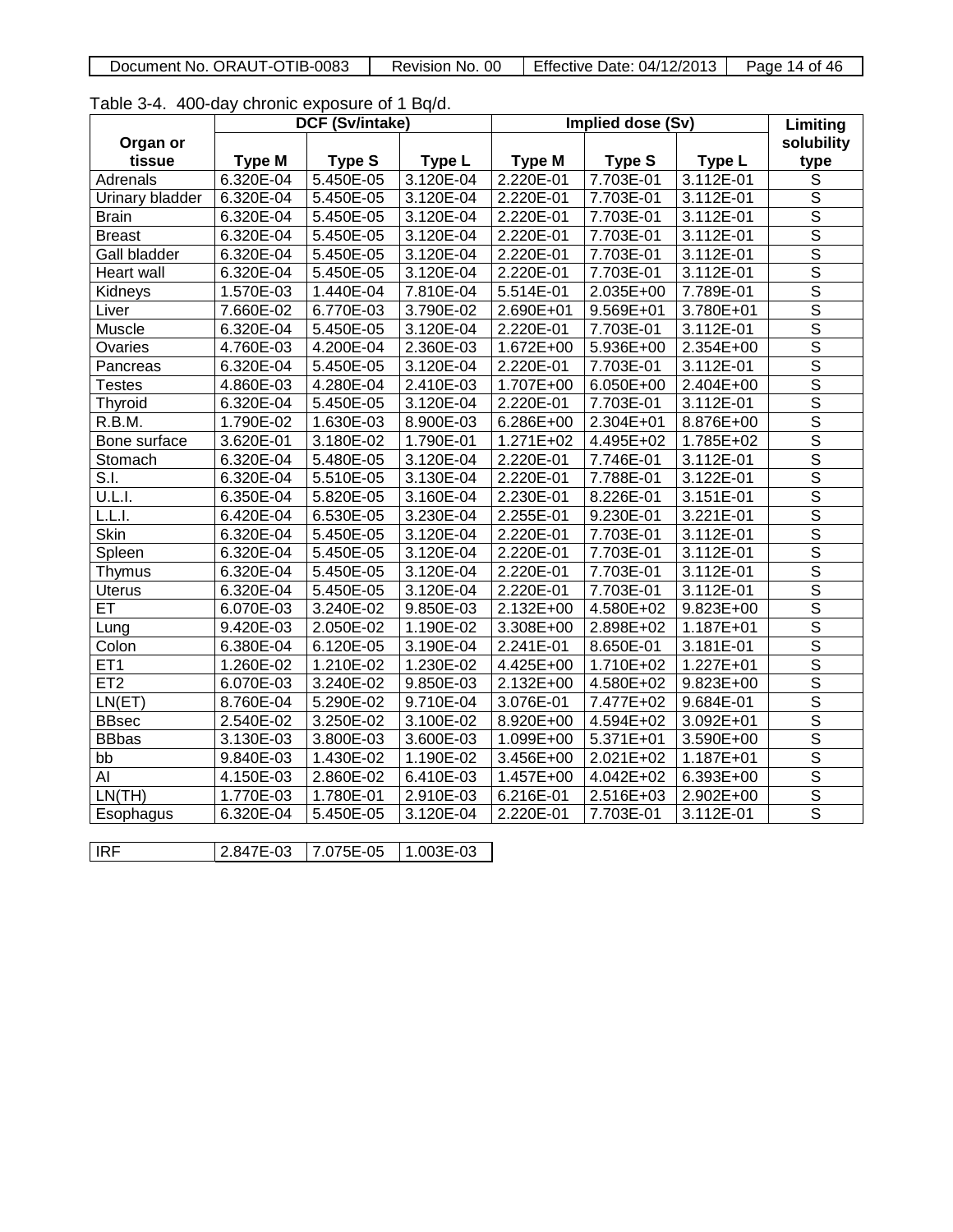| Document No. ORAUT-OTIB-0083 | Revision No. 00 | Effective Date: $04/12/2013$   Page 14 of 46 |  |
|------------------------------|-----------------|----------------------------------------------|--|
|------------------------------|-----------------|----------------------------------------------|--|

Table 3-4. 400-day chronic exposure of 1 Bq/d.

|                     |               | DCF (Sv/intake) |           | Implied dose (Sv) |                          | Limiting      |                         |
|---------------------|---------------|-----------------|-----------|-------------------|--------------------------|---------------|-------------------------|
| Organ or            |               |                 |           |                   |                          |               | solubility              |
| tissue              | <b>Type M</b> | <b>Type S</b>   | Type L    | <b>Type M</b>     | <b>Type S</b>            | Type L        | type                    |
| Adrenals            | 6.320E-04     | 5.450E-05       | 3.120E-04 | 2.220E-01         | 7.703E-01                | 3.112E-01     | $\mathbb S$             |
| Urinary bladder     | 6.320E-04     | 5.450E-05       | 3.120E-04 | 2.220E-01         | 7.703E-01                | 3.112E-01     | $\overline{\mathsf{s}}$ |
| <b>Brain</b>        | 6.320E-04     | 5.450E-05       | 3.120E-04 | 2.220E-01         | 7.703E-01                | 3.112E-01     | $\overline{\mathsf{s}}$ |
| <b>Breast</b>       | 6.320E-04     | 5.450E-05       | 3.120E-04 | 2.220E-01         | 7.703E-01                | 3.112E-01     | $\overline{\mathsf{s}}$ |
| <b>Gall bladder</b> | 6.320E-04     | 5.450E-05       | 3.120E-04 | 2.220E-01         | 7.703E-01                | 3.112E-01     | $\overline{\mathsf{s}}$ |
| Heart wall          | 6.320E-04     | 5.450E-05       | 3.120E-04 | 2.220E-01         | 7.703E-01                | 3.112E-01     | $\overline{\mathsf{s}}$ |
| Kidneys             | 1.570E-03     | 1.440E-04       | 7.810E-04 | 5.514E-01         | 2.035E+00                | 7.789E-01     | $\overline{\mathsf{s}}$ |
| Liver               | 7.660E-02     | 6.770E-03       | 3.790E-02 | 2.690E+01         | 9.569E+01                | 3.780E+01     | $\overline{s}$          |
| Muscle              | 6.320E-04     | 5.450E-05       | 3.120E-04 | 2.220E-01         | 7.703E-01                | $3.112E-01$   | $\overline{\mathsf{s}}$ |
| Ovaries             | 4.760E-03     | 4.200E-04       | 2.360E-03 | 1.672E+00         | 5.936E+00                | 2.354E+00     | $\overline{\mathsf{S}}$ |
| Pancreas            | 6.320E-04     | 5.450E-05       | 3.120E-04 | 2.220E-01         | 7.703E-01                | 3.112E-01     | $\overline{\mathsf{s}}$ |
| <b>Testes</b>       | 4.860E-03     | 4.280E-04       | 2.410E-03 | 1.707E+00         | 6.050E+00                | 2.404E+00     | $\overline{\mathsf{s}}$ |
| Thyroid             | 6.320E-04     | 5.450E-05       | 3.120E-04 | 2.220E-01         | 7.703E-01                | 3.112E-01     | $\overline{\mathsf{s}}$ |
| R.B.M.              | 1.790E-02     | 1.630E-03       | 8.900E-03 | 6.286E+00         | 2.304E+01                | 8.876E+00     | $\overline{\mathsf{s}}$ |
| Bone surface        | 3.620E-01     | 3.180E-02       | 1.790E-01 | $1.271E+02$       | 4.495E+02                | 1.785E+02     | $\overline{\mathsf{s}}$ |
| Stomach             | 6.320E-04     | 5.480E-05       | 3.120E-04 | 2.220E-01         | 7.746E-01                | 3.112E-01     | $\overline{\mathsf{s}}$ |
| $\overline{S}$ .    | 6.320E-04     | 5.510E-05       | 3.130E-04 | 2.220E-01         | 7.788E-01                | 3.122E-01     | $\overline{\mathsf{s}}$ |
| U.L.I.              | 6.350E-04     | 5.820E-05       | 3.160E-04 | 2.230E-01         | 8.226E-01                | 3.151E-01     | $\overline{\mathsf{s}}$ |
| L.L.I.              | 6.420E-04     | 6.530E-05       | 3.230E-04 | 2.255E-01         | 9.230E-01                | 3.221E-01     | $\overline{\mathsf{s}}$ |
| Skin                | 6.320E-04     | 5.450E-05       | 3.120E-04 | 2.220E-01         | 7.703E-01                | 3.112E-01     | $\overline{\mathsf{s}}$ |
| Spleen              | 6.320E-04     | 5.450E-05       | 3.120E-04 | 2.220E-01         | 7.703E-01                | 3.112E-01     | $\overline{\mathsf{s}}$ |
| Thymus              | 6.320E-04     | 5.450E-05       | 3.120E-04 | 2.220E-01         | 7.703E-01                | 3.112E-01     | $\overline{\mathsf{s}}$ |
| <b>Uterus</b>       | 6.320E-04     | 5.450E-05       | 3.120E-04 | 2.220E-01         | 7.703E-01                | $3.112E-01$   | $\overline{s}$          |
| ET                  | 6.070E-03     | 3.240E-02       | 9.850E-03 | $2.132E + 00$     | 4.580E+02                | $9.823E + 00$ | $\overline{\mathsf{s}}$ |
| Lung                | 9.420E-03     | 2.050E-02       | 1.190E-02 | 3.308E+00         | 2.898E+02                | 1.187E+01     | $\overline{\mathsf{S}}$ |
| Colon               | 6.380E-04     | 6.120E-05       | 3.190E-04 | 2.241E-01         | 8.650E-01                | 3.181E-01     | $\overline{\mathsf{s}}$ |
| ET <sub>1</sub>     | 1.260E-02     | 1.210E-02       | 1.230E-02 | 4.425E+00         | 1.710E+02                | 1.227E+01     | $\overline{\mathsf{s}}$ |
| ET2                 | 6.070E-03     | 3.240E-02       | 9.850E-03 | 2.132E+00         | 4.580E+02                | $9.823E + 00$ | $\overline{\mathsf{s}}$ |
| LN(ET)              | 8.760E-04     | $5.290E-02$     | 9.710E-04 | 3.076E-01         | 7.477E+02                | 9.684E-01     | $\overline{\mathsf{s}}$ |
| <b>BBsec</b>        | 2.540E-02     | 3.250E-02       | 3.100E-02 | 8.920E+00         | 4.594E+02                | 3.092E+01     | $\overline{\mathsf{s}}$ |
| <b>BBbas</b>        | 3.130E-03     | 3.800E-03       | 3.600E-03 | 1.099E+00         | $\overline{5.371}E + 01$ | 3.590E+00     | $\overline{\mathsf{s}}$ |
| bb                  | 9.840E-03     | 1.430E-02       | 1.190E-02 | 3.456E+00         | 2.021E+02                | 1.187E+01     | $\overline{\mathsf{s}}$ |
| AI                  | 4.150E-03     | 2.860E-02       | 6.410E-03 | 1.457E+00         | 4.042E+02                | 6.393E+00     | $\overline{\mathsf{s}}$ |
| LN(TH)              | 1.770E-03     | 1.780E-01       | 2.910E-03 | 6.216E-01         | 2.516E+03                | 2.902E+00     | $\overline{\mathsf{s}}$ |
| Esophagus           | 6.320E-04     | 5.450E-05       | 3.120E-04 | 2.220E-01         | 7.703E-01                | 3.112E-01     | $\overline{\mathsf{s}}$ |
|                     |               |                 |           |                   |                          |               |                         |
| <b>IRF</b>          | 2.847E-03     | 7.075E-05       | 1.003E-03 |                   |                          |               |                         |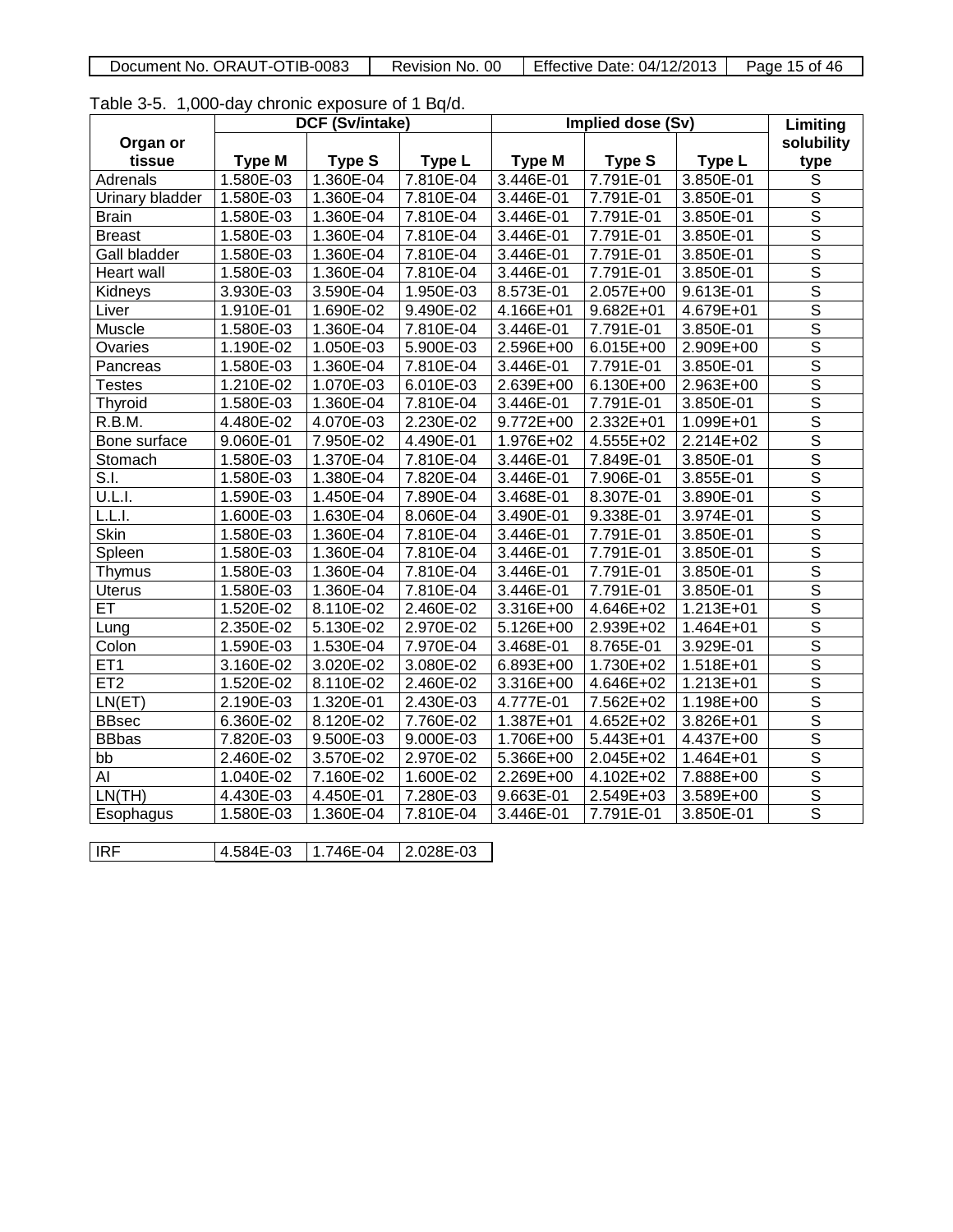| Document No. ORAUT-OTIB-0083 | <b>Revision</b><br>-00<br>≅No. | Effective Date: 04/12/2013 | Page 15 of 46 |
|------------------------------|--------------------------------|----------------------------|---------------|

Table 3-5. 1,000-day chronic exposure of 1 Bq/d.

|                 |               | DCF (Sv/intake) |               | Implied dose (Sv) |               | Limiting    |                         |
|-----------------|---------------|-----------------|---------------|-------------------|---------------|-------------|-------------------------|
| Organ or        |               |                 |               |                   |               |             | solubility              |
| tissue          | <b>Type M</b> | <b>Type S</b>   | <b>Type L</b> | <b>Type M</b>     | <b>Type S</b> | Type L      | type                    |
| Adrenals        | 1.580E-03     | 1.360E-04       | 7.810E-04     | 3.446E-01         | 7.791E-01     | 3.850E-01   | $\overline{S}$          |
| Urinary bladder | 1.580E-03     | 1.360E-04       | 7.810E-04     | 3.446E-01         | 7.791E-01     | 3.850E-01   | $\overline{s}$          |
| <b>Brain</b>    | 1.580E-03     | 1.360E-04       | 7.810E-04     | 3.446E-01         | 7.791E-01     | 3.850E-01   | $\overline{s}$          |
| <b>Breast</b>   | 1.580E-03     | 1.360E-04       | 7.810E-04     | 3.446E-01         | 7.791E-01     | 3.850E-01   | $\overline{\mathsf{s}}$ |
| Gall bladder    | 1.580E-03     | 1.360E-04       | 7.810E-04     | 3.446E-01         | 7.791E-01     | 3.850E-01   | $\overline{\mathsf{s}}$ |
| Heart wall      | 1.580E-03     | 1.360E-04       | 7.810E-04     | 3.446E-01         | 7.791E-01     | 3.850E-01   | $\overline{\mathsf{s}}$ |
| Kidneys         | 3.930E-03     | 3.590E-04       | 1.950E-03     | 8.573E-01         | 2.057E+00     | $9.613E-01$ | $\overline{\mathsf{s}}$ |
| Liver           | 1.910E-01     | 1.690E-02       | 9.490E-02     | 4.166E+01         | 9.682E+01     | 4.679E+01   | $\overline{\mathsf{s}}$ |
| Muscle          | 1.580E-03     | 1.360E-04       | 7.810E-04     | 3.446E-01         | 7.791E-01     | 3.850E-01   | $\overline{s}$          |
| Ovaries         | 1.190E-02     | 1.050E-03       | 5.900E-03     | $2.596E+00$       | 6.015E+00     | 2.909E+00   | $\overline{\mathsf{s}}$ |
| Pancreas        | 1.580E-03     | 1.360E-04       | 7.810E-04     | 3.446E-01         | 7.791E-01     | 3.850E-01   | $\overline{\mathsf{s}}$ |
| <b>Testes</b>   | 1.210E-02     | 1.070E-03       | 6.010E-03     | 2.639E+00         | 6.130E+00     | 2.963E+00   | $\overline{\mathsf{s}}$ |
| Thyroid         | 1.580E-03     | 1.360E-04       | 7.810E-04     | 3.446E-01         | 7.791E-01     | 3.850E-01   | $\overline{\mathsf{s}}$ |
| R.B.M.          | 4.480E-02     | 4.070E-03       | 2.230E-02     | $9.772E + 00$     | 2.332E+01     | 1.099E+01   | $\overline{\mathsf{s}}$ |
| Bone surface    | 9.060E-01     | 7.950E-02       | 4.490E-01     | 1.976E+02         | 4.555E+02     | $2.214E+02$ | $\overline{\mathsf{s}}$ |
| Stomach         | 1.580E-03     | 1.370E-04       | 7.810E-04     | 3.446E-01         | 7.849E-01     | 3.850E-01   | $\overline{s}$          |
| S.I.            | 1.580E-03     | 1.380E-04       | 7.820E-04     | 3.446E-01         | 7.906E-01     | 3.855E-01   | $\overline{\mathsf{s}}$ |
| U.L.I.          | 1.590E-03     | 1.450E-04       | 7.890E-04     | 3.468E-01         | 8.307E-01     | 3.890E-01   | $\overline{\mathsf{s}}$ |
| L.L.I.          | 1.600E-03     | 1.630E-04       | 8.060E-04     | 3.490E-01         | 9.338E-01     | 3.974E-01   | $\overline{\mathsf{s}}$ |
| <b>Skin</b>     | 1.580E-03     | 1.360E-04       | 7.810E-04     | 3.446E-01         | 7.791E-01     | 3.850E-01   | $\overline{\mathsf{s}}$ |
| Spleen          | 1.580E-03     | 1.360E-04       | 7.810E-04     | 3.446E-01         | 7.791E-01     | 3.850E-01   | $\overline{\mathsf{s}}$ |
| Thymus          | 1.580E-03     | 1.360E-04       | 7.810E-04     | 3.446E-01         | 7.791E-01     | 3.850E-01   | $\overline{\mathsf{s}}$ |
| <b>Uterus</b>   | 1.580E-03     | 1.360E-04       | 7.810E-04     | 3.446E-01         | 7.791E-01     | 3.850E-01   | $\overline{\mathsf{s}}$ |
| ET              | 1.520E-02     | 8.110E-02       | 2.460E-02     | 3.316E+00         | 4.646E+02     | 1.213E+01   | $\overline{s}$          |
| Lung            | 2.350E-02     | 5.130E-02       | 2.970E-02     | 5.126E+00         | 2.939E+02     | 1.464E+01   | $\overline{\mathsf{s}}$ |
| Colon           | 1.590E-03     | 1.530E-04       | 7.970E-04     | 3.468E-01         | 8.765E-01     | 3.929E-01   | $\overline{\mathsf{s}}$ |
| ET <sub>1</sub> | 3.160E-02     | 3.020E-02       | 3.080E-02     | 6.893E+00         | 1.730E+02     | 1.518E+01   | $\overline{\mathsf{s}}$ |
| ET <sub>2</sub> | 1.520E-02     | 8.110E-02       | 2.460E-02     | $3.316E + 00$     | 4.646E+02     | 1.213E+01   | $\overline{\mathsf{s}}$ |
| LN(ET)          | 2.190E-03     | 1.320E-01       | 2.430E-03     | 4.777E-01         | 7.562E+02     | 1.198E+00   | $\overline{\mathsf{s}}$ |
| <b>BBsec</b>    | 6.360E-02     | 8.120E-02       | 7.760E-02     | 1.387E+01         | $4.652E + 02$ | 3.826E+01   | $\overline{\mathsf{s}}$ |
| <b>BBbas</b>    | 7.820E-03     | 9.500E-03       | 9.000E-03     | $1.706E + 00$     | $5.443E + 01$ | 4.437E+00   | $\overline{\mathsf{s}}$ |
| bb              | 2.460E-02     | 3.570E-02       | 2.970E-02     | 5.366E+00         | 2.045E+02     | 1.464E+01   | $\overline{\mathsf{s}}$ |
| AI              | 1.040E-02     | 7.160E-02       | 1.600E-02     | 2.269E+00         | 4.102E+02     | 7.888E+00   | $\overline{s}$          |
| LN(TH)          | 4.430E-03     | 4.450E-01       | 7.280E-03     | 9.663E-01         | 2.549E+03     | 3.589E+00   | $\overline{\mathsf{s}}$ |
| Esophagus       | 1.580E-03     | 1.360E-04       | 7.810E-04     | 3.446E-01         | 7.791E-01     | 3.850E-01   | $\overline{\mathsf{s}}$ |
|                 |               |                 |               |                   |               |             |                         |
| IRF             | 4.584E-03     | 1.746E-04       | 2.028E-03     |                   |               |             |                         |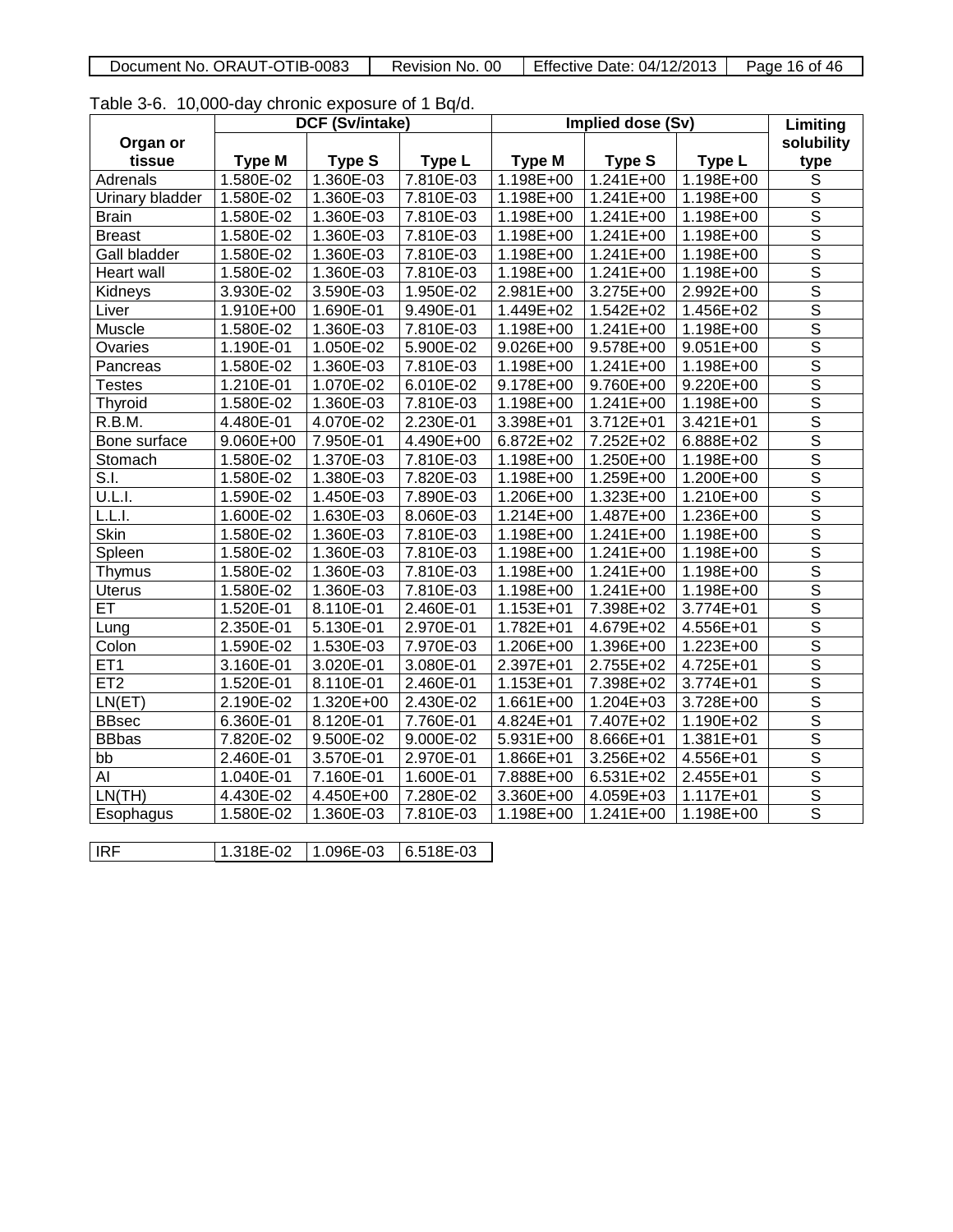| Document No. ORAUT-OTIB-0083 | No. 00<br>Revision | <b>Effective Date: 04/12/2013</b> | Page 16<br>of 46 |
|------------------------------|--------------------|-----------------------------------|------------------|
|                              |                    |                                   |                  |

|  |  | Table 3-6. 10,000-day chronic exposure of 1 Bq/d. |  |
|--|--|---------------------------------------------------|--|
|--|--|---------------------------------------------------|--|

|                        |               | <b>DCF (Sv/intake)</b> |               |                        | Implied dose (Sv) |               | Limiting                |
|------------------------|---------------|------------------------|---------------|------------------------|-------------------|---------------|-------------------------|
| Organ or               |               |                        |               |                        |                   |               | solubility              |
| tissue                 | <b>Type M</b> | <b>Type S</b>          | Type L        | <b>Type M</b>          | <b>Type S</b>     | Type L        | type                    |
| Adrenals               | 1.580E-02     | 1.360E-03              | 7.810E-03     | $1.198E + 00$          | $1.241E + 00$     | 1.198E+00     | $\overline{s}$          |
| Urinary bladder        | 1.580E-02     | 1.360E-03              | 7.810E-03     | 1.198E+00              | 1.241E+00         | 1.198E+00     | $\overline{\mathsf{s}}$ |
| <b>Brain</b>           | 1.580E-02     | $1.360E-03$            | 7.810E-03     | 1.198E+00              | 1.241E+00         | 1.198E+00     | $\overline{\mathsf{s}}$ |
| <b>Breast</b>          | 1.580E-02     | 1.360E-03              | 7.810E-03     | 1.198E+00              | 1.241E+00         | 1.198E+00     | $\overline{\mathsf{s}}$ |
| <b>Gall bladder</b>    | 1.580E-02     | 1.360E-03              | 7.810E-03     | 1.198E+00              | 1.241E+00         | 1.198E+00     | $\overline{\mathsf{s}}$ |
| Heart wall             | 1.580E-02     | 1.360E-03              | 7.810E-03     | $\overline{1.198E+00}$ | 1.241E+00         | 1.198E+00     | $\overline{\mathsf{s}}$ |
| Kidneys                | 3.930E-02     | 3.590E-03              | 1.950E-02     | 2.981E+00              | 3.275E+00         | 2.992E+00     | $\overline{\mathsf{s}}$ |
| Liver                  | 1.910E+00     | 1.690E-01              | 9.490E-01     | 1.449E+02              | $1.542E + 02$     | $1.456E+02$   | $\overline{\mathsf{s}}$ |
| Muscle                 | 1.580E-02     | 1.360E-03              | 7.810E-03     | 1.198E+00              | 1.241E+00         | $1.198E + 00$ | $\overline{s}$          |
| Ovaries                | 1.190E-01     | $1.050E-02$            | 5.900E-02     | $9.026E + 00$          | 9.578E+00         | $9.051E + 00$ | $\overline{\mathsf{s}}$ |
| Pancreas               | 1.580E-02     | 1.360E-03              | 7.810E-03     | 1.198E+00              | 1.241E+00         | 1.198E+00     | $\overline{\mathsf{S}}$ |
| <b>Testes</b>          | 1.210E-01     | 1.070E-02              | 6.010E-02     | 9.178E+00              | 9.760E+00         | 9.220E+00     | $\overline{\mathsf{s}}$ |
| Thyroid                | 1.580E-02     | 1.360E-03              | 7.810E-03     | 1.198E+00              | 1.241E+00         | 1.198E+00     | $\overline{s}$          |
| R.B.M.                 | 4.480E-01     | 4.070E-02              | 2.230E-01     | 3.398E+01              | 3.712E+01         | 3.421E+01     | $\overline{\mathsf{s}}$ |
| Bone surface           | 9.060E+00     | 7.950E-01              | 4.490E+00     | $6.872E+02$            | $7.252E+02$       | $6.888E+02$   | $\overline{\mathsf{s}}$ |
| Stomach                | 1.580E-02     | 1.370E-03              | 7.810E-03     | 1.198E+00              | 1.250E+00         | 1.198E+00     | $\overline{\mathsf{s}}$ |
| $\overline{\text{S.}}$ | 1.580E-02     | 1.380E-03              | 7.820E-03     | $1.198E + 00$          | 1.259E+00         | $1.200E + 00$ | $\overline{\mathsf{s}}$ |
| U.L.I.                 | 1.590E-02     | 1.450E-03              | 7.890E-03     | 1.206E+00              | 1.323E+00         | 1.210E+00     | $\overline{\mathsf{S}}$ |
| L.L.I.                 | 1.600E-02     | 1.630E-03              | 8.060E-03     | 1.214E+00              | $1.487E + 00$     | 1.236E+00     | $\overline{\mathsf{s}}$ |
| <b>Skin</b>            | 1.580E-02     | 1.360E-03              | 7.810E-03     | $\overline{1.198E+00}$ | 1.241E+00         | 1.198E+00     | $\overline{\mathsf{s}}$ |
| Spleen                 | 1.580E-02     | 1.360E-03              | 7.810E-03     | 1.198E+00              | 1.241E+00         | 1.198E+00     | $\overline{\mathsf{s}}$ |
| Thymus                 | 1.580E-02     | 1.360E-03              | 7.810E-03     | $1.198E + 00$          | $1.241E+00$       | $1.198E + 00$ | $\overline{\mathsf{s}}$ |
| <b>Uterus</b>          | 1.580E-02     | 1.360E-03              | 7.810E-03     | 1.198E+00              | $1.241E+00$       | 1.198E+00     | $\overline{s}$          |
| ET                     | 1.520E-01     | 8.110E-01              | 2.460E-01     | $1.153E + 01$          | 7.398E+02         | 3.774E+01     | $\overline{\mathsf{s}}$ |
| Lung                   | 2.350E-01     | 5.130E-01              | 2.970E-01     | 1.782E+01              | 4.679E+02         | 4.556E+01     | $\overline{\mathsf{S}}$ |
| Colon                  | 1.590E-02     | 1.530E-03              | 7.970E-03     | 1.206E+00              | 1.396E+00         | 1.223E+00     | $\overline{\mathsf{s}}$ |
| ET <sub>1</sub>        | 3.160E-01     | 3.020E-01              | 3.080E-01     | 2.397E+01              | 2.755E+02         | 4.725E+01     | $\overline{s}$          |
| ET <sub>2</sub>        | 1.520E-01     | 8.110E-01              | 2.460E-01     | 1.153E+01              | 7.398E+02         | 3.774E+01     | $\overline{\mathsf{s}}$ |
| LN(ET)                 | 2.190E-02     | 1.320E+00              | 2.430E-02     | 1.661E+00              | 1.204E+03         | $3.728E + 00$ | $\overline{\mathsf{s}}$ |
| <b>BBsec</b>           | 6.360E-01     | 8.120E-01              | 7.760E-01     | 4.824E+01              | 7.407E+02         | 1.190E+02     | $\overline{s}$          |
| <b>BBbas</b>           | 7.820E-02     | $9.500E-02$            | $9.000E - 02$ | 5.931E+00              | 8.666E+01         | $1.381E + 01$ | $\overline{\mathsf{s}}$ |
| bb                     | 2.460E-01     | 3.570E-01              | 2.970E-01     | 1.866E+01              | 3.256E+02         | 4.556E+01     | $\overline{\mathsf{s}}$ |
| AI                     | 1.040E-01     | 7.160E-01              | 1.600E-01     | 7.888E+00              | 6.531E+02         | 2.455E+01     | $\overline{\mathsf{s}}$ |
| LN(TH)                 | 4.430E-02     | 4.450E+00              | 7.280E-02     | 3.360E+00              | 4.059E+03         | 1.117E+01     | $\overline{\mathsf{s}}$ |
| Esophagus              | 1.580E-02     | 1.360E-03              | 7.810E-03     | 1.198E+00              | 1.241E+00         | 1.198E+00     | $\overline{\mathsf{s}}$ |
|                        |               |                        |               |                        |                   |               |                         |
| <b>IRF</b>             | 1.318E-02     | 1.096E-03              | 6.518E-03     |                        |                   |               |                         |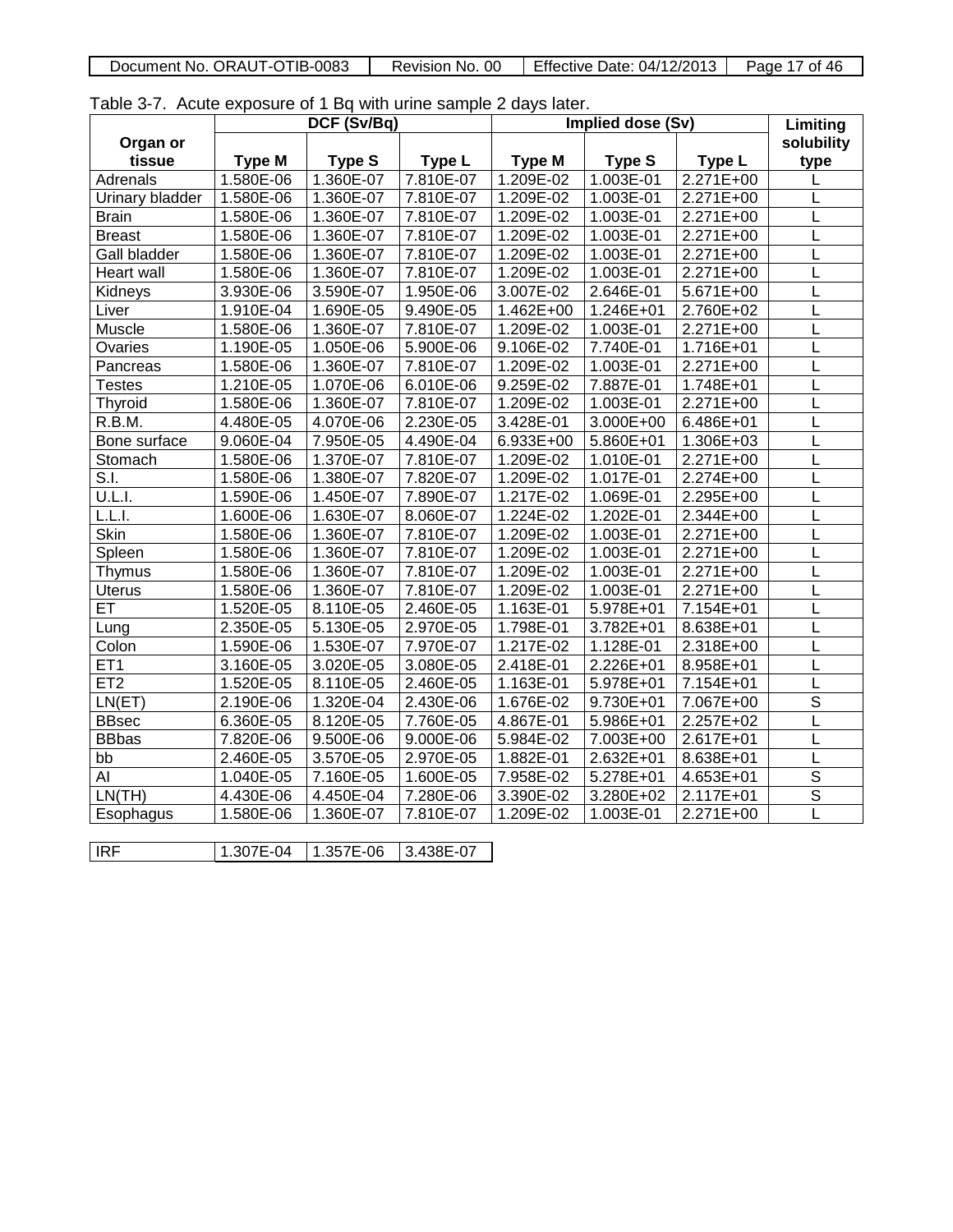| Document No. ORAUT-OTIB-0083 | Revision No. 00 | Effective Date: 04/12/2013 | Page<br>-46<br>οt |
|------------------------------|-----------------|----------------------------|-------------------|
|                              |                 |                            |                   |

Table 3-7. Acute exposure of 1 Bq with urine sample 2 days later.

|                     | DCF (Sv/Bq)   |               |           | Implied dose (Sv) |                   | Limiting      |                         |
|---------------------|---------------|---------------|-----------|-------------------|-------------------|---------------|-------------------------|
| Organ or            |               |               |           |                   |                   |               | solubility              |
| tissue              | <b>Type M</b> | <b>Type S</b> | Type L    | <b>Type M</b>     | Type <sub>S</sub> | Type L        | type                    |
| Adrenals            | 1.580E-06     | 1.360E-07     | 7.810E-07 | 1.209E-02         | 1.003E-01         | $2.271E+00$   |                         |
| Urinary bladder     | 1.580E-06     | 1.360E-07     | 7.810E-07 | 1.209E-02         | 1.003E-01         | 2.271E+00     | L                       |
| <b>Brain</b>        | 1.580E-06     | 1.360E-07     | 7.810E-07 | 1.209E-02         | 1.003E-01         | $2.271E+00$   | L                       |
| <b>Breast</b>       | 1.580E-06     | 1.360E-07     | 7.810E-07 | $1.209E-02$       | 1.003E-01         | $2.271E+00$   | L                       |
| <b>Gall bladder</b> | 1.580E-06     | 1.360E-07     | 7.810E-07 | 1.209E-02         | 1.003E-01         | 2.271E+00     |                         |
| <b>Heart wall</b>   | 1.580E-06     | 1.360E-07     | 7.810E-07 | 1.209E-02         | 1.003E-01         | 2.271E+00     | L                       |
| Kidneys             | 3.930E-06     | 3.590E-07     | 1.950E-06 | 3.007E-02         | 2.646E-01         | 5.671E+00     | L                       |
| Liver               | 1.910E-04     | 1.690E-05     | 9.490E-05 | $1.462E + 00$     | 1.246E+01         | 2.760E+02     | L                       |
| Muscle              | 1.580E-06     | 1.360E-07     | 7.810E-07 | 1.209E-02         | 1.003E-01         | 2.271E+00     | L                       |
| Ovaries             | 1.190E-05     | 1.050E-06     | 5.900E-06 | 9.106E-02         | 7.740E-01         | $1.716E + 01$ | L                       |
| Pancreas            | 1.580E-06     | 1.360E-07     | 7.810E-07 | $1.209E-02$       | 1.003E-01         | 2.271E+00     | L                       |
| <b>Testes</b>       | $1.210E-05$   | 1.070E-06     | 6.010E-06 | 9.259E-02         | 7.887E-01         | 1.748E+01     | L                       |
| Thyroid             | 1.580E-06     | 1.360E-07     | 7.810E-07 | 1.209E-02         | 1.003E-01         | 2.271E+00     | L                       |
| R.B.M.              | 4.480E-05     | 4.070E-06     | 2.230E-05 | 3.428E-01         | 3.000E+00         | 6.486E+01     | L                       |
| Bone surface        | 9.060E-04     | 7.950E-05     | 4.490E-04 | 6.933E+00         | 5.860E+01         | 1.306E+03     | L                       |
| Stomach             | 1.580E-06     | 1.370E-07     | 7.810E-07 | 1.209E-02         | 1.010E-01         | $2.271E+00$   | L                       |
| S.I.                | 1.580E-06     | 1.380E-07     | 7.820E-07 | 1.209E-02         | 1.017E-01         | $2.274E+00$   | L                       |
| <b>U.L.I.</b>       | 1.590E-06     | 1.450E-07     | 7.890E-07 | $1.217E-02$       | 1.069E-01         | 2.295E+00     | L                       |
| L.L.I.              | 1.600E-06     | 1.630E-07     | 8.060E-07 | 1.224E-02         | 1.202E-01         | 2.344E+00     | L                       |
| <b>Skin</b>         | 1.580E-06     | 1.360E-07     | 7.810E-07 | 1.209E-02         | 1.003E-01         | 2.271E+00     | L                       |
| Spleen              | 1.580E-06     | 1.360E-07     | 7.810E-07 | 1.209E-02         | 1.003E-01         | 2.271E+00     | L                       |
| Thymus              | 1.580E-06     | 1.360E-07     | 7.810E-07 | 1.209E-02         | 1.003E-01         | 2.271E+00     | L                       |
| <b>Uterus</b>       | 1.580E-06     | 1.360E-07     | 7.810E-07 | 1.209E-02         | 1.003E-01         | $2.271E+00$   | L                       |
| ET                  | 1.520E-05     | 8.110E-05     | 2.460E-05 | 1.163E-01         | 5.978E+01         | 7.154E+01     | L                       |
| Lung                | 2.350E-05     | 5.130E-05     | 2.970E-05 | 1.798E-01         | 3.782E+01         | 8.638E+01     | L                       |
| Colon               | 1.590E-06     | 1.530E-07     | 7.970E-07 | 1.217E-02         | 1.128E-01         | 2.318E+00     | L                       |
| ET <sub>1</sub>     | 3.160E-05     | 3.020E-05     | 3.080E-05 | 2.418E-01         | 2.226E+01         | 8.958E+01     | L                       |
| ET2                 | 1.520E-05     | 8.110E-05     | 2.460E-05 | 1.163E-01         | 5.978E+01         | 7.154E+01     | L                       |
| LN(ET)              | 2.190E-06     | 1.320E-04     | 2.430E-06 | 1.676E-02         | 9.730E+01         | 7.067E+00     | $\overline{s}$          |
| <b>BBsec</b>        | 6.360E-05     | 8.120E-05     | 7.760E-05 | 4.867E-01         | 5.986E+01         | $2.257E+02$   | L                       |
| <b>BBbas</b>        | 7.820E-06     | 9.500E-06     | 9.000E-06 | 5.984E-02         | 7.003E+00         | 2.617E+01     | L                       |
| bb                  | 2.460E-05     | 3.570E-05     | 2.970E-05 | 1.882E-01         | 2.632E+01         | 8.638E+01     | L                       |
| AI                  | 1.040E-05     | 7.160E-05     | 1.600E-05 | 7.958E-02         | 5.278E+01         | 4.653E+01     | $\overline{s}$          |
| LN(TH)              | 4.430E-06     | 4.450E-04     | 7.280E-06 | 3.390E-02         | 3.280E+02         | 2.117E+01     | $\overline{\mathsf{s}}$ |
| Esophagus           | 1.580E-06     | 1.360E-07     | 7.810E-07 | 1.209E-02         | 1.003E-01         | 2.271E+00     | Ē                       |
|                     |               |               |           |                   |                   |               |                         |
| IRF                 | 1.307E-04     | 1.357E-06     | 3.438E-07 |                   |                   |               |                         |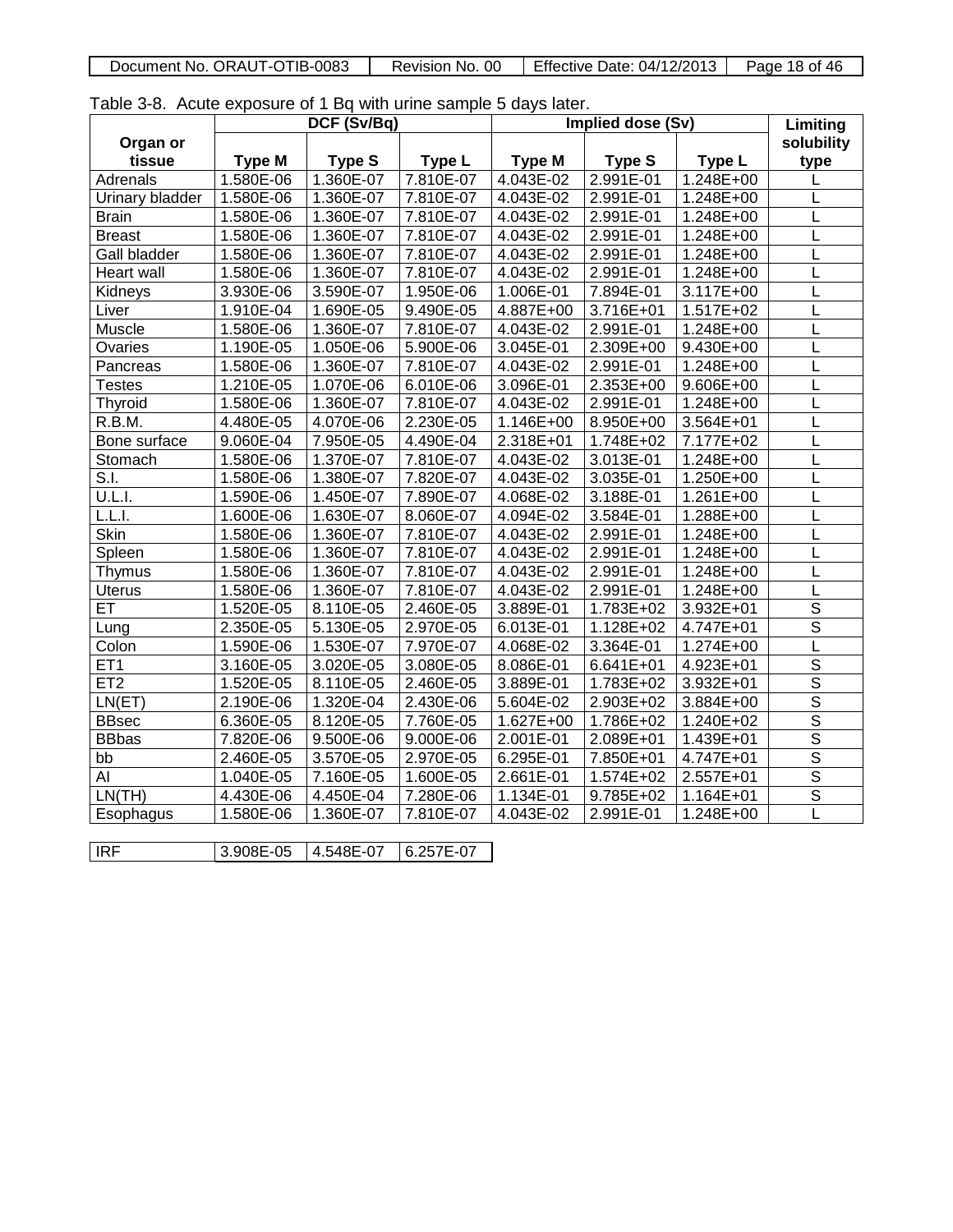| ORAUT-OTIB-0083<br>Document No. C | -00<br>Revision<br>No. | Effective<br>: 04/12/2013<br>Date: | Page<br>46<br>18 of |
|-----------------------------------|------------------------|------------------------------------|---------------------|
|                                   |                        |                                    |                     |

Table 3-8. Acute exposure of 1 Bq with urine sample 5 days later.

|                        | DCF (Sv/Bq)   |               |             | <b>Implied dose (Sv)</b> |               |               | Limiting                |
|------------------------|---------------|---------------|-------------|--------------------------|---------------|---------------|-------------------------|
| Organ or               |               |               |             |                          |               |               | solubility              |
| tissue                 | <b>Type M</b> | <b>Type S</b> | Type L      | <b>Type M</b>            | <b>Type S</b> | Type L        | type                    |
| Adrenals               | 1.580E-06     | 1.360E-07     | 7.810E-07   | 4.043E-02                | 2.991E-01     | 1.248E+00     |                         |
| <b>Urinary bladder</b> | 1.580E-06     | 1.360E-07     | 7.810E-07   | 4.043E-02                | 2.991E-01     | $1.248E + 00$ | L                       |
| <b>Brain</b>           | 1.580E-06     | 1.360E-07     | 7.810E-07   | $4.043E-02$              | 2.991E-01     | 1.248E+00     | L                       |
| <b>Breast</b>          | 1.580E-06     | 1.360E-07     | 7.810E-07   | 4.043E-02                | 2.991E-01     | 1.248E+00     | L                       |
| Gall bladder           | 1.580E-06     | 1.360E-07     | 7.810E-07   | 4.043E-02                | 2.991E-01     | 1.248E+00     | L                       |
| <b>Heart wall</b>      | 1.580E-06     | 1.360E-07     | 7.810E-07   | 4.043E-02                | 2.991E-01     | 1.248E+00     |                         |
| Kidneys                | 3.930E-06     | 3.590E-07     | 1.950E-06   | 1.006E-01                | 7.894E-01     | 3.117E+00     | L                       |
| Liver                  | 1.910E-04     | 1.690E-05     | 9.490E-05   | $4.887E + 00$            | 3.716E+01     | 1.517E+02     | L                       |
| Muscle                 | 1.580E-06     | 1.360E-07     | 7.810E-07   | 4.043E-02                | 2.991E-01     | $1.248E + 00$ | L                       |
| Ovaries                | 1.190E-05     | 1.050E-06     | 5.900E-06   | 3.045E-01                | $2.309E + 00$ | 9.430E+00     | L                       |
| Pancreas               | 1.580E-06     | 1.360E-07     | 7.810E-07   | 4.043E-02                | 2.991E-01     | 1.248E+00     | L                       |
| <b>Testes</b>          | 1.210E-05     | 1.070E-06     | $6.010E-06$ | 3.096E-01                | 2.353E+00     | 9.606E+00     | L                       |
| <b>Thyroid</b>         | 1.580E-06     | 1.360E-07     | 7.810E-07   | 4.043E-02                | 2.991E-01     | 1.248E+00     |                         |
| R.B.M.                 | 4.480E-05     | 4.070E-06     | 2.230E-05   | $1.146E + 00$            | 8.950E+00     | 3.564E+01     | L                       |
| Bone surface           | 9.060E-04     | 7.950E-05     | 4.490E-04   | 2.318E+01                | 1.748E+02     | 7.177E+02     | L                       |
| Stomach                | 1.580E-06     | 1.370E-07     | 7.810E-07   | 4.043E-02                | 3.013E-01     | 1.248E+00     | L                       |
| S.I.                   | 1.580E-06     | 1.380E-07     | 7.820E-07   | 4.043E-02                | 3.035E-01     | 1.250E+00     | L                       |
| <u>U.L.I.</u>          | 1.590E-06     | 1.450E-07     | 7.890E-07   | 4.068E-02                | 3.188E-01     | 1.261E+00     | L                       |
| L.L.I.                 | 1.600E-06     | 1.630E-07     | 8.060E-07   | 4.094E-02                | 3.584E-01     | 1.288E+00     | L                       |
| <b>Skin</b>            | 1.580E-06     | 1.360E-07     | 7.810E-07   | 4.043E-02                | 2.991E-01     | 1.248E+00     |                         |
| Spleen                 | 1.580E-06     | 1.360E-07     | 7.810E-07   | 4.043E-02                | 2.991E-01     | 1.248E+00     | L                       |
| Thymus                 | 1.580E-06     | 1.360E-07     | 7.810E-07   | 4.043E-02                | 2.991E-01     | 1.248E+00     | L                       |
| <b>Uterus</b>          | 1.580E-06     | 1.360E-07     | 7.810E-07   | 4.043E-02                | 2.991E-01     | $1.248E + 00$ | L                       |
| ET                     | 1.520E-05     | 8.110E-05     | 2.460E-05   | 3.889E-01                | 1.783E+02     | $3.932E + 01$ | $\overline{\mathsf{s}}$ |
| Lung                   | 2.350E-05     | 5.130E-05     | 2.970E-05   | 6.013E-01                | 1.128E+02     | $4.747E + 01$ | $\overline{s}$          |
| Colon                  | 1.590E-06     | 1.530E-07     | 7.970E-07   | 4.068E-02                | 3.364E-01     | 1.274E+00     | L                       |
| ET <sub>1</sub>        | 3.160E-05     | 3.020E-05     | 3.080E-05   | 8.086E-01                | $6.641E + 01$ | 4.923E+01     | $\overline{\mathsf{s}}$ |
| ET <sub>2</sub>        | 1.520E-05     | 8.110E-05     | 2.460E-05   | 3.889E-01                | 1.783E+02     | 3.932E+01     | $\overline{\mathsf{s}}$ |
| LN(ET)                 | 2.190E-06     | 1.320E-04     | 2.430E-06   | 5.604E-02                | 2.903E+02     | 3.884E+00     | $\overline{\mathsf{s}}$ |
| <b>BBsec</b>           | 6.360E-05     | 8.120E-05     | 7.760E-05   | 1.627E+00                | 1.786E+02     | $1.240E+02$   | $\overline{\mathsf{s}}$ |
| <b>BBbas</b>           | 7.820E-06     | 9.500E-06     | 9.000E-06   | $2.001E-01$              | 2.089E+01     | 1.439E+01     | $\overline{\mathsf{s}}$ |
| bb                     | 2.460E-05     | 3.570E-05     | 2.970E-05   | 6.295E-01                | 7.850E+01     | 4.747E+01     | $\overline{\mathsf{s}}$ |
| AI                     | 1.040E-05     | 7.160E-05     | 1.600E-05   | 2.661E-01                | 1.574E+02     | 2.557E+01     | $\overline{\mathsf{s}}$ |
| LN(TH)                 | 4.430E-06     | 4.450E-04     | 7.280E-06   | 1.134E-01                | 9.785E+02     | 1.164E+01     | $\overline{\mathsf{s}}$ |
| Esophagus              | 1.580E-06     | 1.360E-07     | 7.810E-07   | 4.043E-02                | 2.991E-01     | 1.248E+00     | $\overline{\mathsf{L}}$ |
|                        |               |               |             |                          |               |               |                         |
| IRF                    | 3.908E-05     | 4.548E-07     | 6.257E-07   |                          |               |               |                         |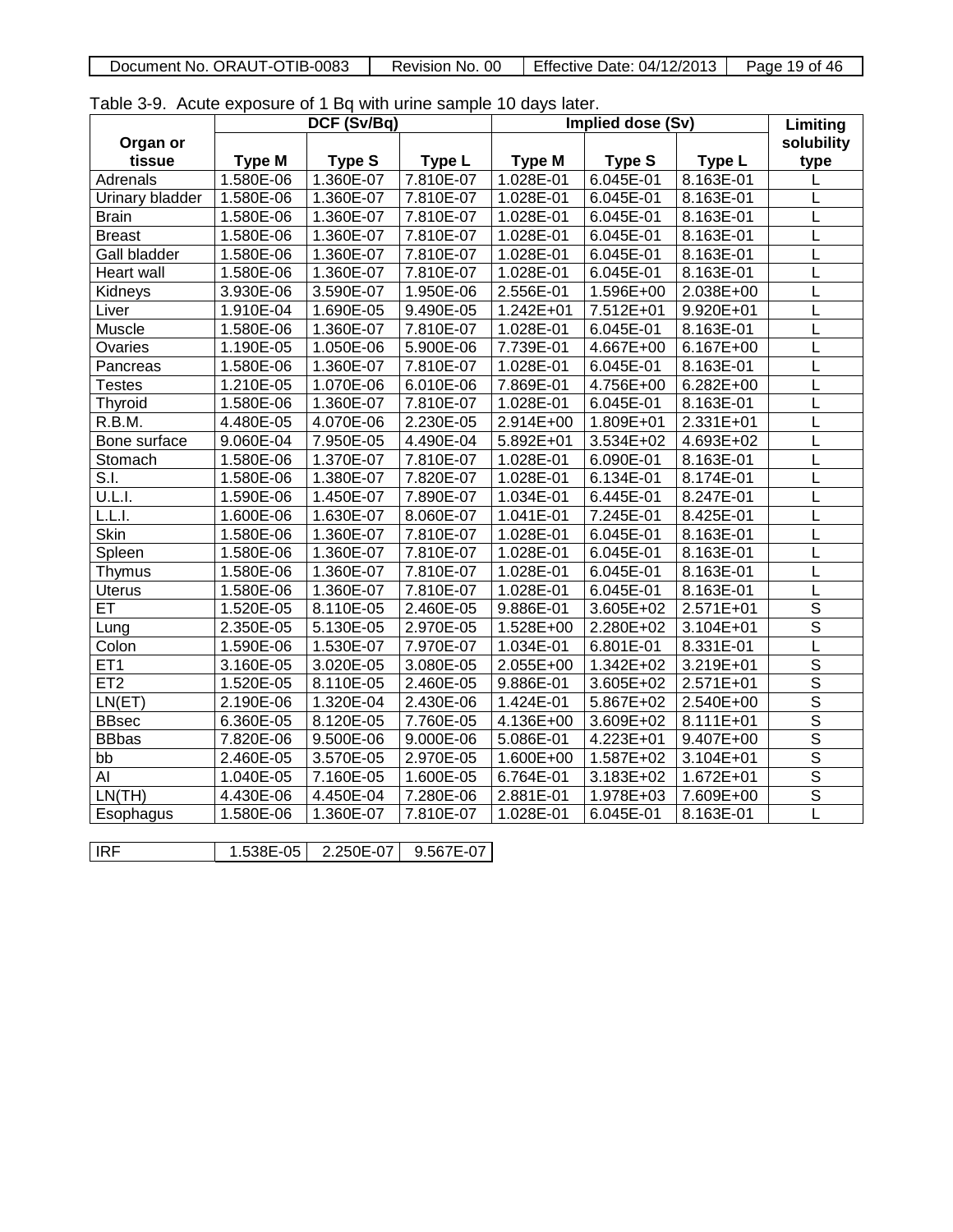| Document No. ORAUT-OTIB-0083 | Revision No. 00 | Effective Date: 04/12/2013 | Page 19 of 46 |
|------------------------------|-----------------|----------------------------|---------------|
|                              |                 |                            |               |

Table 3-9. Acute exposure of 1 Bq with urine sample 10 days later.

|                 | DCF (Sv/Bq)   |               |           | Implied dose (Sv) |               |               | Limiting                |
|-----------------|---------------|---------------|-----------|-------------------|---------------|---------------|-------------------------|
| Organ or        |               |               |           |                   |               |               | solubility              |
| tissue          | <b>Type M</b> | <b>Type S</b> | Type L    | <b>Type M</b>     | <b>Type S</b> | Type L        | type                    |
| Adrenals        | 1.580E-06     | 1.360E-07     | 7.810E-07 | 1.028E-01         | 6.045E-01     | 8.163E-01     | L                       |
| Urinary bladder | 1.580E-06     | 1.360E-07     | 7.810E-07 | 1.028E-01         | 6.045E-01     | 8.163E-01     |                         |
| <b>Brain</b>    | 1.580E-06     | 1.360E-07     | 7.810E-07 | $1.028E-01$       | 6.045E-01     | 8.163E-01     | L                       |
| <b>Breast</b>   | 1.580E-06     | 1.360E-07     | 7.810E-07 | $1.028E-01$       | 6.045E-01     | 8.163E-01     | L                       |
| Gall bladder    | 1.580E-06     | 1.360E-07     | 7.810E-07 | 1.028E-01         | 6.045E-01     | 8.163E-01     | L                       |
| Heart wall      | 1.580E-06     | 1.360E-07     | 7.810E-07 | 1.028E-01         | 6.045E-01     | 8.163E-01     | L                       |
| Kidneys         | 3.930E-06     | 3.590E-07     | 1.950E-06 | 2.556E-01         | 1.596E+00     | 2.038E+00     | L                       |
| Liver           | 1.910E-04     | 1.690E-05     | 9.490E-05 | $1.242E + 01$     | 7.512E+01     | 9.920E+01     | L                       |
| Muscle          | 1.580E-06     | 1.360E-07     | 7.810E-07 | 1.028E-01         | 6.045E-01     | 8.163E-01     | L                       |
| Ovaries         | 1.190E-05     | 1.050E-06     | 5.900E-06 | 7.739E-01         | 4.667E+00     | 6.167E+00     | L                       |
| Pancreas        | 1.580E-06     | 1.360E-07     | 7.810E-07 | 1.028E-01         | $6.045E-01$   | $8.163E-01$   | L                       |
| <b>Testes</b>   | 1.210E-05     | 1.070E-06     | 6.010E-06 | 7.869E-01         | 4.756E+00     | 6.282E+00     | L                       |
| Thyroid         | 1.580E-06     | 1.360E-07     | 7.810E-07 | 1.028E-01         | 6.045E-01     | 8.163E-01     | L                       |
| R.B.M.          | 4.480E-05     | 4.070E-06     | 2.230E-05 | 2.914E+00         | 1.809E+01     | 2.331E+01     | L                       |
| Bone surface    | 9.060E-04     | 7.950E-05     | 4.490E-04 | 5.892E+01         | 3.534E+02     | $4.693E + 02$ | L                       |
| Stomach         | 1.580E-06     | 1.370E-07     | 7.810E-07 | 1.028E-01         | 6.090E-01     | 8.163E-01     | L                       |
| S.I.            | 1.580E-06     | 1.380E-07     | 7.820E-07 | 1.028E-01         | 6.134E-01     | 8.174E-01     | L                       |
| U.L.I.          | 1.590E-06     | 1.450E-07     | 7.890E-07 | 1.034E-01         | 6.445E-01     | 8.247E-01     | L                       |
| L.L.I.          | 1.600E-06     | 1.630E-07     | 8.060E-07 | 1.041E-01         | 7.245E-01     | 8.425E-01     | L                       |
| Skin            | 1.580E-06     | 1.360E-07     | 7.810E-07 | 1.028E-01         | 6.045E-01     | 8.163E-01     | L                       |
| Spleen          | 1.580E-06     | 1.360E-07     | 7.810E-07 | 1.028E-01         | 6.045E-01     | 8.163E-01     | L                       |
| Thymus          | 1.580E-06     | 1.360E-07     | 7.810E-07 | 1.028E-01         | 6.045E-01     | 8.163E-01     | L                       |
| <b>Uterus</b>   | 1.580E-06     | 1.360E-07     | 7.810E-07 | 1.028E-01         | 6.045E-01     | 8.163E-01     | L                       |
| $\overline{ET}$ | 1.520E-05     | 8.110E-05     | 2.460E-05 | 9.886E-01         | 3.605E+02     | 2.571E+01     | $\overline{\mathsf{s}}$ |
| Lung            | 2.350E-05     | 5.130E-05     | 2.970E-05 | 1.528E+00         | 2.280E+02     | 3.104E+01     | $\overline{s}$          |
| Colon           | 1.590E-06     | 1.530E-07     | 7.970E-07 | 1.034E-01         | 6.801E-01     | 8.331E-01     | L                       |
| ET <sub>1</sub> | 3.160E-05     | 3.020E-05     | 3.080E-05 | 2.055E+00         | 1.342E+02     | 3.219E+01     | $\overline{\mathsf{s}}$ |
| ET <sub>2</sub> | 1.520E-05     | 8.110E-05     | 2.460E-05 | 9.886E-01         | 3.605E+02     | 2.571E+01     | $\overline{s}$          |
| LN(ET)          | 2.190E-06     | 1.320E-04     | 2.430E-06 | 1.424E-01         | 5.867E+02     | 2.540E+00     | $\overline{\mathsf{s}}$ |
| <b>BBsec</b>    | 6.360E-05     | 8.120E-05     | 7.760E-05 | $4.136E + 00$     | 3.609E+02     | 8.111E+01     | $\overline{\mathsf{s}}$ |
| <b>BBbas</b>    | 7.820E-06     | 9.500E-06     | 9.000E-06 | 5.086E-01         | $4.223E + 01$ | 9.407E+00     | $\overline{\mathsf{s}}$ |
| bb              | 2.460E-05     | 3.570E-05     | 2.970E-05 | $1.600E + 00$     | 1.587E+02     | $3.104E + 01$ | $\overline{\mathsf{s}}$ |
| Al              | 1.040E-05     | 7.160E-05     | 1.600E-05 | 6.764E-01         | 3.183E+02     | 1.672E+01     | $\overline{\mathsf{s}}$ |
| LN(TH)          | 4.430E-06     | 4.450E-04     | 7.280E-06 | 2.881E-01         | 1.978E+03     | 7.609E+00     | $\overline{\mathsf{s}}$ |
| Esophagus       | 1.580E-06     | 1.360E-07     | 7.810E-07 | 1.028E-01         | 6.045E-01     | 8.163E-01     | Ē                       |
|                 |               |               |           |                   |               |               |                         |
| IRF             | 1.538E-05     | 2.250E-07     | 9.567E-07 |                   |               |               |                         |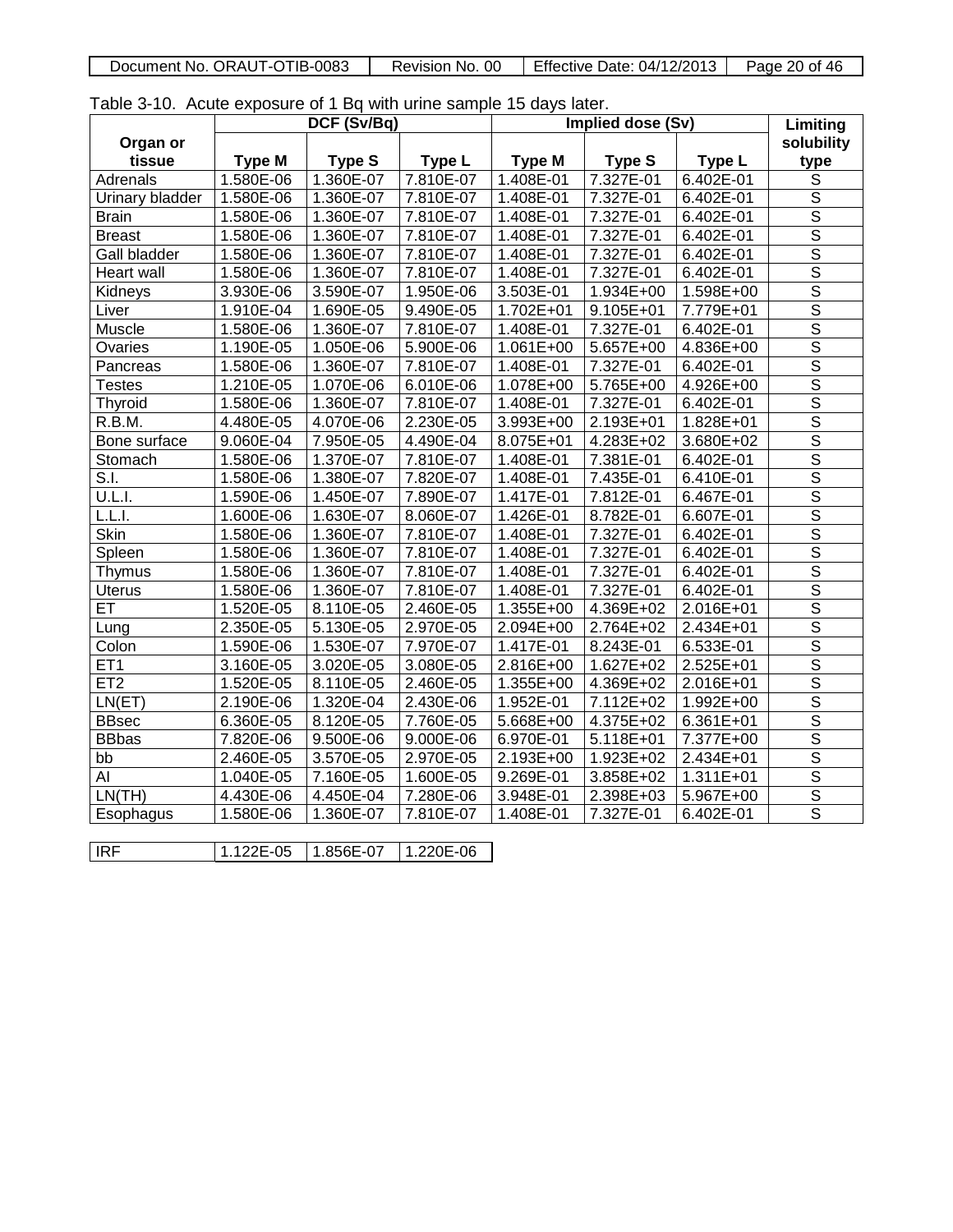| OTIB-0083<br>-ORAUT-C<br>Document No. | 00<br>No.<br>Revision | Effective<br>04/12/2013<br>Date: . | Page<br>46<br>20.<br>Οt |
|---------------------------------------|-----------------------|------------------------------------|-------------------------|
|                                       |                       |                                    |                         |

Table 3-10. Acute exposure of 1 Bq with urine sample 15 days later.

|                     |               | DCF (Sv/Bq)   |           |               | Implied dose (Sv) |               | Limiting                |
|---------------------|---------------|---------------|-----------|---------------|-------------------|---------------|-------------------------|
| Organ or            |               |               |           |               |                   |               | solubility              |
| tissue              | <b>Type M</b> | <b>Type S</b> | Type L    | <b>Type M</b> | <b>Type S</b>     | Type L        | type                    |
| Adrenals            | 1.580E-06     | 1.360E-07     | 7.810E-07 | 1.408E-01     | 7.327E-01         | 6.402E-01     | $\overline{s}$          |
| Urinary bladder     | 1.580E-06     | 1.360E-07     | 7.810E-07 | 1.408E-01     | 7.327E-01         | 6.402E-01     | $\overline{\mathsf{s}}$ |
| <b>Brain</b>        | 1.580E-06     | 1.360E-07     | 7.810E-07 | 1.408E-01     | 7.327E-01         | 6.402E-01     | $\overline{\mathsf{s}}$ |
| <b>Breast</b>       | 1.580E-06     | 1.360E-07     | 7.810E-07 | 1.408E-01     | 7.327E-01         | 6.402E-01     | $\overline{\mathsf{s}}$ |
| <b>Gall bladder</b> | 1.580E-06     | 1.360E-07     | 7.810E-07 | 1.408E-01     | 7.327E-01         | 6.402E-01     | $\overline{\mathsf{s}}$ |
| <b>Heart wall</b>   | 1.580E-06     | 1.360E-07     | 7.810E-07 | 1.408E-01     | 7.327E-01         | 6.402E-01     | $\overline{\mathsf{s}}$ |
| Kidneys             | 3.930E-06     | 3.590E-07     | 1.950E-06 | 3.503E-01     | 1.934E+00         | $1.598E+00$   | $\overline{s}$          |
| Liver               | 1.910E-04     | 1.690E-05     | 9.490E-05 | 1.702E+01     | 9.105E+01         | 7.779E+01     | $\overline{\mathsf{s}}$ |
| Muscle              | 1.580E-06     | 1.360E-07     | 7.810E-07 | 1.408E-01     | 7.327E-01         | 6.402E-01     | $\overline{\mathsf{s}}$ |
| Ovaries             | 1.190E-05     | 1.050E-06     | 5.900E-06 | 1.061E+00     | 5.657E+00         | 4.836E+00     | $\overline{\mathsf{s}}$ |
| Pancreas            | 1.580E-06     | 1.360E-07     | 7.810E-07 | 1.408E-01     | 7.327E-01         | 6.402E-01     | $\overline{\mathsf{s}}$ |
| <b>Testes</b>       | 1.210E-05     | 1.070E-06     | 6.010E-06 | 1.078E+00     | 5.765E+00         | 4.926E+00     | $\overline{\mathsf{s}}$ |
| <b>Thyroid</b>      | 1.580E-06     | 1.360E-07     | 7.810E-07 | 1.408E-01     | 7.327E-01         | 6.402E-01     | $\overline{\mathsf{s}}$ |
| R.B.M.              | 4.480E-05     | 4.070E-06     | 2.230E-05 | 3.993E+00     | 2.193E+01         | 1.828E+01     | $\overline{\mathsf{s}}$ |
| Bone surface        | 9.060E-04     | 7.950E-05     | 4.490E-04 | 8.075E+01     | 4.283E+02         | 3.680E+02     | $\overline{\mathsf{s}}$ |
| Stomach             | 1.580E-06     | 1.370E-07     | 7.810E-07 | 1.408E-01     | 7.381E-01         | 6.402E-01     | $\overline{\mathsf{s}}$ |
| S.I.                | 1.580E-06     | 1.380E-07     | 7.820E-07 | 1.408E-01     | 7.435E-01         | 6.410E-01     | $\overline{\mathsf{s}}$ |
| U.L.I.              | 1.590E-06     | 1.450E-07     | 7.890E-07 | 1.417E-01     | 7.812E-01         | 6.467E-01     | $\overline{\mathsf{s}}$ |
| L.L.I.              | 1.600E-06     | 1.630E-07     | 8.060E-07 | 1.426E-01     | 8.782E-01         | 6.607E-01     | $\overline{\mathsf{s}}$ |
| <b>Skin</b>         | 1.580E-06     | 1.360E-07     | 7.810E-07 | 1.408E-01     | 7.327E-01         | 6.402E-01     | $\overline{\mathsf{s}}$ |
| Spleen              | 1.580E-06     | 1.360E-07     | 7.810E-07 | 1.408E-01     | 7.327E-01         | 6.402E-01     | $\overline{s}$          |
| Thymus              | 1.580E-06     | 1.360E-07     | 7.810E-07 | 1.408E-01     | 7.327E-01         | 6.402E-01     | $\overline{\mathsf{s}}$ |
| <b>Uterus</b>       | 1.580E-06     | 1.360E-07     | 7.810E-07 | 1.408E-01     | 7.327E-01         | 6.402E-01     | $\overline{\mathsf{s}}$ |
| ET                  | 1.520E-05     | 8.110E-05     | 2.460E-05 | 1.355E+00     | 4.369E+02         | 2.016E+01     | $\overline{\mathsf{s}}$ |
| Lung                | 2.350E-05     | 5.130E-05     | 2.970E-05 | $2.094E+00$   | 2.764E+02         | $2.434E + 01$ | $\overline{\mathsf{s}}$ |
| Colon               | 1.590E-06     | 1.530E-07     | 7.970E-07 | $1.417E-01$   | 8.243E-01         | 6.533E-01     | $\overline{\mathsf{s}}$ |
| ET <sub>1</sub>     | 3.160E-05     | 3.020E-05     | 3.080E-05 | 2.816E+00     | 1.627E+02         | 2.525E+01     | $\overline{\mathsf{s}}$ |
| ET <sub>2</sub>     | 1.520E-05     | 8.110E-05     | 2.460E-05 | 1.355E+00     | 4.369E+02         | 2.016E+01     | $\overline{\mathsf{s}}$ |
| LN(ET)              | 2.190E-06     | 1.320E-04     | 2.430E-06 | 1.952E-01     | 7.112E+02         | 1.992E+00     | $\overline{\mathsf{s}}$ |
| <b>BBsec</b>        | 6.360E-05     | 8.120E-05     | 7.760E-05 | 5.668E+00     | 4.375E+02         | $6.361E + 01$ | $\overline{\mathsf{s}}$ |
| <b>BBbas</b>        | 7.820E-06     | 9.500E-06     | 9.000E-06 | 6.970E-01     | 5.118E+01         | 7.377E+00     | $\overline{\mathsf{s}}$ |
| bb                  | 2.460E-05     | 3.570E-05     | 2.970E-05 | $2.193E + 00$ | 1.923E+02         | 2.434E+01     | $\overline{\mathsf{s}}$ |
| AI                  | 1.040E-05     | 7.160E-05     | 1.600E-05 | 9.269E-01     | 3.858E+02         | 1.311E+01     | $\overline{\mathsf{s}}$ |
| LN(TH)              | 4.430E-06     | 4.450E-04     | 7.280E-06 | 3.948E-01     | 2.398E+03         | 5.967E+00     | $\overline{\mathsf{s}}$ |
| Esophagus           | 1.580E-06     | 1.360E-07     | 7.810E-07 | 1.408E-01     | 7.327E-01         | 6.402E-01     | $\overline{\mathsf{s}}$ |
|                     |               |               |           |               |                   |               |                         |
| IRF                 | 1.122E-05     | 1.856E-07     | 1.220E-06 |               |                   |               |                         |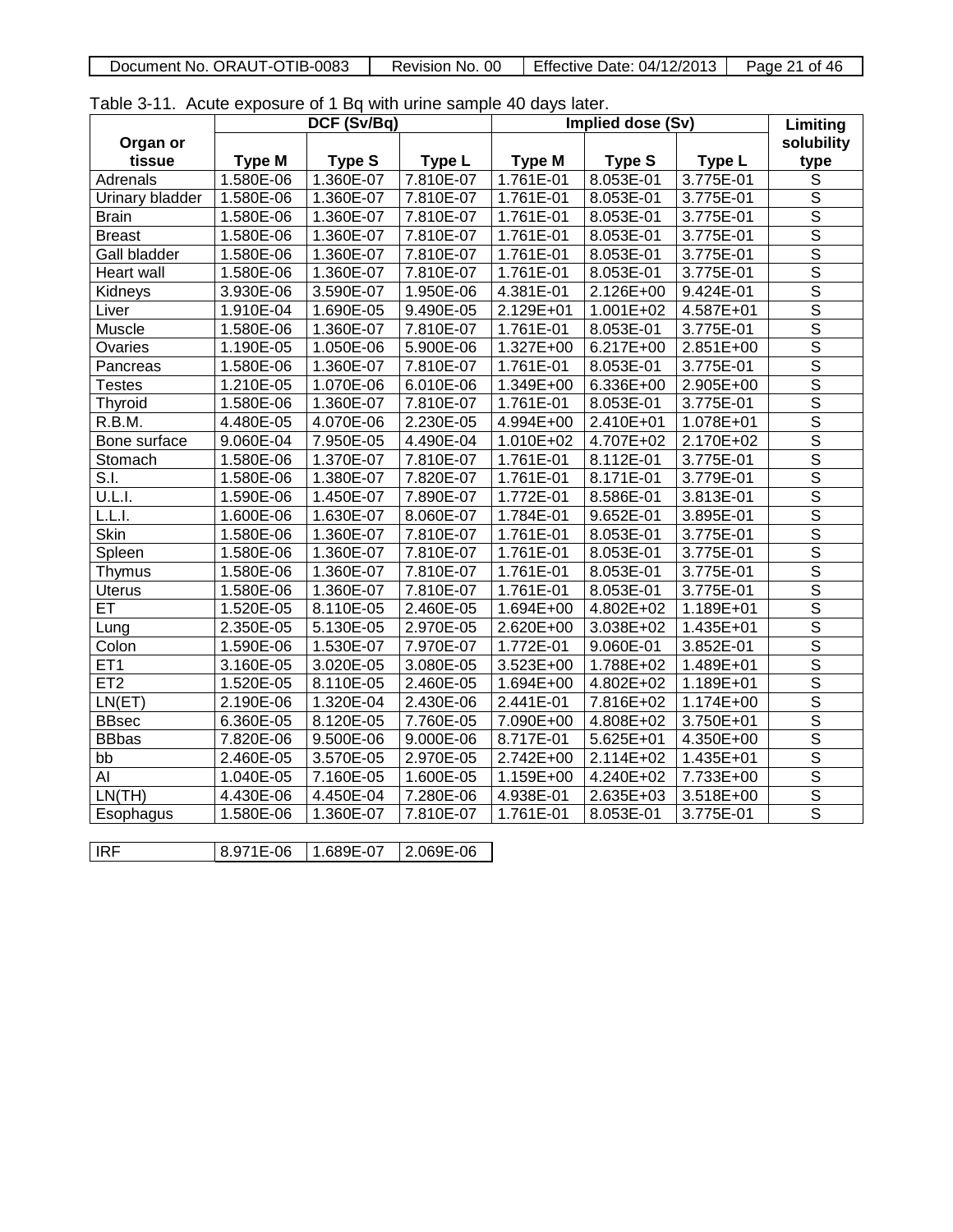| TIB-0083<br>ORAUT-C<br>Document No. | 00<br>Revision<br>No. | Effective<br>04/12/2013<br>Date: | Page<br>nt. |
|-------------------------------------|-----------------------|----------------------------------|-------------|
|                                     |                       |                                  |             |

Table 3-11. Acute exposure of 1 Bq with urine sample 40 days later.

|                     |               | DCF (Sv/Bq)   |               |               | Implied dose (Sv) |               | Limiting                |
|---------------------|---------------|---------------|---------------|---------------|-------------------|---------------|-------------------------|
| Organ or            |               |               |               |               |                   |               | solubility              |
| tissue              | <b>Type M</b> | <b>Type S</b> | Type L        | <b>Type M</b> | <b>Type S</b>     | Type L        | type                    |
| Adrenals            | 1.580E-06     | 1.360E-07     | 7.810E-07     | 1.761E-01     | 8.053E-01         | 3.775E-01     | $\overline{s}$          |
| Urinary bladder     | 1.580E-06     | 1.360E-07     | 7.810E-07     | 1.761E-01     | 8.053E-01         | 3.775E-01     | $\overline{\mathsf{s}}$ |
| <b>Brain</b>        | 1.580E-06     | 1.360E-07     | 7.810E-07     | 1.761E-01     | 8.053E-01         | 3.775E-01     | $\overline{\mathsf{s}}$ |
| <b>Breast</b>       | 1.580E-06     | 1.360E-07     | 7.810E-07     | 1.761E-01     | 8.053E-01         | 3.775E-01     | $\overline{\mathsf{s}}$ |
| <b>Gall bladder</b> | 1.580E-06     | 1.360E-07     | 7.810E-07     | 1.761E-01     | 8.053E-01         | 3.775E-01     | $\overline{\mathsf{s}}$ |
| <b>Heart wall</b>   | 1.580E-06     | 1.360E-07     | 7.810E-07     | 1.761E-01     | 8.053E-01         | 3.775E-01     | $\overline{\mathsf{s}}$ |
| Kidneys             | 3.930E-06     | 3.590E-07     | 1.950E-06     | 4.381E-01     | 2.126E+00         | 9.424E-01     | $\overline{s}$          |
| Liver               | 1.910E-04     | 1.690E-05     | 9.490E-05     | 2.129E+01     | 1.001E+02         | 4.587E+01     | $\overline{\mathsf{s}}$ |
| Muscle              | 1.580E-06     | 1.360E-07     | 7.810E-07     | 1.761E-01     | 8.053E-01         | 3.775E-01     | $\overline{\mathsf{s}}$ |
| Ovaries             | 1.190E-05     | 1.050E-06     | 5.900E-06     | 1.327E+00     | 6.217E+00         | 2.851E+00     | $\overline{\mathsf{s}}$ |
| Pancreas            | 1.580E-06     | 1.360E-07     | 7.810E-07     | 1.761E-01     | 8.053E-01         | 3.775E-01     | $\overline{\mathsf{s}}$ |
| <b>Testes</b>       | 1.210E-05     | 1.070E-06     | 6.010E-06     | 1.349E+00     | 6.336E+00         | 2.905E+00     | $\overline{\mathsf{s}}$ |
| <b>Thyroid</b>      | 1.580E-06     | 1.360E-07     | 7.810E-07     | 1.761E-01     | 8.053E-01         | 3.775E-01     | $\overline{\mathsf{s}}$ |
| R.B.M.              | 4.480E-05     | 4.070E-06     | 2.230E-05     | 4.994E+00     | 2.410E+01         | 1.078E+01     | $\overline{\mathsf{s}}$ |
| Bone surface        | 9.060E-04     | 7.950E-05     | 4.490E-04     | 1.010E+02     | 4.707E+02         | 2.170E+02     | $\overline{\mathsf{s}}$ |
| Stomach             | 1.580E-06     | 1.370E-07     | 7.810E-07     | 1.761E-01     | 8.112E-01         | 3.775E-01     | $\overline{\mathsf{s}}$ |
| S.I.                | 1.580E-06     | 1.380E-07     | 7.820E-07     | 1.761E-01     | 8.171E-01         | 3.779E-01     | $\overline{\mathsf{s}}$ |
| U.L.I.              | 1.590E-06     | 1.450E-07     | 7.890E-07     | $1.772E-01$   | 8.586E-01         | 3.813E-01     | $\overline{\mathsf{s}}$ |
| L.L.I.              | 1.600E-06     | 1.630E-07     | 8.060E-07     | 1.784E-01     | 9.652E-01         | 3.895E-01     | $\overline{\mathsf{s}}$ |
| <b>Skin</b>         | 1.580E-06     | 1.360E-07     | 7.810E-07     | 1.761E-01     | 8.053E-01         | 3.775E-01     | $\overline{\mathsf{s}}$ |
| Spleen              | 1.580E-06     | 1.360E-07     | 7.810E-07     | 1.761E-01     | 8.053E-01         | 3.775E-01     | $\overline{s}$          |
| Thymus              | 1.580E-06     | 1.360E-07     | 7.810E-07     | 1.761E-01     | 8.053E-01         | 3.775E-01     | $\overline{\mathsf{s}}$ |
| <b>Uterus</b>       | 1.580E-06     | 1.360E-07     | 7.810E-07     | 1.761E-01     | 8.053E-01         | 3.775E-01     | $\overline{\mathsf{s}}$ |
| ET                  | 1.520E-05     | 8.110E-05     | 2.460E-05     | 1.694E+00     | 4.802E+02         | 1.189E+01     | $\overline{\mathsf{s}}$ |
| Lung                | 2.350E-05     | 5.130E-05     | 2.970E-05     | $2.620E + 00$ | 3.038E+02         | 1.435E+01     | $\overline{\mathsf{s}}$ |
| Colon               | 1.590E-06     | 1.530E-07     | 7.970E-07     | 1.772E-01     | 9.060E-01         | 3.852E-01     | $\overline{\mathsf{s}}$ |
| ET <sub>1</sub>     | 3.160E-05     | 3.020E-05     | 3.080E-05     | 3.523E+00     | 1.788E+02         | 1.489E+01     | $\overline{\mathsf{s}}$ |
| ET <sub>2</sub>     | 1.520E-05     | 8.110E-05     | 2.460E-05     | 1.694E+00     | 4.802E+02         | 1.189E+01     | $\overline{\mathsf{s}}$ |
| LN(ET)              | 2.190E-06     | 1.320E-04     | 2.430E-06     | 2.441E-01     | 7.816E+02         | 1.174E+00     | $\overline{\mathsf{s}}$ |
| <b>BBsec</b>        | 6.360E-05     | 8.120E-05     | 7.760E-05     | 7.090E+00     | 4.808E+02         | 3.750E+01     | $\overline{\mathsf{s}}$ |
| <b>BBbas</b>        | 7.820E-06     | 9.500E-06     | $9.000E - 06$ | 8.717E-01     | 5.625E+01         | 4.350E+00     | $\overline{\mathsf{s}}$ |
| bb                  | 2.460E-05     | 3.570E-05     | 2.970E-05     | 2.742E+00     | 2.114E+02         | $1.435E + 01$ | $\overline{\mathsf{s}}$ |
| AI                  | 1.040E-05     | 7.160E-05     | 1.600E-05     | 1.159E+00     | 4.240E+02         | 7.733E+00     | $\overline{\mathsf{s}}$ |
| LN(TH)              | 4.430E-06     | 4.450E-04     | 7.280E-06     | 4.938E-01     | 2.635E+03         | 3.518E+00     | $\overline{\mathsf{s}}$ |
| Esophagus           | 1.580E-06     | 1.360E-07     | 7.810E-07     | 1.761E-01     | 8.053E-01         | 3.775E-01     | $\overline{\mathsf{s}}$ |
|                     |               |               |               |               |                   |               |                         |
| IRF                 | 8.971E-06     | 1.689E-07     | 2.069E-06     |               |                   |               |                         |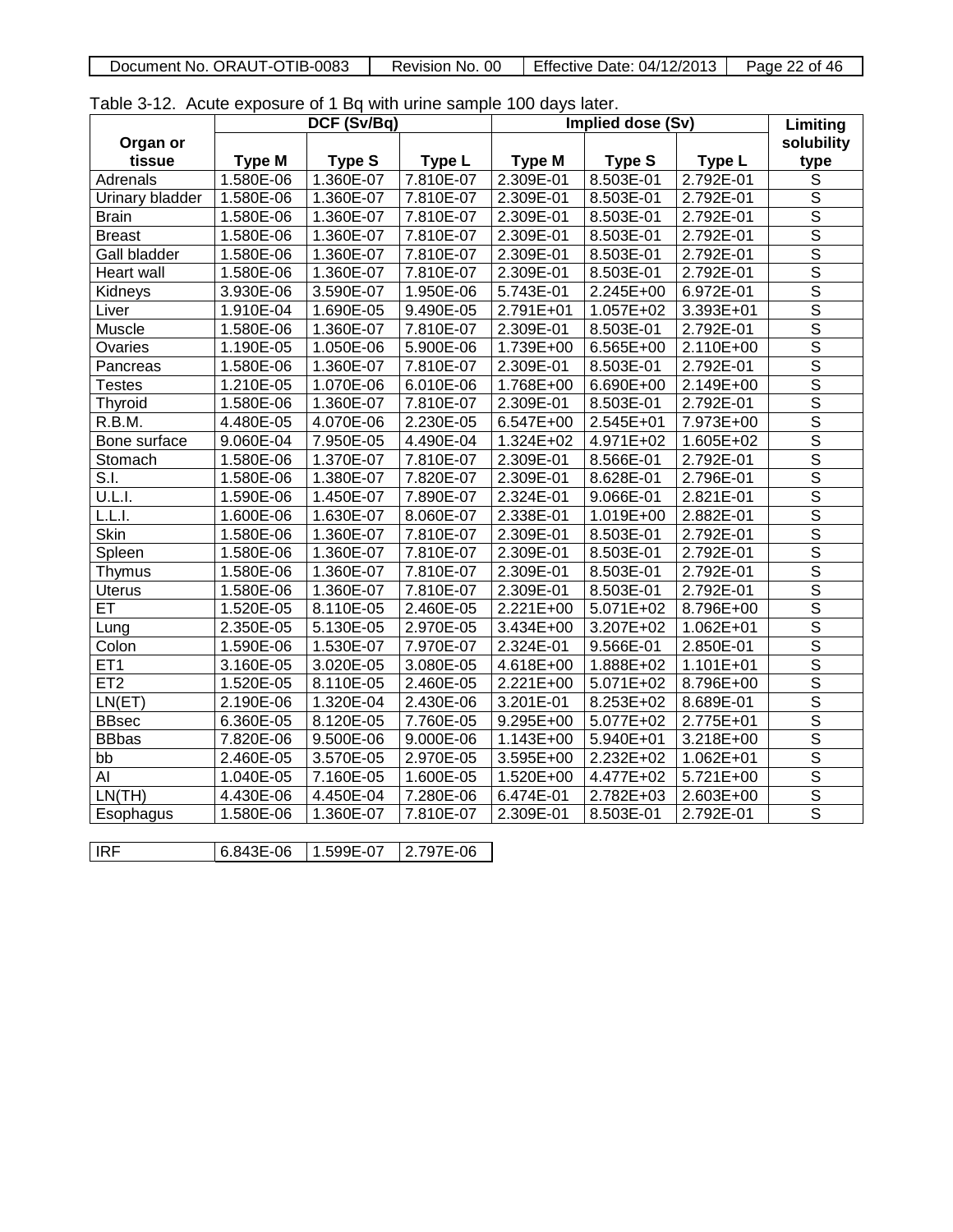| Document No. ORAUT-OTIB-0083 | No. 00<br>Revision | Effective Date: 04/12/2013 | Page<br>of 46 |
|------------------------------|--------------------|----------------------------|---------------|
|                              |                    |                            |               |

Table 3-12. Acute exposure of 1 Bq with urine sample 100 days later.

|                     |             | DCF (Sv/Bq)   |               |               | Implied dose (Sv) |               | Limiting                |
|---------------------|-------------|---------------|---------------|---------------|-------------------|---------------|-------------------------|
| Organ or            |             |               |               |               |                   |               | solubility              |
| tissue              | Type M      | <b>Type S</b> | <b>Type L</b> | <b>Type M</b> | Type <sub>S</sub> | Type L        | type                    |
| Adrenals            | 1.580E-06   | 1.360E-07     | 7.810E-07     | 2.309E-01     | 8.503E-01         | 2.792E-01     | $\overline{s}$          |
| Urinary bladder     | 1.580E-06   | 1.360E-07     | 7.810E-07     | 2.309E-01     | 8.503E-01         | 2.792E-01     | $\overline{\mathsf{s}}$ |
| <b>Brain</b>        | 1.580E-06   | 1.360E-07     | 7.810E-07     | 2.309E-01     | 8.503E-01         | 2.792E-01     | $\overline{\mathsf{s}}$ |
| <b>Breast</b>       | 1.580E-06   | 1.360E-07     | 7.810E-07     | 2.309E-01     | 8.503E-01         | 2.792E-01     | $\overline{\mathsf{s}}$ |
| <b>Gall bladder</b> | 1.580E-06   | 1.360E-07     | 7.810E-07     | 2.309E-01     | 8.503E-01         | 2.792E-01     | $\overline{\mathsf{S}}$ |
| <b>Heart wall</b>   | 1.580E-06   | 1.360E-07     | 7.810E-07     | 2.309E-01     | 8.503E-01         | 2.792E-01     | $\overline{\mathsf{s}}$ |
| Kidneys             | 3.930E-06   | 3.590E-07     | 1.950E-06     | 5.743E-01     | 2.245E+00         | 6.972E-01     | $\overline{\mathsf{s}}$ |
| Liver               | 1.910E-04   | 1.690E-05     | 9.490E-05     | $2.791E + 01$ | 1.057E+02         | 3.393E+01     | $\overline{\mathsf{s}}$ |
| Muscle              | 1.580E-06   | 1.360E-07     | 7.810E-07     | 2.309E-01     | 8.503E-01         | 2.792E-01     | $\overline{s}$          |
| Ovaries             | 1.190E-05   | 1.050E-06     | 5.900E-06     | 1.739E+00     | 6.565E+00         | 2.110E+00     | $\overline{\mathsf{s}}$ |
| Pancreas            | 1.580E-06   | 1.360E-07     | 7.810E-07     | 2.309E-01     | 8.503E-01         | 2.792E-01     | $\overline{\mathsf{s}}$ |
| <b>Testes</b>       | 1.210E-05   | 1.070E-06     | 6.010E-06     | 1.768E+00     | 6.690E+00         | 2.149E+00     | $\overline{\mathsf{S}}$ |
| <b>Thyroid</b>      | 1.580E-06   | 1.360E-07     | 7.810E-07     | 2.309E-01     | 8.503E-01         | 2.792E-01     | $\overline{\mathsf{s}}$ |
| R.B.M.              | 4.480E-05   | 4.070E-06     | 2.230E-05     | 6.547E+00     | 2.545E+01         | 7.973E+00     | $\overline{s}$          |
| Bone surface        | 9.060E-04   | 7.950E-05     | 4.490E-04     | $1.324E + 02$ | 4.971E+02         | $1.605E + 02$ | $\overline{\mathsf{s}}$ |
| Stomach             | 1.580E-06   | 1.370E-07     | 7.810E-07     | 2.309E-01     | 8.566E-01         | 2.792E-01     | $\overline{\mathsf{s}}$ |
| S.I.                | 1.580E-06   | 1.380E-07     | 7.820E-07     | 2.309E-01     | 8.628E-01         | 2.796E-01     | $\overline{\mathsf{s}}$ |
| <b>U.L.I.</b>       | 1.590E-06   | 1.450E-07     | 7.890E-07     | 2.324E-01     | 9.066E-01         | $2.821E-01$   | $\overline{\mathsf{s}}$ |
| L.L.I.              | 1.600E-06   | 1.630E-07     | 8.060E-07     | 2.338E-01     | 1.019E+00         | 2.882E-01     | $\overline{\mathsf{s}}$ |
| <b>Skin</b>         | 1.580E-06   | 1.360E-07     | 7.810E-07     | 2.309E-01     | 8.503E-01         | 2.792E-01     | $\overline{\mathsf{s}}$ |
| Spleen              | 1.580E-06   | 1.360E-07     | 7.810E-07     | 2.309E-01     | 8.503E-01         | 2.792E-01     | $\overline{s}$          |
| Thymus              | 1.580E-06   | 1.360E-07     | 7.810E-07     | 2.309E-01     | 8.503E-01         | 2.792E-01     | $\overline{s}$          |
| <b>Uterus</b>       | 1.580E-06   | 1.360E-07     | 7.810E-07     | 2.309E-01     | 8.503E-01         | 2.792E-01     | $\overline{\mathsf{s}}$ |
| ET                  | 1.520E-05   | 8.110E-05     | 2.460E-05     | 2.221E+00     | 5.071E+02         | 8.796E+00     | $\overline{\mathsf{s}}$ |
| Lung                | 2.350E-05   | 5.130E-05     | 2.970E-05     | $3.434E + 00$ | 3.207E+02         | 1.062E+01     | $\overline{\mathsf{s}}$ |
| Colon               | 1.590E-06   | 1.530E-07     | 7.970E-07     | 2.324E-01     | 9.566E-01         | 2.850E-01     | $\overline{\mathsf{s}}$ |
| ET <sub>1</sub>     | 3.160E-05   | 3.020E-05     | 3.080E-05     | 4.618E+00     | 1.888E+02         | 1.101E+01     | $\overline{\mathsf{s}}$ |
| ET2                 | 1.520E-05   | 8.110E-05     | 2.460E-05     | $2.221E+00$   | 5.071E+02         | 8.796E+00     | $\overline{s}$          |
| LN(ET)              | 2.190E-06   | 1.320E-04     | 2.430E-06     | 3.201E-01     | 8.253E+02         | 8.689E-01     | $\overline{\mathsf{s}}$ |
| <b>BBsec</b>        | 6.360E-05   | 8.120E-05     | 7.760E-05     | 9.295E+00     | 5.077E+02         | 2.775E+01     | $\overline{\mathsf{s}}$ |
| <b>BBbas</b>        | 7.820E-06   | 9.500E-06     | 9.000E-06     | 1.143E+00     | 5.940E+01         | $3.218E + 00$ | $\overline{\mathsf{s}}$ |
| bb                  | $2.460E-05$ | 3.570E-05     | 2.970E-05     | 3.595E+00     | 2.232E+02         | $1.062E + 01$ | $\overline{\mathsf{s}}$ |
| AI                  | 1.040E-05   | 7.160E-05     | 1.600E-05     | 1.520E+00     | 4.477E+02         | 5.721E+00     | $\overline{\mathsf{s}}$ |
| LN(TH)              | 4.430E-06   | 4.450E-04     | 7.280E-06     | 6.474E-01     | 2.782E+03         | 2.603E+00     | $\overline{\mathsf{s}}$ |
| Esophagus           | 1.580E-06   | 1.360E-07     | 7.810E-07     | 2.309E-01     | 8.503E-01         | 2.792E-01     | $\overline{\mathsf{s}}$ |
|                     |             |               |               |               |                   |               |                         |
| <b>IRF</b>          | 6.843E-06   | 1.599E-07     | 2.797E-06     |               |                   |               |                         |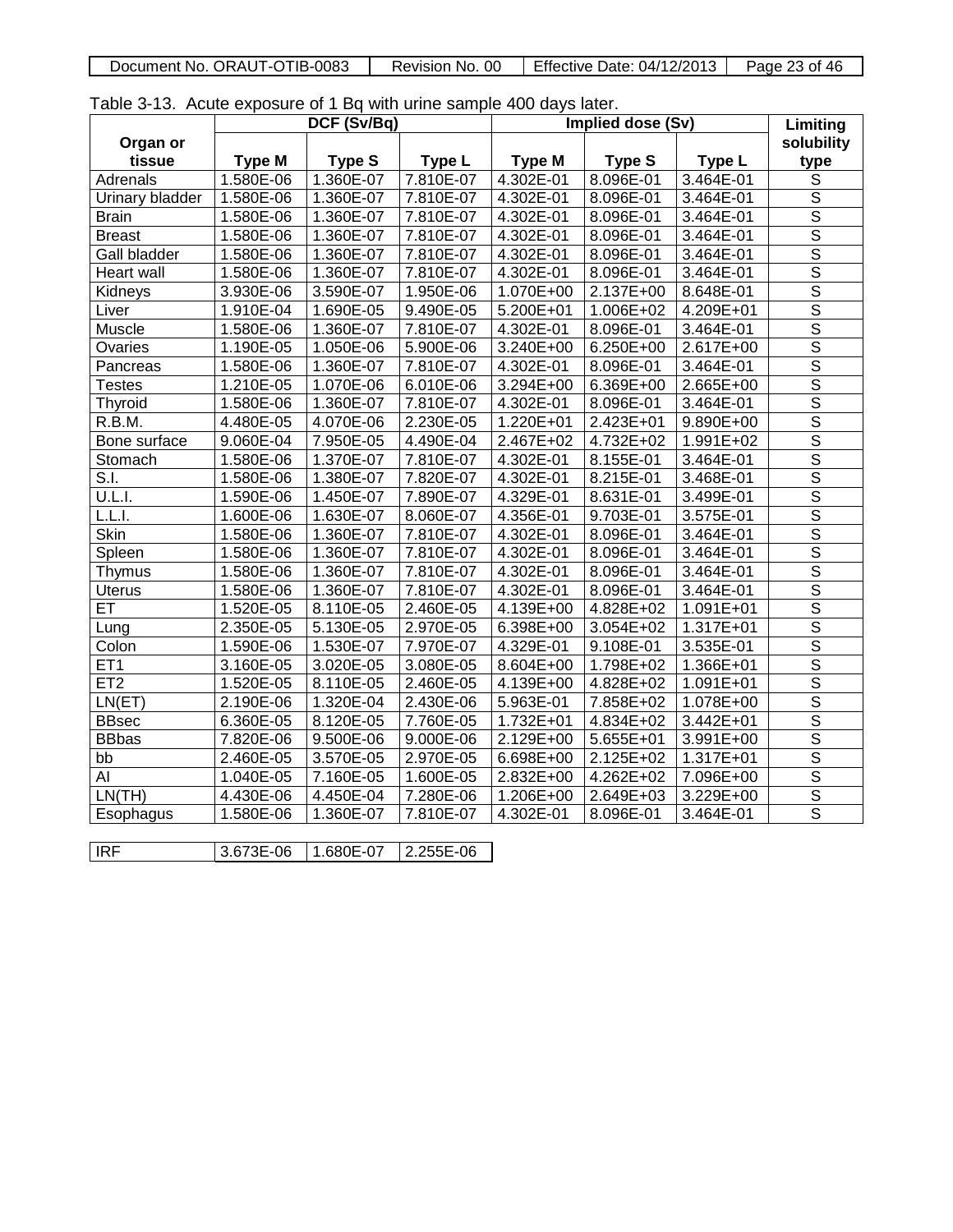| Document No. ORAUT-OTIB-0083<br>Revision No. 00 | Effective Date: 04/12/2013 | Page 23 of 46 |
|-------------------------------------------------|----------------------------|---------------|

Table 3-13. Acute exposure of 1 Bq with urine sample 400 days later.

|                        |               | DCF (Sv/Bq)   |           |               | <b>Implied dose (Sv)</b> |             | Limiting                |
|------------------------|---------------|---------------|-----------|---------------|--------------------------|-------------|-------------------------|
| Organ or               |               |               |           |               |                          |             | solubility              |
| tissue                 | <b>Type M</b> | <b>Type S</b> | Type L    | <b>Type M</b> | <b>Type S</b>            | Type L      | type                    |
| Adrenals               | 1.580E-06     | 1.360E-07     | 7.810E-07 | 4.302E-01     | 8.096E-01                | 3.464E-01   | $\overline{s}$          |
| <b>Urinary bladder</b> | 1.580E-06     | 1.360E-07     | 7.810E-07 | 4.302E-01     | 8.096E-01                | 3.464E-01   | $\overline{\mathsf{s}}$ |
| <b>Brain</b>           | 1.580E-06     | 1.360E-07     | 7.810E-07 | 4.302E-01     | 8.096E-01                | 3.464E-01   | $\overline{\mathsf{s}}$ |
| <b>Breast</b>          | 1.580E-06     | 1.360E-07     | 7.810E-07 | 4.302E-01     | 8.096E-01                | 3.464E-01   | $\overline{\mathsf{s}}$ |
| Gall bladder           | 1.580E-06     | 1.360E-07     | 7.810E-07 | 4.302E-01     | 8.096E-01                | 3.464E-01   | $\overline{\mathsf{s}}$ |
| <b>Heart wall</b>      | 1.580E-06     | 1.360E-07     | 7.810E-07 | 4.302E-01     | 8.096E-01                | 3.464E-01   | $\overline{\mathsf{s}}$ |
| Kidneys                | 3.930E-06     | 3.590E-07     | 1.950E-06 | $1.070E + 00$ | 2.137E+00                | 8.648E-01   | $\overline{\mathsf{s}}$ |
| Liver                  | 1.910E-04     | 1.690E-05     | 9.490E-05 | 5.200E+01     | 1.006E+02                | 4.209E+01   | $\overline{\mathsf{s}}$ |
| Muscle                 | 1.580E-06     | 1.360E-07     | 7.810E-07 | 4.302E-01     | 8.096E-01                | 3.464E-01   | $\overline{\mathsf{s}}$ |
| Ovaries                | 1.190E-05     | 1.050E-06     | 5.900E-06 | 3.240E+00     | 6.250E+00                | 2.617E+00   | $\overline{\mathsf{s}}$ |
| Pancreas               | 1.580E-06     | 1.360E-07     | 7.810E-07 | 4.302E-01     | 8.096E-01                | $3.464E-01$ | $\overline{\mathsf{s}}$ |
| <b>Testes</b>          | 1.210E-05     | 1.070E-06     | 6.010E-06 | 3.294E+00     | 6.369E+00                | 2.665E+00   | $\overline{s}$          |
| <b>Thyroid</b>         | 1.580E-06     | 1.360E-07     | 7.810E-07 | 4.302E-01     | 8.096E-01                | 3.464E-01   | $\overline{\mathsf{s}}$ |
| R.B.M.                 | 4.480E-05     | 4.070E-06     | 2.230E-05 | 1.220E+01     | 2.423E+01                | 9.890E+00   | $\overline{\mathsf{s}}$ |
| Bone surface           | 9.060E-04     | 7.950E-05     | 4.490E-04 | 2.467E+02     | 4.732E+02                | 1.991E+02   | $\overline{\mathsf{s}}$ |
| Stomach                | 1.580E-06     | 1.370E-07     | 7.810E-07 | 4.302E-01     | 8.155E-01                | 3.464E-01   | $\overline{\mathsf{s}}$ |
| S.I.                   | 1.580E-06     | 1.380E-07     | 7.820E-07 | $4.302E-01$   | 8.215E-01                | 3.468E-01   | $\overline{\mathsf{S}}$ |
| U.L.I.                 | 1.590E-06     | 1.450E-07     | 7.890E-07 | 4.329E-01     | 8.631E-01                | 3.499E-01   | $\overline{\mathsf{s}}$ |
| L.L.I.                 | 1.600E-06     | 1.630E-07     | 8.060E-07 | 4.356E-01     | 9.703E-01                | 3.575E-01   | $\overline{s}$          |
| <b>Skin</b>            | 1.580E-06     | 1.360E-07     | 7.810E-07 | 4.302E-01     | 8.096E-01                | 3.464E-01   | $\overline{\mathsf{s}}$ |
| Spleen                 | 1.580E-06     | 1.360E-07     | 7.810E-07 | 4.302E-01     | 8.096E-01                | 3.464E-01   | $\overline{\mathsf{s}}$ |
| Thymus                 | 1.580E-06     | 1.360E-07     | 7.810E-07 | 4.302E-01     | 8.096E-01                | 3.464E-01   | $\overline{\mathsf{s}}$ |
| <b>Uterus</b>          | 1.580E-06     | 1.360E-07     | 7.810E-07 | 4.302E-01     | 8.096E-01                | 3.464E-01   | $\overline{\mathsf{s}}$ |
| ET                     | 1.520E-05     | 8.110E-05     | 2.460E-05 | 4.139E+00     | 4.828E+02                | 1.091E+01   | $\overline{\mathsf{s}}$ |
| Lung                   | 2.350E-05     | $5.130E-05$   | 2.970E-05 | $6.398E + 00$ | $3.054E + 02$            | 1.317E+01   | $\overline{\mathsf{s}}$ |
| Colon                  | 1.590E-06     | 1.530E-07     | 7.970E-07 | 4.329E-01     | 9.108E-01                | 3.535E-01   | $\overline{\mathsf{s}}$ |
| ET <sub>1</sub>        | 3.160E-05     | 3.020E-05     | 3.080E-05 | 8.604E+00     | 1.798E+02                | 1.366E+01   | $\overline{\mathsf{s}}$ |
| ET <sub>2</sub>        | 1.520E-05     | 8.110E-05     | 2.460E-05 | $4.139E + 00$ | 4.828E+02                | 1.091E+01   | $\overline{s}$          |
| LN(ET)                 | 2.190E-06     | 1.320E-04     | 2.430E-06 | 5.963E-01     | 7.858E+02                | 1.078E+00   | $\overline{\mathsf{s}}$ |
| <b>BBsec</b>           | 6.360E-05     | 8.120E-05     | 7.760E-05 | $1.732E + 01$ | 4.834E+02                | $3.442E+01$ | $\overline{\mathsf{s}}$ |
| <b>BBbas</b>           | 7.820E-06     | 9.500E-06     | 9.000E-06 | 2.129E+00     | 5.655E+01                | 3.991E+00   | $\overline{\mathsf{s}}$ |
| bb                     | $2.460E-05$   | 3.570E-05     | 2.970E-05 | 6.698E+00     | 2.125E+02                | 1.317E+01   | $\overline{\mathsf{s}}$ |
| AI                     | 1.040E-05     | 7.160E-05     | 1.600E-05 | 2.832E+00     | 4.262E+02                | 7.096E+00   | $\overline{\mathsf{s}}$ |
| LN(TH)                 | 4.430E-06     | 4.450E-04     | 7.280E-06 | 1.206E+00     | 2.649E+03                | 3.229E+00   | $\overline{\mathsf{s}}$ |
| Esophagus              | 1.580E-06     | 1.360E-07     | 7.810E-07 | 4.302E-01     | 8.096E-01                | 3.464E-01   | $\overline{\mathsf{s}}$ |
|                        |               |               |           |               |                          |             |                         |
| IRF                    | 3.673E-06     | 1.680E-07     | 2.255E-06 |               |                          |             |                         |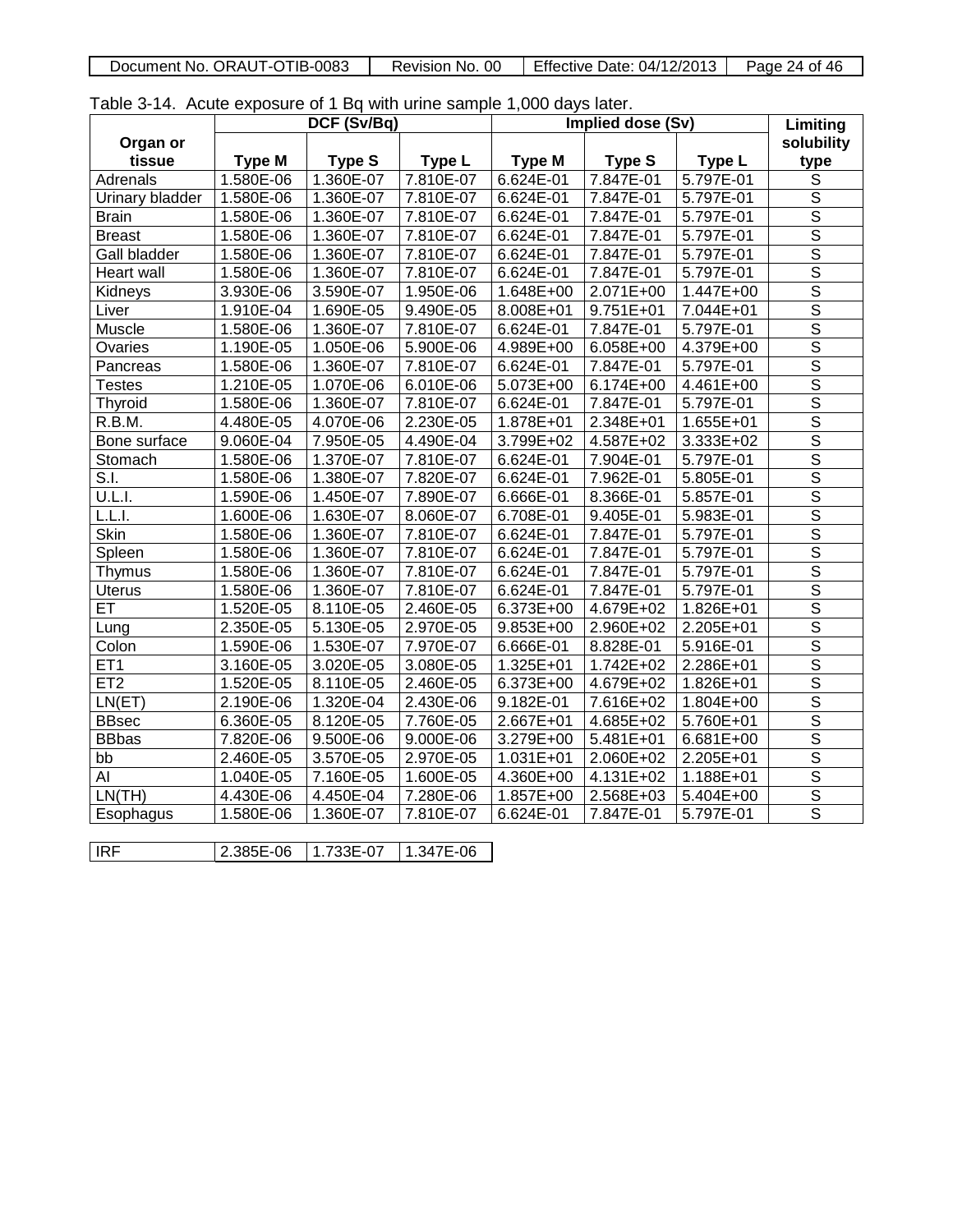| Document No. ORAUT-OTIB-0083 | -00<br>Revision<br>No. | Effective Date: 04/12/2013 | Page<br>24 of 46 |
|------------------------------|------------------------|----------------------------|------------------|

Table 3-14. Acute exposure of 1 Bq with urine sample 1,000 days later.

|                 |               | DCF (Sv/Bq)   |           |               | Implied dose (Sv)      |             | Limiting                |
|-----------------|---------------|---------------|-----------|---------------|------------------------|-------------|-------------------------|
| Organ or        |               |               |           |               |                        |             | solubility              |
| tissue          | <b>Type M</b> | <b>Type S</b> | Type L    | <b>Type M</b> | <b>Type S</b>          | Type L      | type                    |
| Adrenals        | 1.580E-06     | 1.360E-07     | 7.810E-07 | 6.624E-01     | 7.847E-01              | 5.797E-01   | $\overline{s}$          |
| Urinary bladder | 1.580E-06     | 1.360E-07     | 7.810E-07 | 6.624E-01     | 7.847E-01              | 5.797E-01   | $\overline{\mathsf{s}}$ |
| <b>Brain</b>    | 1.580E-06     | 1.360E-07     | 7.810E-07 | 6.624E-01     | 7.847E-01              | 5.797E-01   | $\overline{\mathsf{s}}$ |
| <b>Breast</b>   | 1.580E-06     | 1.360E-07     | 7.810E-07 | 6.624E-01     | 7.847E-01              | 5.797E-01   | $\overline{\mathsf{s}}$ |
| Gall bladder    | 1.580E-06     | 1.360E-07     | 7.810E-07 | 6.624E-01     | 7.847E-01              | 5.797E-01   | $\overline{\mathsf{s}}$ |
| Heart wall      | 1.580E-06     | 1.360E-07     | 7.810E-07 | 6.624E-01     | 7.847E-01              | 5.797E-01   | $\overline{\mathsf{s}}$ |
| Kidneys         | 3.930E-06     | 3.590E-07     | 1.950E-06 | 1.648E+00     | 2.071E+00              | 1.447E+00   | $\overline{\mathsf{s}}$ |
| Liver           | 1.910E-04     | 1.690E-05     | 9.490E-05 | 8.008E+01     | 9.751E+01              | 7.044E+01   | $\overline{\mathsf{s}}$ |
| Muscle          | 1.580E-06     | 1.360E-07     | 7.810E-07 | 6.624E-01     | 7.847E-01              | 5.797E-01   | $\overline{\mathsf{s}}$ |
| <b>Ovaries</b>  | 1.190E-05     | 1.050E-06     | 5.900E-06 | 4.989E+00     | 6.058E+00              | 4.379E+00   | $\overline{\mathsf{s}}$ |
| Pancreas        | 1.580E-06     | 1.360E-07     | 7.810E-07 | $6.624E-01$   | 7.847E-01              | 5.797E-01   | $\overline{\mathsf{s}}$ |
| <b>Testes</b>   | 1.210E-05     | 1.070E-06     | 6.010E-06 | 5.073E+00     | 6.174E+00              | 4.461E+00   | $\overline{\mathsf{S}}$ |
| Thyroid         | 1.580E-06     | 1.360E-07     | 7.810E-07 | 6.624E-01     | 7.847E-01              | 5.797E-01   | $\overline{\mathsf{s}}$ |
| R.B.M.          | 4.480E-05     | 4.070E-06     | 2.230E-05 | 1.878E+01     | 2.348E+01              | 1.655E+01   | $rac{1}{s}$             |
| Bone surface    | 9.060E-04     | 7.950E-05     | 4.490E-04 | 3.799E+02     | 4.587E+02              | 3.333E+02   |                         |
| Stomach         | 1.580E-06     | 1.370E-07     | 7.810E-07 | 6.624E-01     | 7.904E-01              | 5.797E-01   | $\overline{\mathsf{s}}$ |
| S.I.            | 1.580E-06     | 1.380E-07     | 7.820E-07 | $6.624E-01$   | 7.962E-01              | 5.805E-01   | $\overline{\mathsf{s}}$ |
| U.L.I.          | 1.590E-06     | 1.450E-07     | 7.890E-07 | 6.666E-01     | 8.366E-01              | 5.857E-01   | $\overline{\mathsf{s}}$ |
| L.L.I.          | 1.600E-06     | 1.630E-07     | 8.060E-07 | 6.708E-01     | 9.405E-01              | 5.983E-01   |                         |
| <b>Skin</b>     | 1.580E-06     | 1.360E-07     | 7.810E-07 | 6.624E-01     | 7.847E-01              | 5.797E-01   | $rac{\overline{S}}{S}$  |
| Spleen          | 1.580E-06     | 1.360E-07     | 7.810E-07 | 6.624E-01     | 7.847E-01              | 5.797E-01   | $\overline{s}$          |
| Thymus          | 1.580E-06     | 1.360E-07     | 7.810E-07 | 6.624E-01     | 7.847E-01              | 5.797E-01   | $\overline{s}$          |
| <b>Uterus</b>   | 1.580E-06     | 1.360E-07     | 7.810E-07 | 6.624E-01     | 7.847E-01              | 5.797E-01   | $\overline{s}$          |
| ET              | 1.520E-05     | 8.110E-05     | 2.460E-05 | 6.373E+00     | 4.679E+02              | 1.826E+01   | $\overline{\mathsf{s}}$ |
| Lung            | 2.350E-05     | 5.130E-05     | 2.970E-05 | 9.853E+00     | 2.960E+02              | 2.205E+01   | $\overline{\mathsf{s}}$ |
| Colon           | 1.590E-06     | 1.530E-07     | 7.970E-07 | 6.666E-01     | 8.828E-01              | 5.916E-01   | $\overline{\mathsf{S}}$ |
| ET <sub>1</sub> | 3.160E-05     | 3.020E-05     | 3.080E-05 | 1.325E+01     | 1.742E+02              | 2.286E+01   | $\overline{\mathsf{s}}$ |
| ET2             | 1.520E-05     | 8.110E-05     | 2.460E-05 | 6.373E+00     | 4.679E+02              | 1.826E+01   | $\overline{s}$          |
| LN(ET)          | 2.190E-06     | 1.320E-04     | 2.430E-06 | $9.182E-01$   | 7.616E+02              | 1.804E+00   | $\overline{\mathsf{s}}$ |
| <b>BBsec</b>    | 6.360E-05     | 8.120E-05     | 7.760E-05 | $2.667E + 01$ | 4.685E+02              | $5.760E+01$ | $\overline{\mathsf{s}}$ |
| <b>BBbas</b>    | 7.820E-06     | 9.500E-06     | 9.000E-06 | 3.279E+00     | $\overline{5.481E+01}$ | 6.681E+00   | $\overline{\mathsf{s}}$ |
| bb              | 2.460E-05     | 3.570E-05     | 2.970E-05 | $1.031E+01$   | $2.060E + 02$          | $2.205E+01$ | $\overline{\mathsf{s}}$ |
| Al              | 1.040E-05     | 7.160E-05     | 1.600E-05 | 4.360E+00     | 4.131E+02              | 1.188E+01   | $\overline{\mathsf{s}}$ |
| LN(TH)          | 4.430E-06     | 4.450E-04     | 7.280E-06 | 1.857E+00     | 2.568E+03              | 5.404E+00   | $\overline{\mathsf{s}}$ |
| Esophagus       | 1.580E-06     | 1.360E-07     | 7.810E-07 | 6.624E-01     | 7.847E-01              | 5.797E-01   | $\overline{\mathsf{s}}$ |
|                 |               |               |           |               |                        |             |                         |
| <b>IRF</b>      | 2.385E-06     | 1.733E-07     | 1.347E-06 |               |                        |             |                         |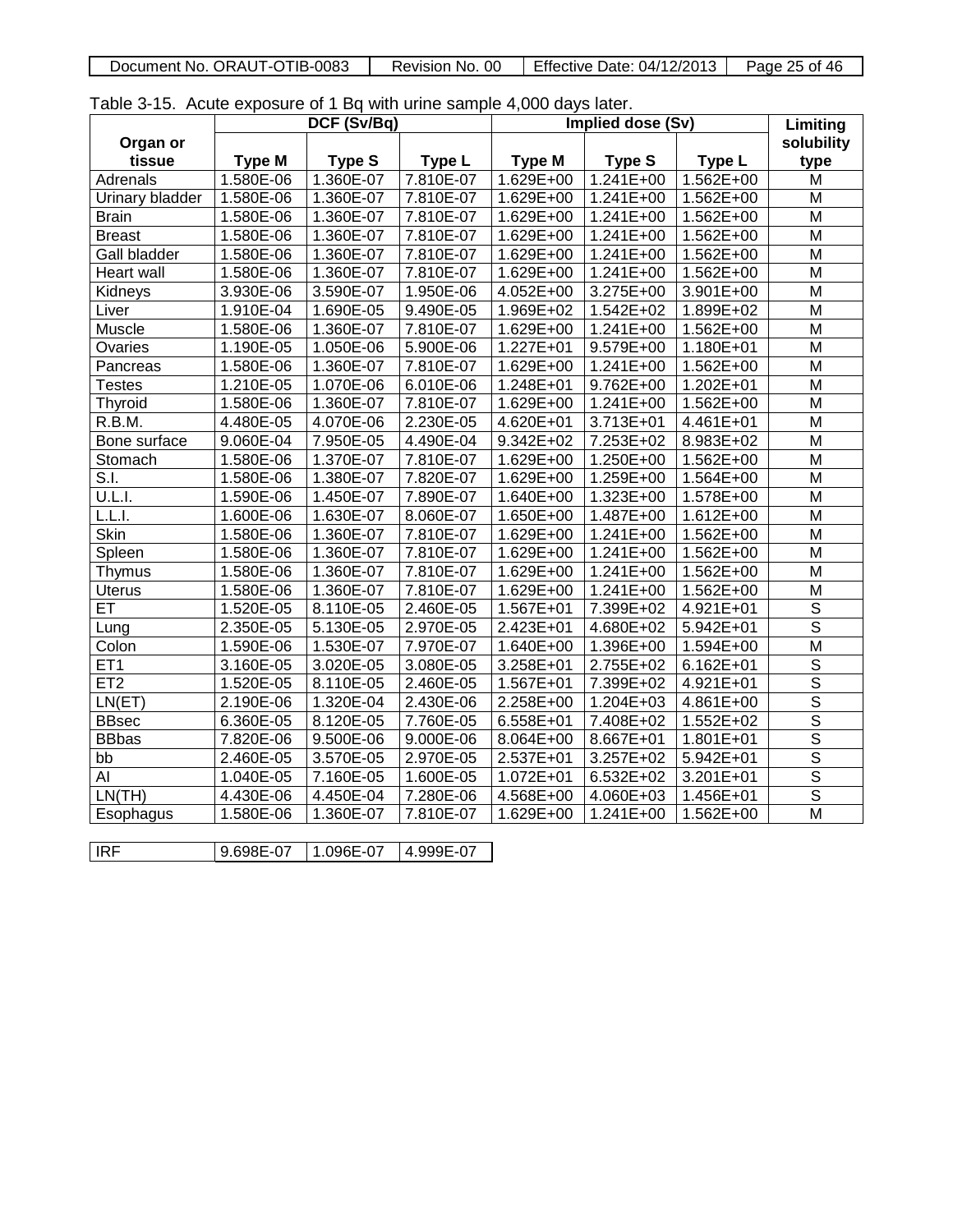| Document No. ORAUT-OTIB-0083 | -00<br>Revision No. | <b>Effective Date: 04/12/2013</b> | Page 25 of 46 |
|------------------------------|---------------------|-----------------------------------|---------------|

|  | Table 3-15. Acute exposure of 1 Bq with urine sample 4,000 days later. |  |  |  |  |
|--|------------------------------------------------------------------------|--|--|--|--|
|--|------------------------------------------------------------------------|--|--|--|--|

| $\frac{1}{2}$ and $\frac{1}{2}$ . The control of $\frac{1}{2}$ by manifesting bannels ritually rate. | DCF (Sv/Bq)<br>Implied dose (Sv) |               |           |               | Limiting      |               |                         |
|------------------------------------------------------------------------------------------------------|----------------------------------|---------------|-----------|---------------|---------------|---------------|-------------------------|
| Organ or                                                                                             |                                  |               |           |               |               |               | solubility              |
| tissue                                                                                               | <b>Type M</b>                    | <b>Type S</b> | Type L    | <b>Type M</b> | <b>Type S</b> | Type L        | type                    |
| Adrenals                                                                                             | 1.580E-06                        | 1.360E-07     | 7.810E-07 | 1.629E+00     | 1.241E+00     | 1.562E+00     | M                       |
| Urinary bladder                                                                                      | 1.580E-06                        | 1.360E-07     | 7.810E-07 | $1.629E + 00$ | $1.241E+00$   | $1.562E + 00$ | M                       |
| <b>Brain</b>                                                                                         | 1.580E-06                        | 1.360E-07     | 7.810E-07 | 1.629E+00     | 1.241E+00     | 1.562E+00     | M                       |
| <b>Breast</b>                                                                                        | 1.580E-06                        | 1.360E-07     | 7.810E-07 | 1.629E+00     | $1.241E+00$   | 1.562E+00     | M                       |
| Gall bladder                                                                                         | 1.580E-06                        | 1.360E-07     | 7.810E-07 | 1.629E+00     | 1.241E+00     | 1.562E+00     | M                       |
| Heart wall                                                                                           | 1.580E-06                        | 1.360E-07     | 7.810E-07 | 1.629E+00     | 1.241E+00     | 1.562E+00     | M                       |
| Kidneys                                                                                              | 3.930E-06                        | 3.590E-07     | 1.950E-06 | 4.052E+00     | 3.275E+00     | 3.901E+00     | M                       |
| Liver                                                                                                | 1.910E-04                        | 1.690E-05     | 9.490E-05 | 1.969E+02     | 1.542E+02     | 1.899E+02     | M                       |
| Muscle                                                                                               | 1.580E-06                        | 1.360E-07     | 7.810E-07 | 1.629E+00     | 1.241E+00     | 1.562E+00     | M                       |
| Ovaries                                                                                              | 1.190E-05                        | 1.050E-06     | 5.900E-06 | 1.227E+01     | 9.579E+00     | 1.180E+01     | M                       |
| Pancreas                                                                                             | 1.580E-06                        | 1.360E-07     | 7.810E-07 | $1.629E + 00$ | $1.241E+00$   | $1.562E + 00$ | M                       |
| <b>Testes</b>                                                                                        | 1.210E-05                        | 1.070E-06     | 6.010E-06 | 1.248E+01     | 9.762E+00     | 1.202E+01     | M                       |
| Thyroid                                                                                              | 1.580E-06                        | 1.360E-07     | 7.810E-07 | 1.629E+00     | 1.241E+00     | 1.562E+00     | M                       |
| R.B.M.                                                                                               | 4.480E-05                        | 4.070E-06     | 2.230E-05 | 4.620E+01     | 3.713E+01     | 4.461E+01     | M                       |
| Bone surface                                                                                         | 9.060E-04                        | 7.950E-05     | 4.490E-04 | 9.342E+02     | 7.253E+02     | 8.983E+02     | M                       |
| Stomach                                                                                              | 1.580E-06                        | 1.370E-07     | 7.810E-07 | 1.629E+00     | 1.250E+00     | 1.562E+00     | M                       |
| S.I.                                                                                                 | 1.580E-06                        | 1.380E-07     | 7.820E-07 | 1.629E+00     | 1.259E+00     | 1.564E+00     | M                       |
| U.L.I.                                                                                               | 1.590E-06                        | 1.450E-07     | 7.890E-07 | 1.640E+00     | 1.323E+00     | 1.578E+00     | M                       |
| L.L.I.                                                                                               | 1.600E-06                        | 1.630E-07     | 8.060E-07 | 1.650E+00     | 1.487E+00     | 1.612E+00     | M                       |
| Skin                                                                                                 | 1.580E-06                        | 1.360E-07     | 7.810E-07 | 1.629E+00     | 1.241E+00     | 1.562E+00     | M                       |
| Spleen                                                                                               | 1.580E-06                        | 1.360E-07     | 7.810E-07 | 1.629E+00     | 1.241E+00     | 1.562E+00     | M                       |
| Thymus                                                                                               | 1.580E-06                        | 1.360E-07     | 7.810E-07 | 1.629E+00     | 1.241E+00     | 1.562E+00     | M                       |
| <b>Uterus</b>                                                                                        | 1.580E-06                        | 1.360E-07     | 7.810E-07 | 1.629E+00     | 1.241E+00     | 1.562E+00     | M                       |
| $\overline{ET}$                                                                                      | 1.520E-05                        | 8.110E-05     | 2.460E-05 | 1.567E+01     | 7.399E+02     | 4.921E+01     | $\overline{\mathsf{s}}$ |
| Lung                                                                                                 | 2.350E-05                        | 5.130E-05     | 2.970E-05 | 2.423E+01     | 4.680E+02     | $5.942E + 01$ | $\overline{\mathsf{s}}$ |
| Colon                                                                                                | 1.590E-06                        | 1.530E-07     | 7.970E-07 | 1.640E+00     | 1.396E+00     | 1.594E+00     | $\overline{\mathsf{M}}$ |
| ET <sub>1</sub>                                                                                      | 3.160E-05                        | 3.020E-05     | 3.080E-05 | 3.258E+01     | 2.755E+02     | $6.162E + 01$ | $\overline{s}$          |
| ET <sub>2</sub>                                                                                      | 1.520E-05                        | 8.110E-05     | 2.460E-05 | 1.567E+01     | 7.399E+02     | 4.921E+01     | $\overline{\mathsf{s}}$ |
| LN(ET)                                                                                               | 2.190E-06                        | 1.320E-04     | 2.430E-06 | 2.258E+00     | 1.204E+03     | 4.861E+00     | $\overline{\mathsf{s}}$ |
| <b>BBsec</b>                                                                                         | 6.360E-05                        | 8.120E-05     | 7.760E-05 | 6.558E+01     | 7.408E+02     | $1.552E+02$   | $\overline{\mathsf{s}}$ |
| <b>BB</b> bas                                                                                        | 7.820E-06                        | 9.500E-06     | 9.000E-06 | 8.064E+00     | 8.667E+01     | 1.801E+01     | $\overline{\mathsf{s}}$ |
| bb                                                                                                   | 2.460E-05                        | 3.570E-05     | 2.970E-05 | 2.537E+01     | 3.257E+02     | 5.942E+01     | $\overline{\mathsf{s}}$ |
| Al                                                                                                   | 1.040E-05                        | 7.160E-05     | 1.600E-05 | 1.072E+01     | 6.532E+02     | 3.201E+01     | $\overline{\mathsf{s}}$ |
| LN(TH)                                                                                               | 4.430E-06                        | 4.450E-04     | 7.280E-06 | 4.568E+00     | 4.060E+03     | 1.456E+01     | $\overline{\mathsf{s}}$ |
| Esophagus                                                                                            | 1.580E-06                        | 1.360E-07     | 7.810E-07 | 1.629E+00     | 1.241E+00     | 1.562E+00     | $\overline{\mathsf{M}}$ |
|                                                                                                      |                                  |               |           |               |               |               |                         |
| <b>IRF</b>                                                                                           | 9.698E-07                        | 1.096E-07     | 4.999E-07 |               |               |               |                         |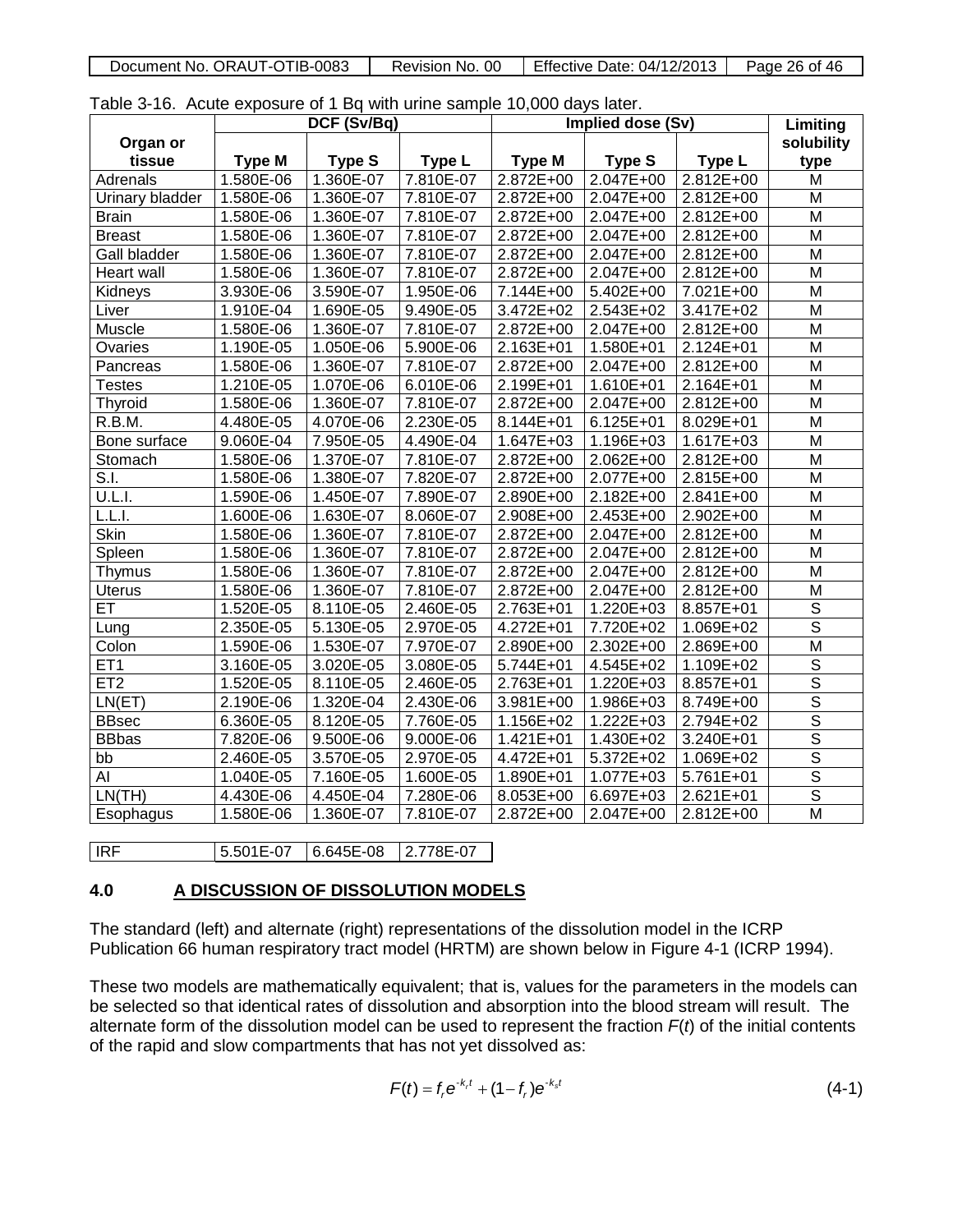|  | Document No. ORAUT-OTIB-0083 | Revision No. 00 | $\degree$   Effective Date: 04/12/2013 | Page 26 of 46 |
|--|------------------------------|-----------------|----------------------------------------|---------------|
|--|------------------------------|-----------------|----------------------------------------|---------------|

Table 3-16. Acute exposure of 1 Bq with urine sample 10,000 days later.

|                 |               | DCF (Sv/Bq)   |           | Implied dose (Sv) |               | Limiting      |                         |
|-----------------|---------------|---------------|-----------|-------------------|---------------|---------------|-------------------------|
| Organ or        |               |               |           |                   |               |               | solubility              |
| tissue          | <b>Type M</b> | <b>Type S</b> | Type L    | <b>Type M</b>     | <b>Type S</b> | Type L        | type                    |
| Adrenals        | 1.580E-06     | 1.360E-07     | 7.810E-07 | 2.872E+00         | 2.047E+00     | 2.812E+00     | M                       |
| Urinary bladder | 1.580E-06     | 1.360E-07     | 7.810E-07 | 2.872E+00         | 2.047E+00     | 2.812E+00     | M                       |
| <b>Brain</b>    | 1.580E-06     | 1.360E-07     | 7.810E-07 | 2.872E+00         | 2.047E+00     | 2.812E+00     | M                       |
| <b>Breast</b>   | 1.580E-06     | 1.360E-07     | 7.810E-07 | 2.872E+00         | 2.047E+00     | 2.812E+00     | M                       |
| Gall bladder    | 1.580E-06     | 1.360E-07     | 7.810E-07 | 2.872E+00         | 2.047E+00     | $2.812E+00$   | M                       |
| Heart wall      | 1.580E-06     | 1.360E-07     | 7.810E-07 | 2.872E+00         | 2.047E+00     | 2.812E+00     | M                       |
| Kidneys         | 3.930E-06     | 3.590E-07     | 1.950E-06 | 7.144E+00         | 5.402E+00     | 7.021E+00     | M                       |
| Liver           | 1.910E-04     | 1.690E-05     | 9.490E-05 | 3.472E+02         | 2.543E+02     | 3.417E+02     | M                       |
| Muscle          | 1.580E-06     | 1.360E-07     | 7.810E-07 | 2.872E+00         | 2.047E+00     | 2.812E+00     | M                       |
| Ovaries         | 1.190E-05     | $1.050E-06$   | 5.900E-06 | 2.163E+01         | 1.580E+01     | 2.124E+01     | M                       |
| Pancreas        | 1.580E-06     | 1.360E-07     | 7.810E-07 | 2.872E+00         | 2.047E+00     | 2.812E+00     | M                       |
| <b>Testes</b>   | 1.210E-05     | 1.070E-06     | 6.010E-06 | 2.199E+01         | 1.610E+01     | 2.164E+01     | M                       |
| Thyroid         | 1.580E-06     | 1.360E-07     | 7.810E-07 | 2.872E+00         | 2.047E+00     | 2.812E+00     | M                       |
| R.B.M.          | 4.480E-05     | 4.070E-06     | 2.230E-05 | 8.144E+01         | 6.125E+01     | 8.029E+01     | M                       |
| Bone surface    | 9.060E-04     | 7.950E-05     | 4.490E-04 | 1.647E+03         | 1.196E+03     | $1.617E + 03$ | M                       |
| Stomach         | 1.580E-06     | 1.370E-07     | 7.810E-07 | 2.872E+00         | 2.062E+00     | 2.812E+00     | M                       |
| S.I.            | 1.580E-06     | 1.380E-07     | 7.820E-07 | 2.872E+00         | 2.077E+00     | 2.815E+00     | M                       |
| U.L.I.          | 1.590E-06     | 1.450E-07     | 7.890E-07 | 2.890E+00         | 2.182E+00     | 2.841E+00     | M                       |
| L.L.l.          | 1.600E-06     | 1.630E-07     | 8.060E-07 | 2.908E+00         | 2.453E+00     | 2.902E+00     | M                       |
| Skin            | 1.580E-06     | 1.360E-07     | 7.810E-07 | 2.872E+00         | 2.047E+00     | 2.812E+00     | M                       |
| Spleen          | 1.580E-06     | 1.360E-07     | 7.810E-07 | $2.872E + 00$     | 2.047E+00     | 2.812E+00     | M                       |
| Thymus          | 1.580E-06     | 1.360E-07     | 7.810E-07 | 2.872E+00         | 2.047E+00     | 2.812E+00     | M                       |
| <b>Uterus</b>   | 1.580E-06     | 1.360E-07     | 7.810E-07 | 2.872E+00         | 2.047E+00     | 2.812E+00     | M                       |
| ET              | 1.520E-05     | 8.110E-05     | 2.460E-05 | $2.763E + 01$     | 1.220E+03     | 8.857E+01     | $\overline{\mathsf{s}}$ |
| Lung            | 2.350E-05     | 5.130E-05     | 2.970E-05 | 4.272E+01         | 7.720E+02     | 1.069E+02     | $\overline{\mathsf{s}}$ |
| Colon           | 1.590E-06     | 1.530E-07     | 7.970E-07 | 2.890E+00         | 2.302E+00     | 2.869E+00     | $\overline{\mathsf{M}}$ |
| ET <sub>1</sub> | 3.160E-05     | 3.020E-05     | 3.080E-05 | 5.744E+01         | 4.545E+02     | 1.109E+02     | $\overline{\mathsf{s}}$ |
| ET <sub>2</sub> | 1.520E-05     | 8.110E-05     | 2.460E-05 | 2.763E+01         | 1.220E+03     | $8.857E+01$   | $\overline{s}$          |
| LN(ET)          | 2.190E-06     | 1.320E-04     | 2.430E-06 | 3.981E+00         | $1.986E + 03$ | 8.749E+00     | $\overline{\mathsf{s}}$ |
| <b>BBsec</b>    | 6.360E-05     | 8.120E-05     | 7.760E-05 | 1.156E+02         | 1.222E+03     | 2.794E+02     | $\overline{\mathsf{s}}$ |
| <b>BBbas</b>    | 7.820E-06     | 9.500E-06     | 9.000E-06 | 1.421E+01         | 1.430E+02     | 3.240E+01     | $\overline{s}$          |
| bb              | 2.460E-05     | 3.570E-05     | 2.970E-05 | 4.472E+01         | 5.372E+02     | 1.069E+02     | $\overline{\mathsf{s}}$ |
| AI              | 1.040E-05     | 7.160E-05     | 1.600E-05 | 1.890E+01         | 1.077E+03     | 5.761E+01     | $\overline{s}$          |
| LN(TH)          | 4.430E-06     | 4.450E-04     | 7.280E-06 | 8.053E+00         | 6.697E+03     | 2.621E+01     | $\overline{\mathsf{s}}$ |
| Esophagus       | 1.580E-06     | 1.360E-07     | 7.810E-07 | 2.872E+00         | 2.047E+00     | 2.812E+00     | $\overline{\mathsf{M}}$ |
|                 |               |               |           |                   |               |               |                         |

**IRF** 5.501E-07 6.645E-08 2.778E-07

#### **4.0 A DISCUSSION OF DISSOLUTION MODELS**

The standard (left) and alternate (right) representations of the dissolution model in the ICRP Publication 66 human respiratory tract model (HRTM) are shown below in Figure 4-1 (ICRP 1994).

These two models are mathematically equivalent; that is, values for the parameters in the models can be selected so that identical rates of dissolution and absorption into the blood stream will result. The alternate form of the dissolution model can be used to represent the fraction *F*(*t*) of the initial contents of the rapid and slow compartments that has not yet dissolved as:

$$
F(t) = f_r e^{-k_r t} + (1 - f_r) e^{-k_s t}
$$
 (4-1)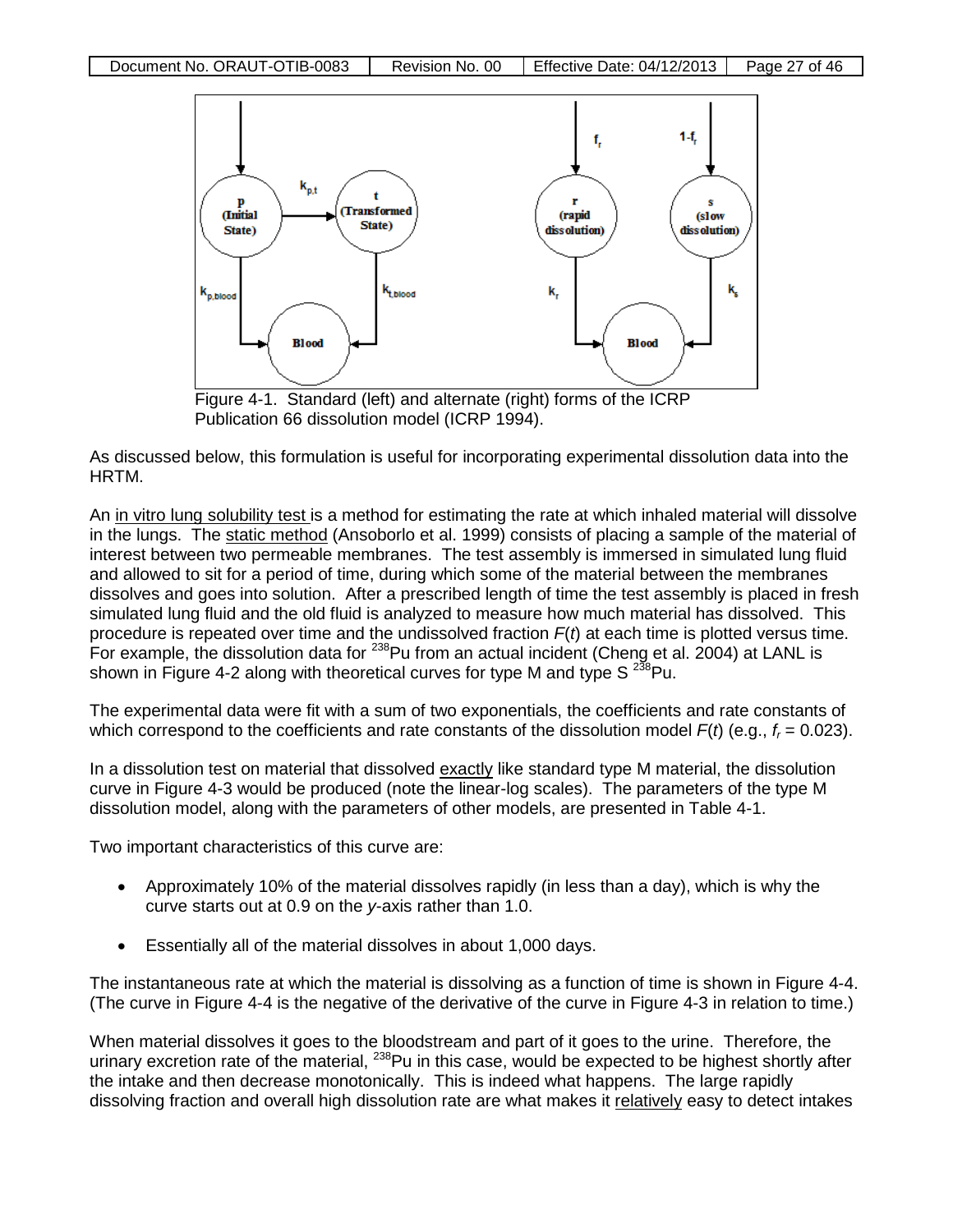

Publication 66 dissolution model (ICRP 1994).

As discussed below, this formulation is useful for incorporating experimental dissolution data into the HRTM.

An in vitro lung solubility test is a method for estimating the rate at which inhaled material will dissolve in the lungs. The static method (Ansoborlo et al. 1999) consists of placing a sample of the material of interest between two permeable membranes. The test assembly is immersed in simulated lung fluid and allowed to sit for a period of time, during which some of the material between the membranes dissolves and goes into solution. After a prescribed length of time the test assembly is placed in fresh simulated lung fluid and the old fluid is analyzed to measure how much material has dissolved. This procedure is repeated over time and the undissolved fraction *F*(*t*) at each time is plotted versus time. For example, the dissolution data for <sup>238</sup>Pu from an actual incident (Cheng et al. 2004) at LANL is shown in Figure 4-2 along with theoretical curves for type M and type S  $^{238}$ Pu.

The experimental data were fit with a sum of two exponentials, the coefficients and rate constants of which correspond to the coefficients and rate constants of the dissolution model  $F(t)$  (e.g.,  $f<sub>r</sub> = 0.023$ ).

In a dissolution test on material that dissolved exactly like standard type M material, the dissolution curve in Figure 4-3 would be produced (note the linear-log scales). The parameters of the type M dissolution model, along with the parameters of other models, are presented in Table 4-1.

Two important characteristics of this curve are:

- Approximately 10% of the material dissolves rapidly (in less than a day), which is why the curve starts out at 0.9 on the *y*-axis rather than 1.0.
- Essentially all of the material dissolves in about 1,000 days.

The instantaneous rate at which the material is dissolving as a function of time is shown in Figure 4-4. (The curve in Figure 4-4 is the negative of the derivative of the curve in Figure 4-3 in relation to time.)

When material dissolves it goes to the bloodstream and part of it goes to the urine. Therefore, the urinary excretion rate of the material, 238Pu in this case, would be expected to be highest shortly after the intake and then decrease monotonically. This is indeed what happens. The large rapidly dissolving fraction and overall high dissolution rate are what makes it relatively easy to detect intakes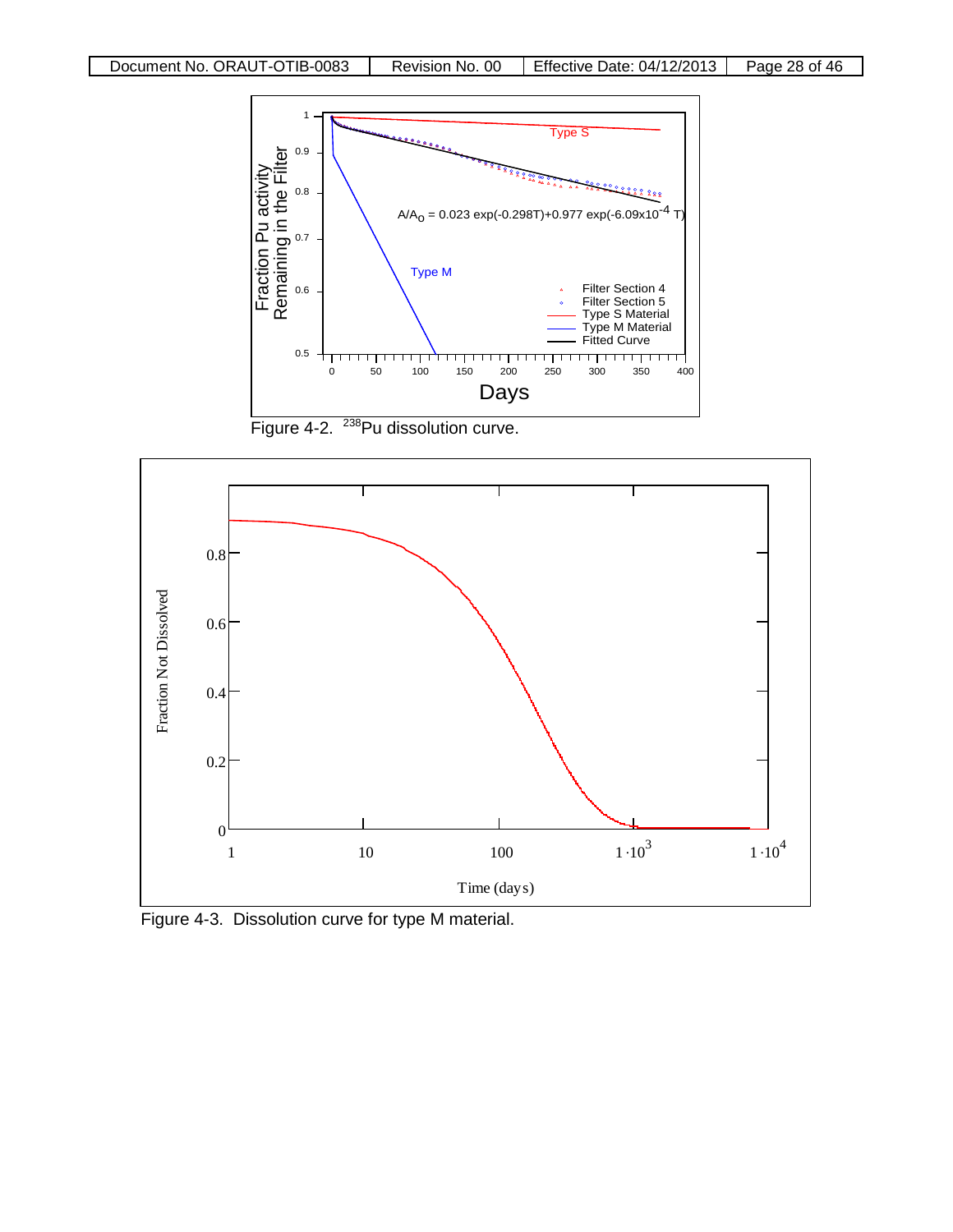

Figure 4-2. <sup>238</sup>Pu dissolution curve.



Figure 4-3. Dissolution curve for type M material.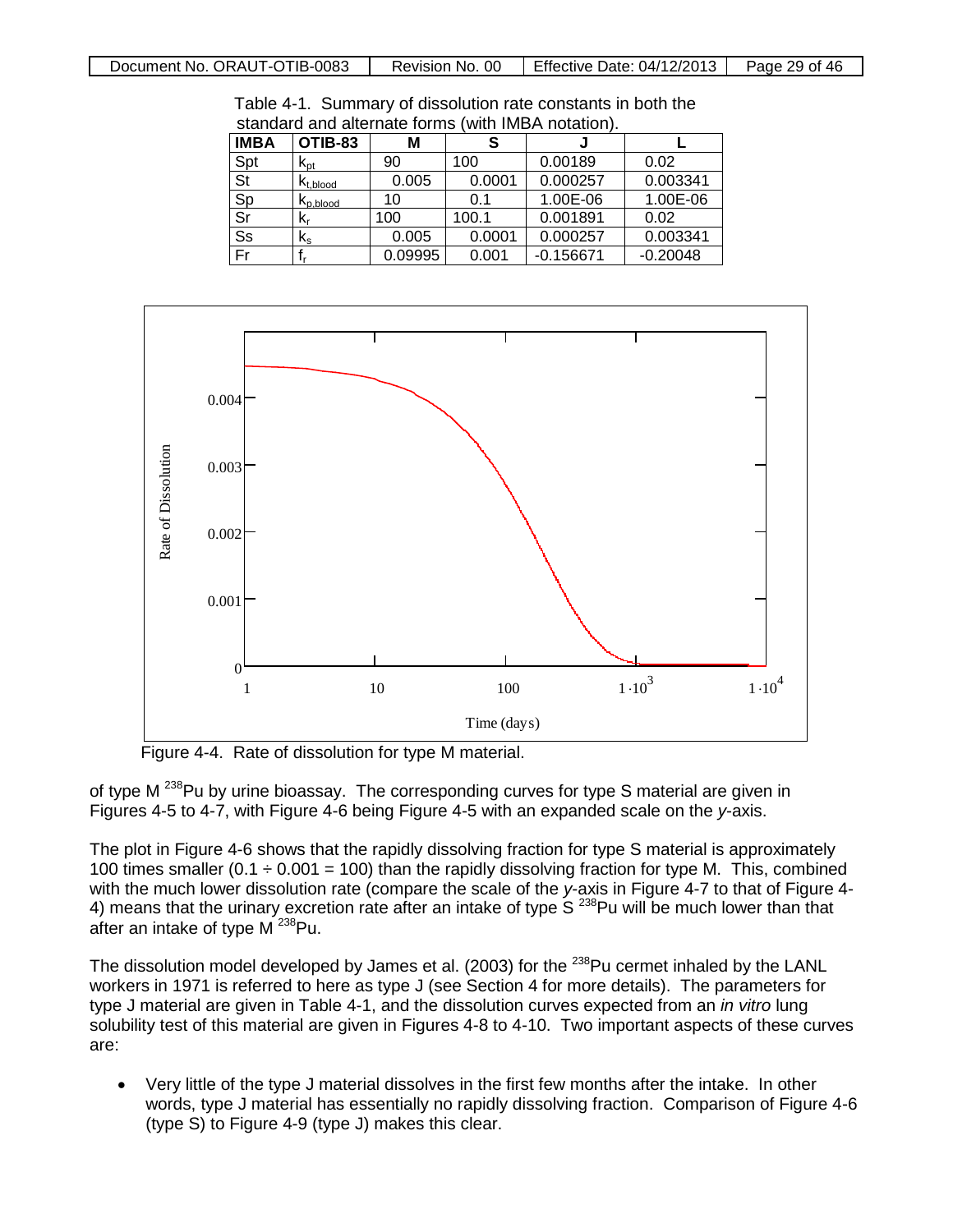| Document No. ORAUT-OTIB-0083 | Revision No. 00 | Effective Date: 04/12/2013 | Page 29 of 46 |
|------------------------------|-----------------|----------------------------|---------------|
|                              |                 |                            |               |

| <b>IMBA</b> | OTIB-83                   | М       |        |             |            |
|-------------|---------------------------|---------|--------|-------------|------------|
| Spt         | $K_{\text{pt}}$           | 90      | 100    | 0.00189     | 0.02       |
| St          | $K_{t, blood}$            | 0.005   | 0.0001 | 0.000257    | 0.003341   |
| Sp          | $K_{p, blood}$            | 10      | 0.1    | 1.00E-06    | 1.00E-06   |
| Sr          | K,                        | 100     | 100.1  | 0.001891    | 0.02       |
| Ss          | $\mathsf{k}_{\mathsf{s}}$ | 0.005   | 0.0001 | 0.000257    | 0.003341   |
| Fr          |                           | 0.09995 | 0.001  | $-0.156671$ | $-0.20048$ |

Table 4-1. Summary of dissolution rate constants in both the standard and alternate forms (with IMBA notation).



Figure 4-4. Rate of dissolution for type M material.

of type M  $^{238}$ Pu by urine bioassay. The corresponding curves for type S material are given in Figures 4-5 to 4-7, with Figure 4-6 being Figure 4-5 with an expanded scale on the *y*-axis.

The plot in Figure 4-6 shows that the rapidly dissolving fraction for type S material is approximately 100 times smaller (0.1  $\div$  0.001 = 100) than the rapidly dissolving fraction for type M. This, combined with the much lower dissolution rate (compare the scale of the y-axis in Figure 4-7 to that of Figure 4-4) means that the urinary excretion rate after an intake of type S<sup>238</sup>Pu will be much lower than that after an intake of type  $M^{238}$ Pu.

The dissolution model developed by James et al. (2003) for the <sup>238</sup>Pu cermet inhaled by the LANL workers in 1971 is referred to here as type J (see Section 4 for more details). The parameters for type J material are given in Table 4-1, and the dissolution curves expected from an *in vitro* lung solubility test of this material are given in Figures 4-8 to 4-10. Two important aspects of these curves are:

• Very little of the type J material dissolves in the first few months after the intake. In other words, type J material has essentially no rapidly dissolving fraction. Comparison of Figure 4-6 (type S) to Figure 4-9 (type J) makes this clear.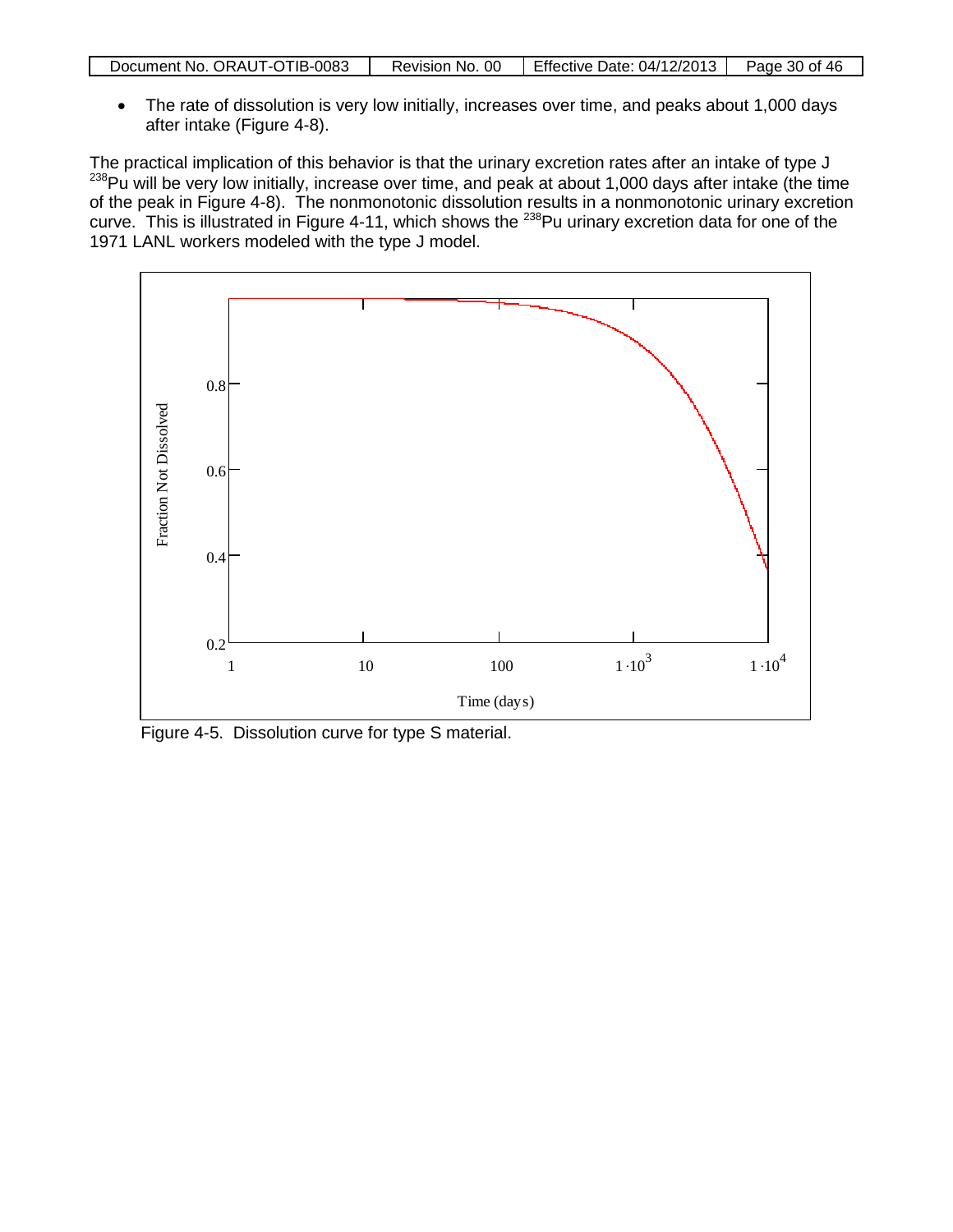| Document No. ORAUT-OTIB-0083 | Revision No. 00 | Effective Date: 04/12/2013 | Page 30 of 46 |
|------------------------------|-----------------|----------------------------|---------------|

• The rate of dissolution is very low initially, increases over time, and peaks about 1,000 days after intake (Figure 4-8).

The practical implication of this behavior is that the urinary excretion rates after an intake of type J 238 Pu will be very low initially, increase over time, and peak at about 1,000 days after intake (the time of the peak in Figure 4-8). The nonmonotonic dissolution results in a nonmonotonic urinary excretion curve. This is illustrated in Figure 4-11, which shows the <sup>238</sup>Pu urinary excretion data for one of the 1971 LANL workers modeled with the type J model.



Figure 4-5. Dissolution curve for type S material.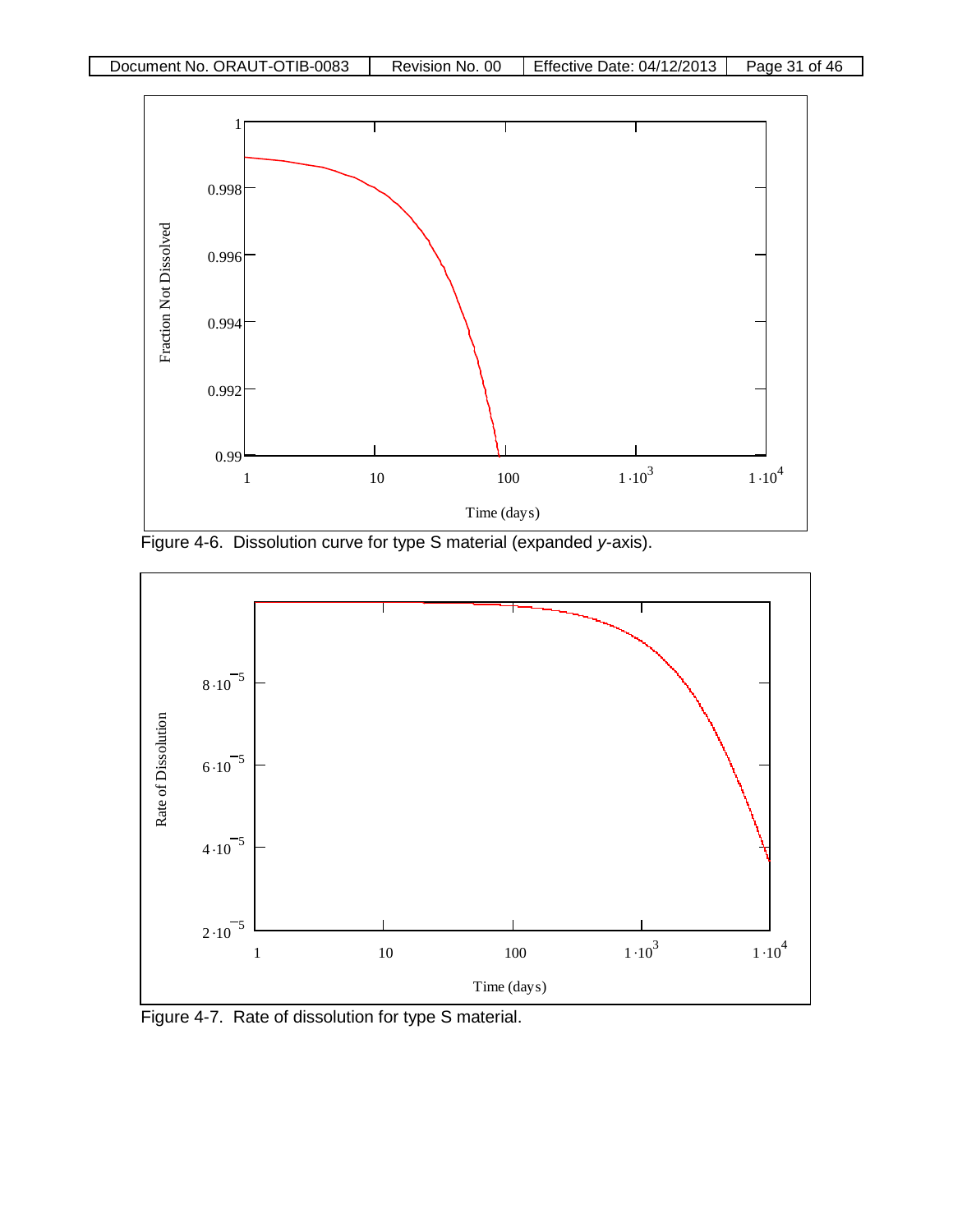

Figure 4-6. Dissolution curve for type S material (expanded *y-*axis).



Figure 4-7. Rate of dissolution for type S material.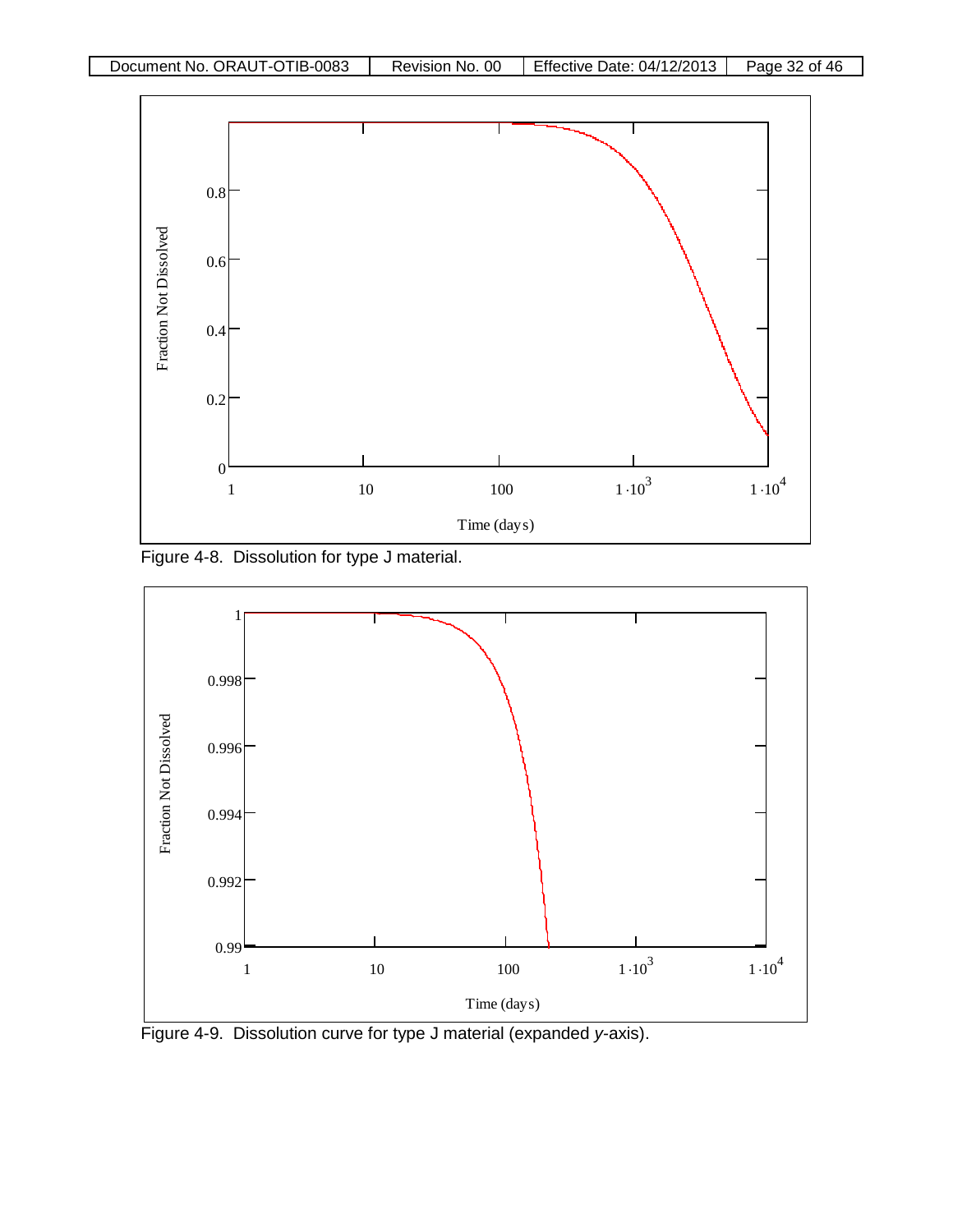

Figure 4-8. Dissolution for type J material.



Figure 4-9. Dissolution curve for type J material (expanded *y-*axis).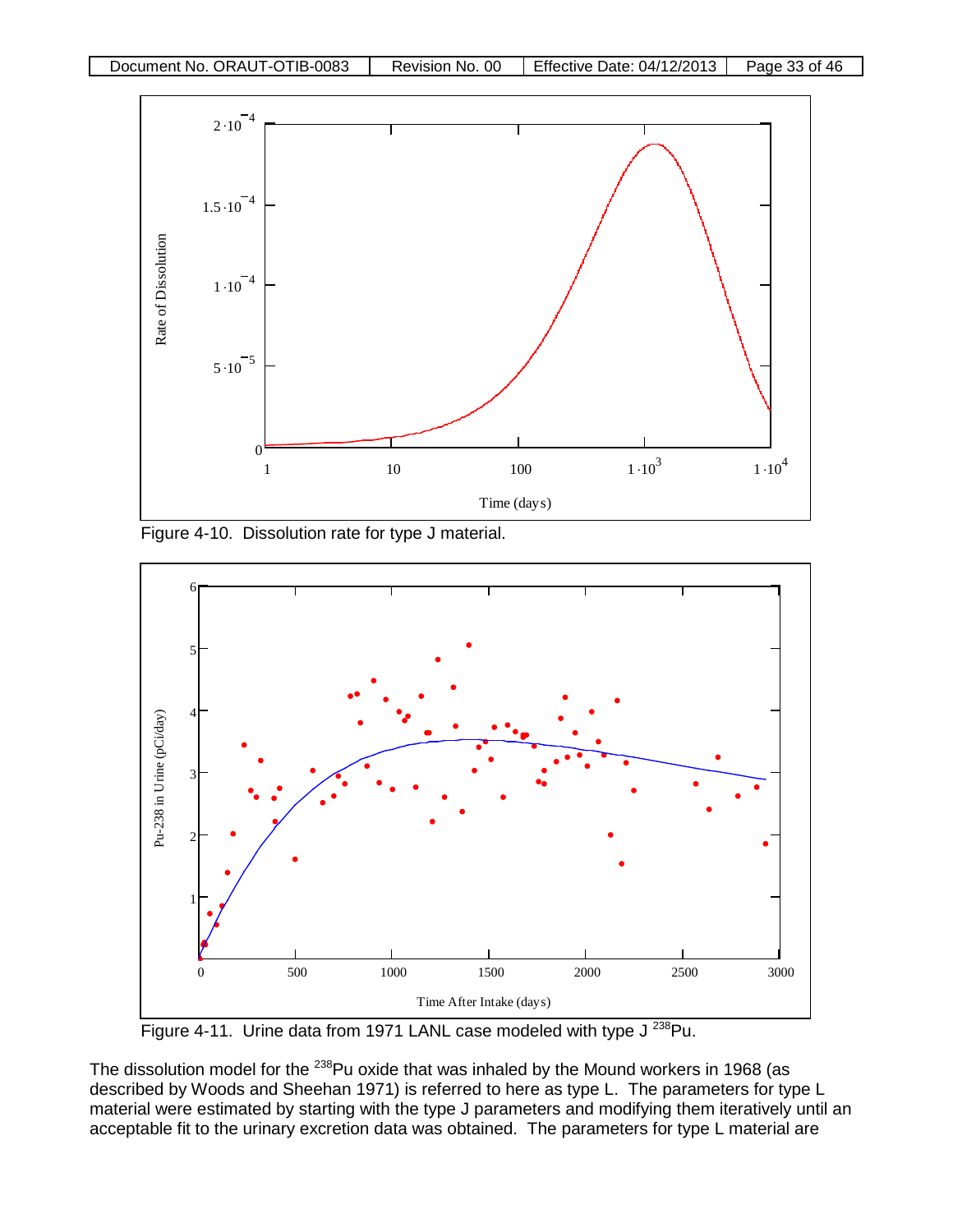

Figure 4-10. Dissolution rate for type J material.



Figure 4-11. Urine data from 1971 LANL case modeled with type J<sup>238</sup>Pu.

The dissolution model for the <sup>238</sup>Pu oxide that was inhaled by the Mound workers in 1968 (as described by Woods and Sheehan 1971) is referred to here as type L. The parameters for type L material were estimated by starting with the type J parameters and modifying them iteratively until an acceptable fit to the urinary excretion data was obtained. The parameters for type L material are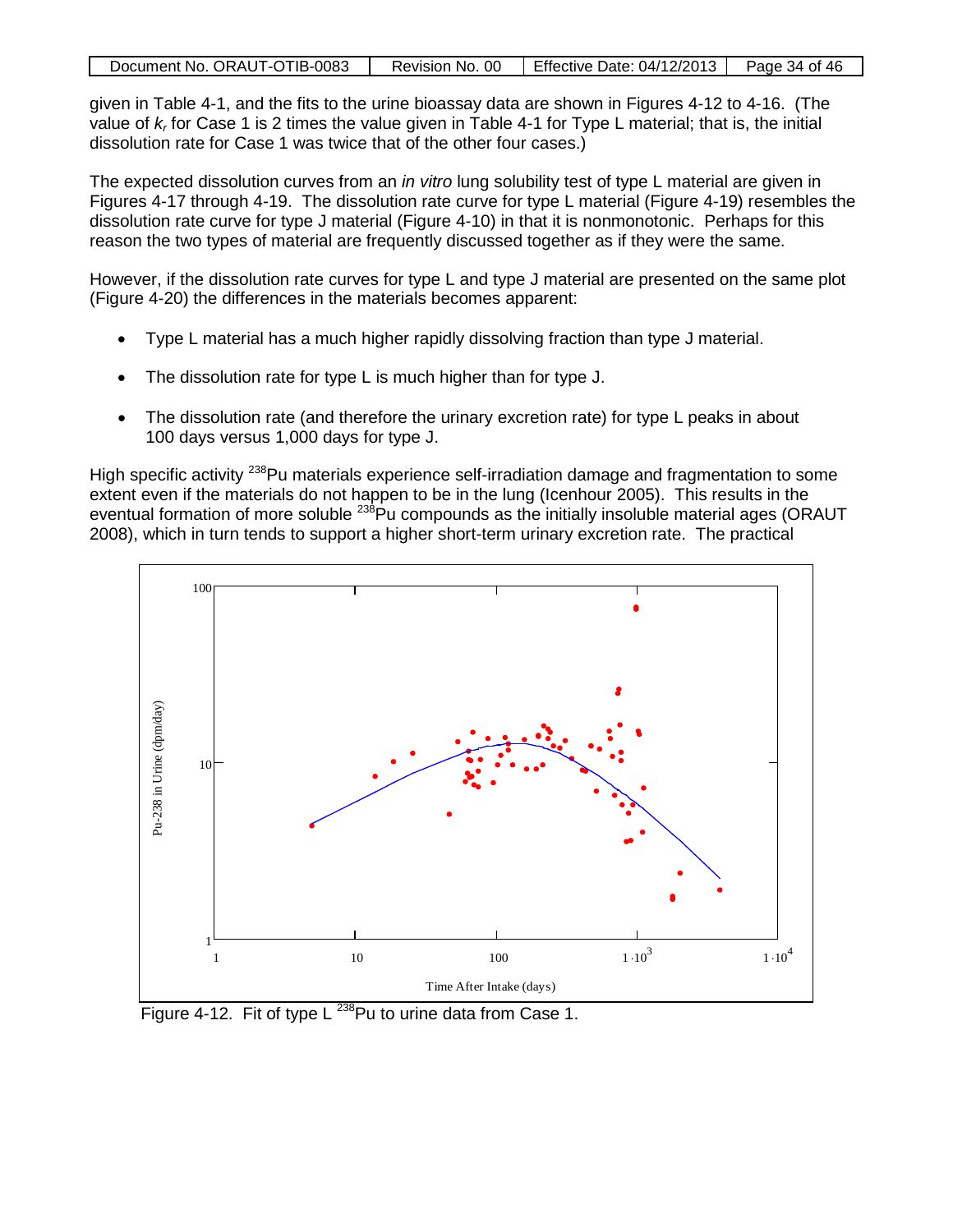| Document No. ORAUT-OTIB-0083 | Revision No. 00   Effective Date: 04/12/2013 | Page 34 of 46 |
|------------------------------|----------------------------------------------|---------------|
|                              |                                              |               |

given in Table 4-1, and the fits to the urine bioassay data are shown in Figures 4-12 to 4-16. (The value of *kr* for Case 1 is 2 times the value given in Table 4-1 for Type L material; that is, the initial dissolution rate for Case 1 was twice that of the other four cases.)

The expected dissolution curves from an *in vitro* lung solubility test of type L material are given in Figures 4-17 through 4-19. The dissolution rate curve for type L material (Figure 4-19) resembles the dissolution rate curve for type J material (Figure 4-10) in that it is nonmonotonic. Perhaps for this reason the two types of material are frequently discussed together as if they were the same.

However, if the dissolution rate curves for type L and type J material are presented on the same plot (Figure 4-20) the differences in the materials becomes apparent:

- Type L material has a much higher rapidly dissolving fraction than type J material.
- The dissolution rate for type L is much higher than for type J.
- The dissolution rate (and therefore the urinary excretion rate) for type L peaks in about 100 days versus 1,000 days for type J.

High specific activity <sup>238</sup>Pu materials experience self-irradiation damage and fragmentation to some extent even if the materials do not happen to be in the lung (Icenhour 2005). This results in the eventual formation of more soluble <sup>238</sup>Pu compounds as the initially insoluble material ages (ORAUT 2008), which in turn tends to support a higher short-term urinary excretion rate. The practical



Figure 4-12. Fit of type  $L^{238}$ Pu to urine data from Case 1.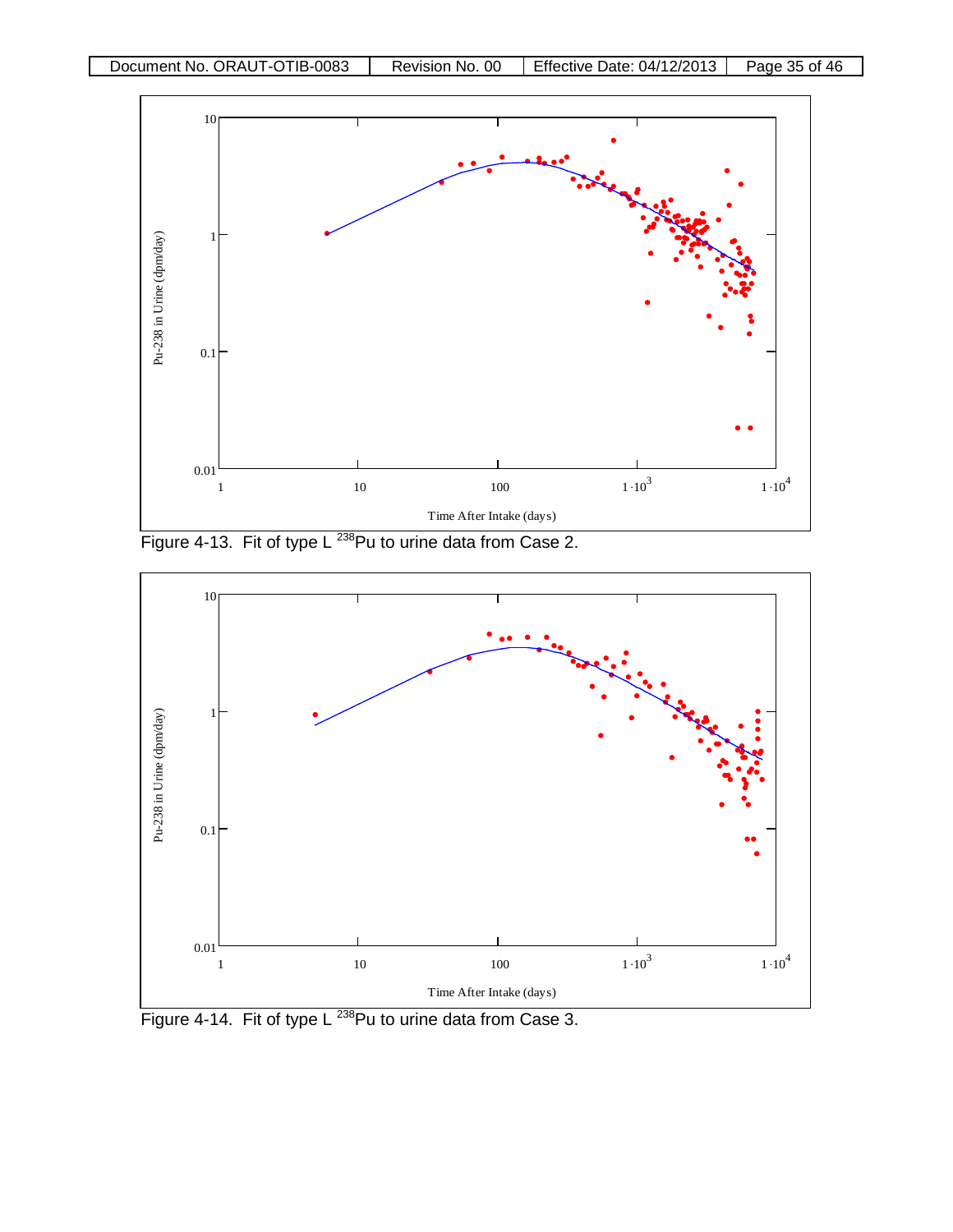

Figure 4-13. Fit of type L<sup>238</sup>Pu to urine data from Case 2.



Figure 4-14. Fit of type L<sup>238</sup>Pu to urine data from Case 3.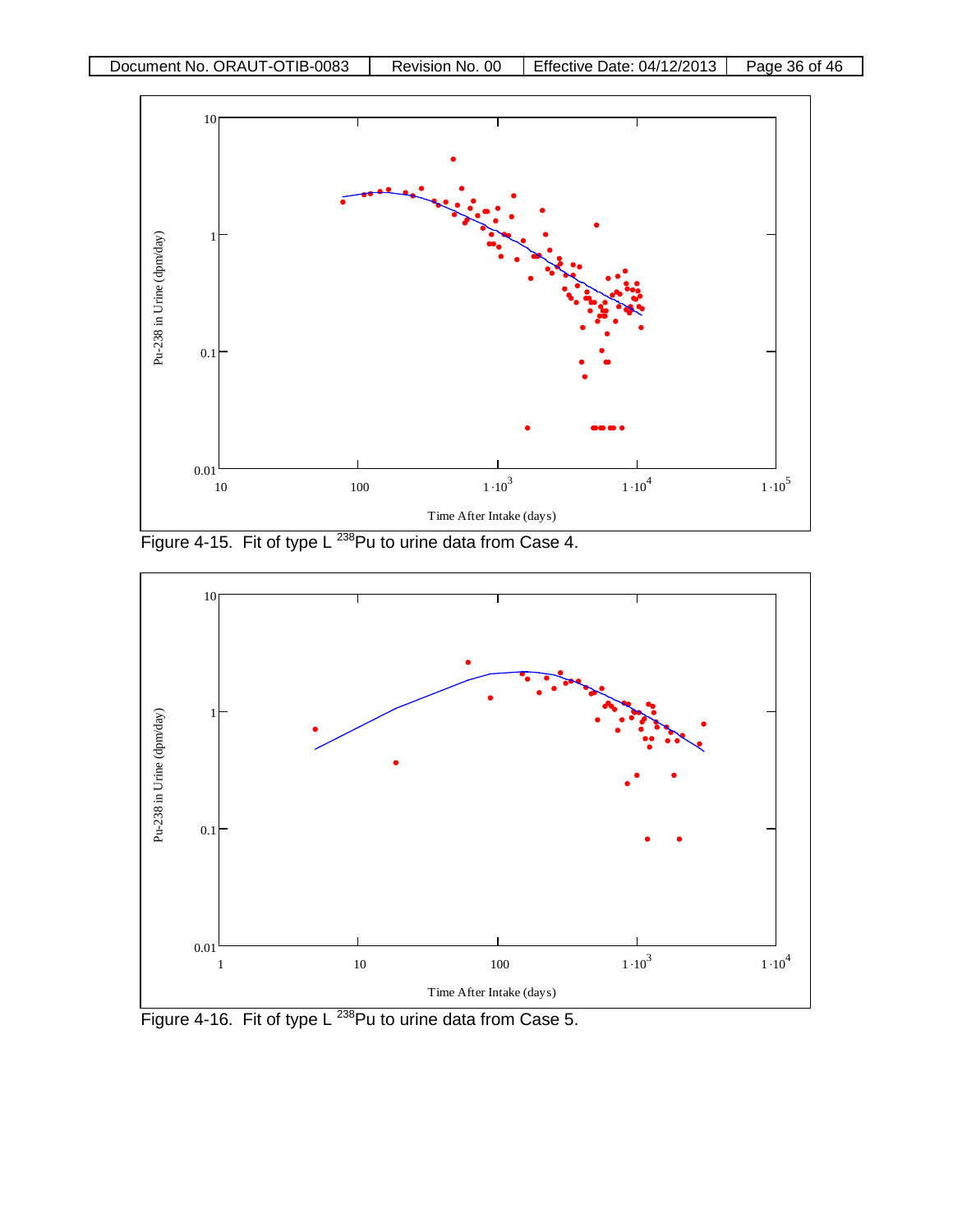

Figure 4-15. Fit of type L<sup>238</sup>Pu to urine data from Case 4.



Figure 4-16. Fit of type L<sup>238</sup>Pu to urine data from Case 5.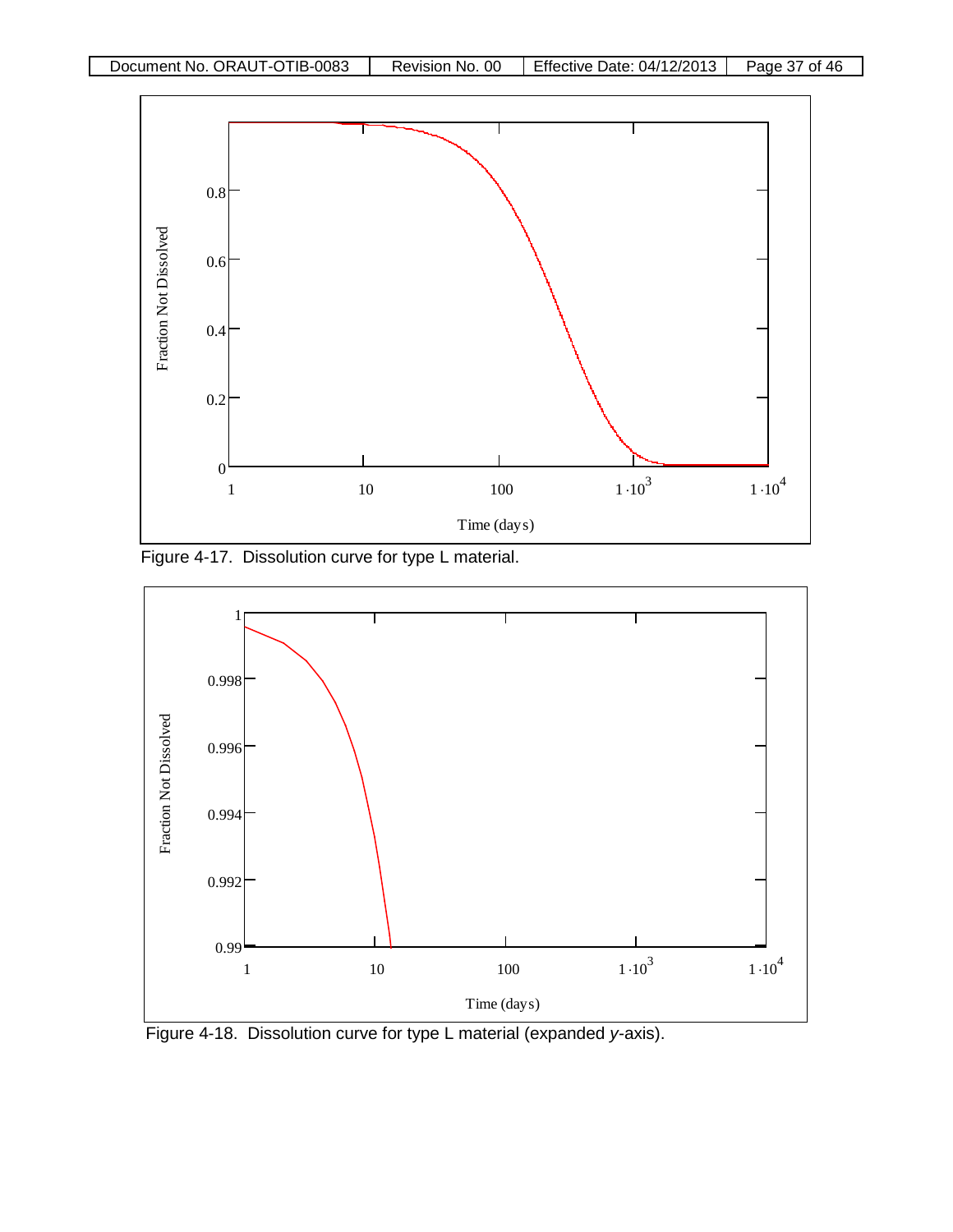

Figure 4-17. Dissolution curve for type L material.



Figure 4-18. Dissolution curve for type L material (expanded *y-*axis).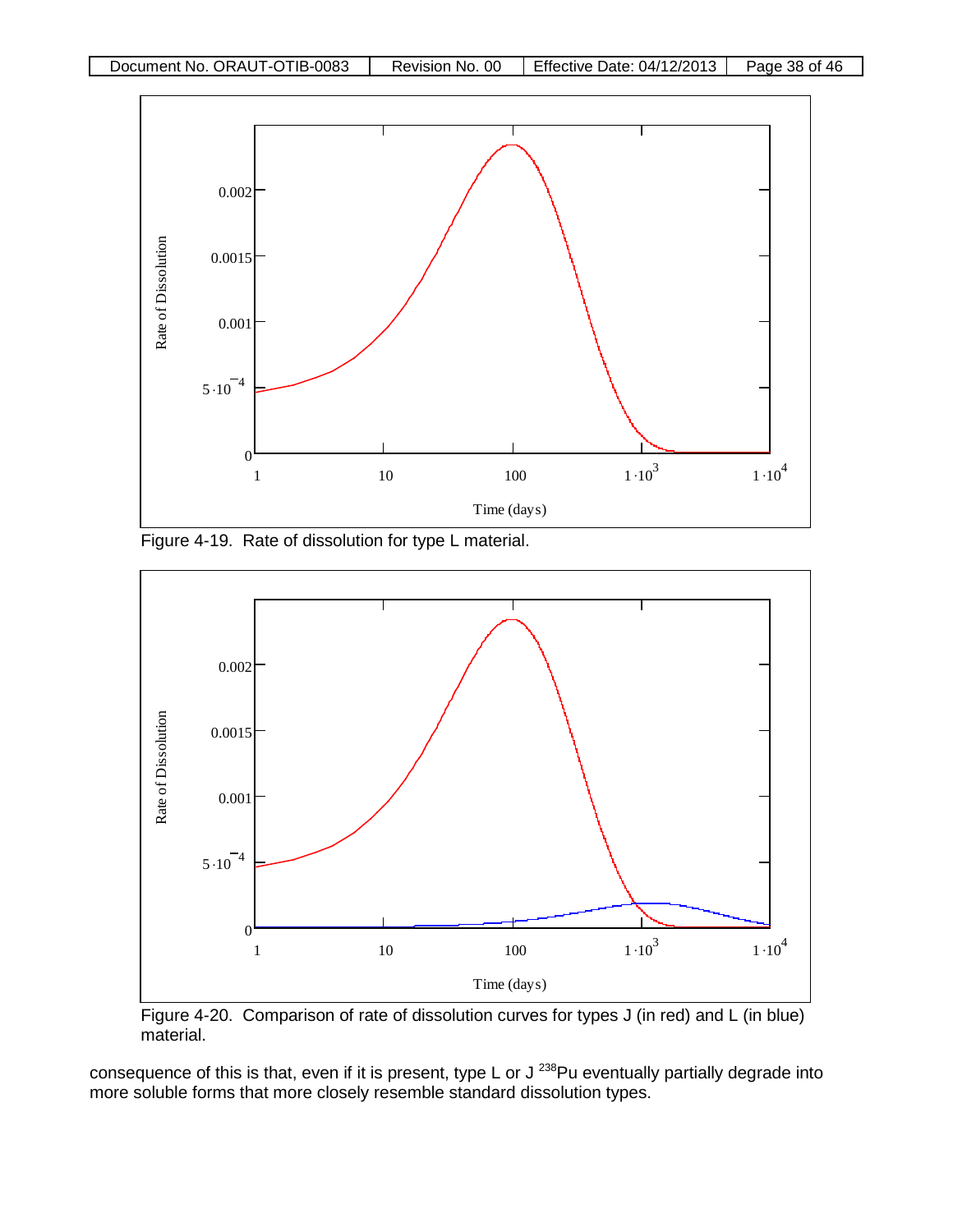

Figure 4-19. Rate of dissolution for type L material.



Figure 4-20. Comparison of rate of dissolution curves for types J (in red) and L (in blue) material.

consequence of this is that, even if it is present, type L or J<sup>238</sup>Pu eventually partially degrade into more soluble forms that more closely resemble standard dissolution types.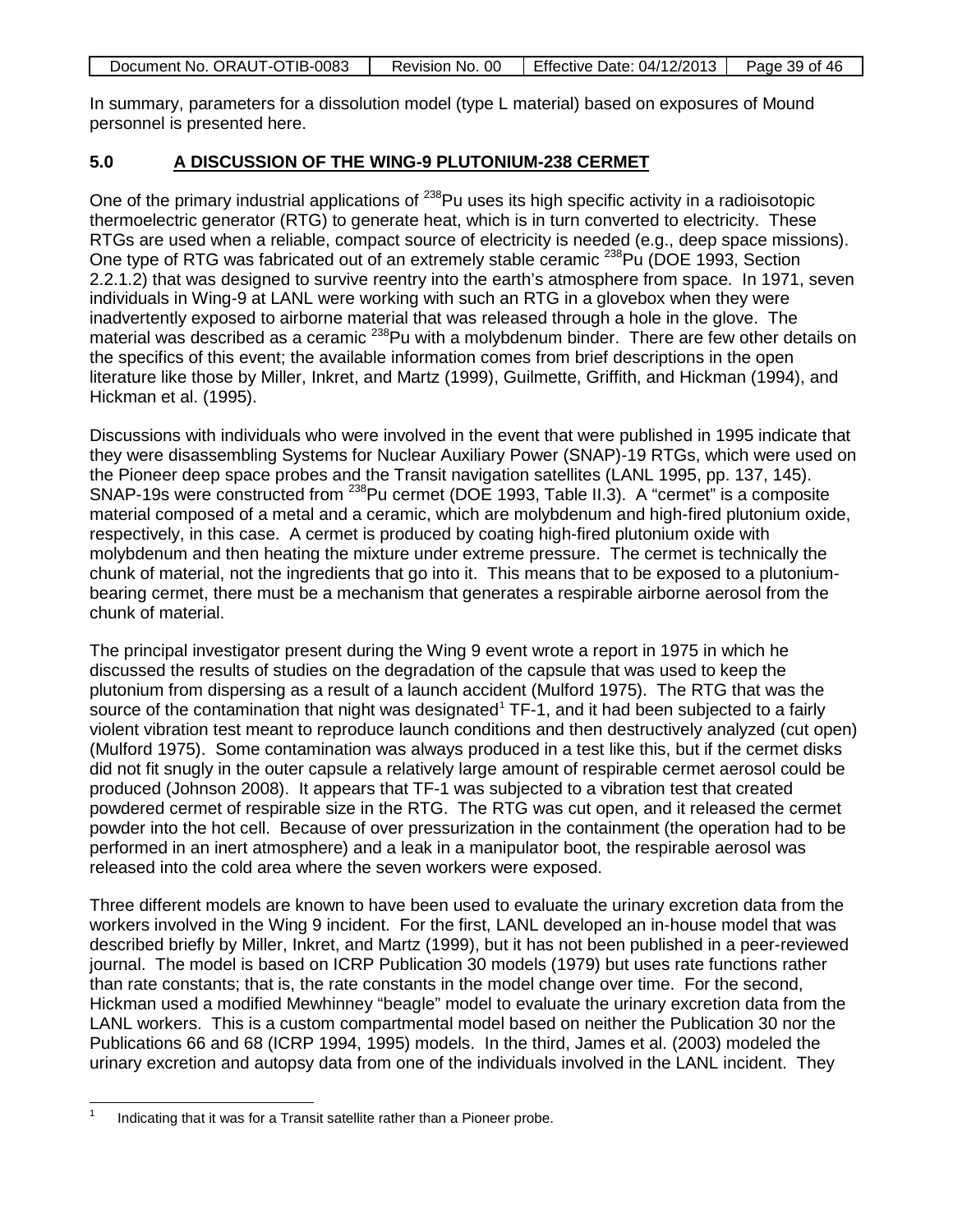| Document No. ORAUT-OTIB-0083 | Revision No. 00 | <b>Effective Date: 04/12/2013</b> | Page 39 of 46 |
|------------------------------|-----------------|-----------------------------------|---------------|

In summary, parameters for a dissolution model (type L material) based on exposures of Mound personnel is presented here.

#### **5.0 A DISCUSSION OF THE WING-9 PLUTONIUM-238 CERMET**

One of the primary industrial applications of <sup>238</sup>Pu uses its high specific activity in a radioisotopic thermoelectric generator (RTG) to generate heat, which is in turn converted to electricity. These RTGs are used when a reliable, compact source of electricity is needed (e.g., deep space missions). One type of RTG was fabricated out of an extremely stable ceramic <sup>238</sup>Pu (DOE 1993, Section 2.2.1.2) that was designed to survive reentry into the earth's atmosphere from space. In 1971, seven individuals in Wing-9 at LANL were working with such an RTG in a glovebox when they were inadvertently exposed to airborne material that was released through a hole in the glove. The material was described as a ceramic <sup>238</sup>Pu with a molybdenum binder. There are few other details on the specifics of this event; the available information comes from brief descriptions in the open literature like those by Miller, Inkret, and Martz (1999), Guilmette, Griffith, and Hickman (1994), and Hickman et al. (1995).

Discussions with individuals who were involved in the event that were published in 1995 indicate that they were disassembling Systems for Nuclear Auxiliary Power (SNAP)-19 RTGs, which were used on the Pioneer deep space probes and the Transit navigation satellites (LANL 1995, pp. 137, 145). SNAP-19s were constructed from <sup>238</sup>Pu cermet (DOE 1993, Table II.3). A "cermet" is a composite material composed of a metal and a ceramic, which are molybdenum and high-fired plutonium oxide, respectively, in this case. A cermet is produced by coating high-fired plutonium oxide with molybdenum and then heating the mixture under extreme pressure. The cermet is technically the chunk of material, not the ingredients that go into it. This means that to be exposed to a plutoniumbearing cermet, there must be a mechanism that generates a respirable airborne aerosol from the chunk of material.

The principal investigator present during the Wing 9 event wrote a report in 1975 in which he discussed the results of studies on the degradation of the capsule that was used to keep the plutonium from dispersing as a result of a launch accident (Mulford 1975). The RTG that was the source of the contamination that night was designated<sup> $1$ </sup> TF-1, and it had been subjected to a fairly violent vibration test meant to reproduce launch conditions and then destructively analyzed (cut open) (Mulford 1975). Some contamination was always produced in a test like this, but if the cermet disks did not fit snugly in the outer capsule a relatively large amount of respirable cermet aerosol could be produced (Johnson 2008). It appears that TF-1 was subjected to a vibration test that created powdered cermet of respirable size in the RTG. The RTG was cut open, and it released the cermet powder into the hot cell. Because of over pressurization in the containment (the operation had to be performed in an inert atmosphere) and a leak in a manipulator boot, the respirable aerosol was released into the cold area where the seven workers were exposed.

Three different models are known to have been used to evaluate the urinary excretion data from the workers involved in the Wing 9 incident. For the first, LANL developed an in-house model that was described briefly by Miller, Inkret, and Martz (1999), but it has not been published in a peer-reviewed journal. The model is based on ICRP Publication 30 models (1979) but uses rate functions rather than rate constants; that is, the rate constants in the model change over time. For the second, Hickman used a modified Mewhinney "beagle" model to evaluate the urinary excretion data from the LANL workers. This is a custom compartmental model based on neither the Publication 30 nor the Publications 66 and 68 (ICRP 1994, 1995) models. In the third, James et al. (2003) modeled the urinary excretion and autopsy data from one of the individuals involved in the LANL incident. They

<span id="page-38-0"></span> <sup>1</sup> Indicating that it was for a Transit satellite rather than a Pioneer probe.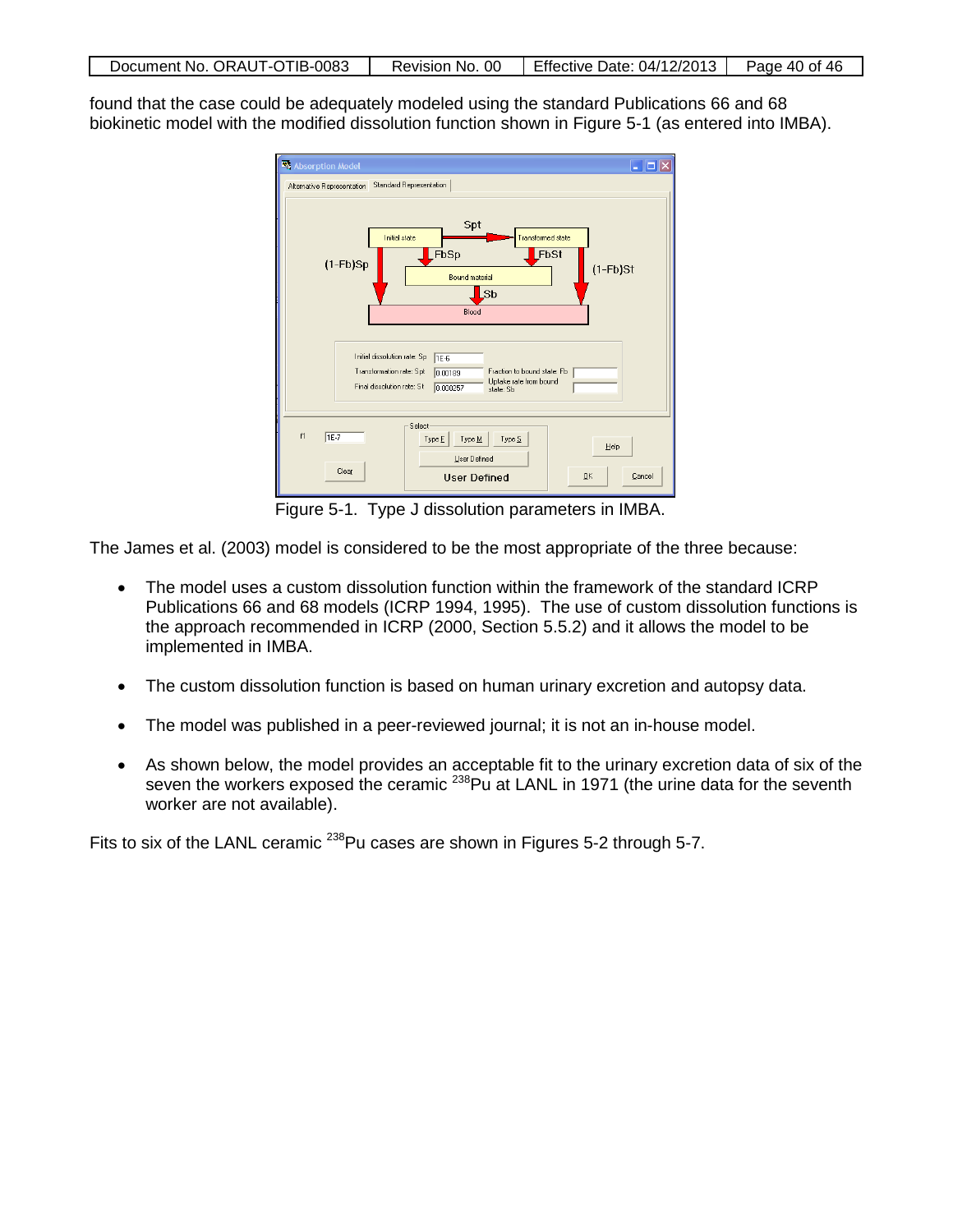| Document No. ORAUT-OTIB-0083<br>Revision No. 00   Effective Date: 04/12/2013 | Page 40 of 46 |
|------------------------------------------------------------------------------|---------------|
|------------------------------------------------------------------------------|---------------|

found that the case could be adequately modeled using the standard Publications 66 and 68 biokinetic model with the modified dissolution function shown in Figure 5-1 (as entered into IMBA).

| Absorption Model<br>– ∥□∥×                                                                                                                                                                         |
|----------------------------------------------------------------------------------------------------------------------------------------------------------------------------------------------------|
| <b>Standard Representation</b><br>Alternative Representation                                                                                                                                       |
| Spt<br><b>Initial state</b><br><b>Transformed state</b><br>FbSp<br>FbSt<br>$(1-Fb)$ Sp<br>$(1-Fb)$ St<br><b>Bound material</b><br>Sb<br>Blood                                                      |
| Initial dissolution rate: Sp<br><b>TE-6</b><br>Transformation rate: Spt<br>Fraction to bound state: Fb<br>0.00189<br>Uptake rate from bound<br>Final dissolution rate: St<br>0.000257<br>state: Sb |
| Select<br>f1<br>$TE-7$<br>Type $\underline{S}$<br>Type E<br>Type M<br>Help<br>User Defined<br>Clear<br>QK<br><b>User Defined</b><br>Cancel                                                         |

Figure 5-1. Type J dissolution parameters in IMBA.

The James et al. (2003) model is considered to be the most appropriate of the three because:

- The model uses a custom dissolution function within the framework of the standard ICRP Publications 66 and 68 models (ICRP 1994, 1995). The use of custom dissolution functions is the approach recommended in ICRP (2000, Section 5.5.2) and it allows the model to be implemented in IMBA.
- The custom dissolution function is based on human urinary excretion and autopsy data.
- The model was published in a peer-reviewed journal; it is not an in-house model.
- As shown below, the model provides an acceptable fit to the urinary excretion data of six of the seven the workers exposed the ceramic <sup>238</sup>Pu at LANL in 1971 (the urine data for the seventh worker are not available).

Fits to six of the LANL ceramic <sup>238</sup>Pu cases are shown in Figures 5-2 through 5-7.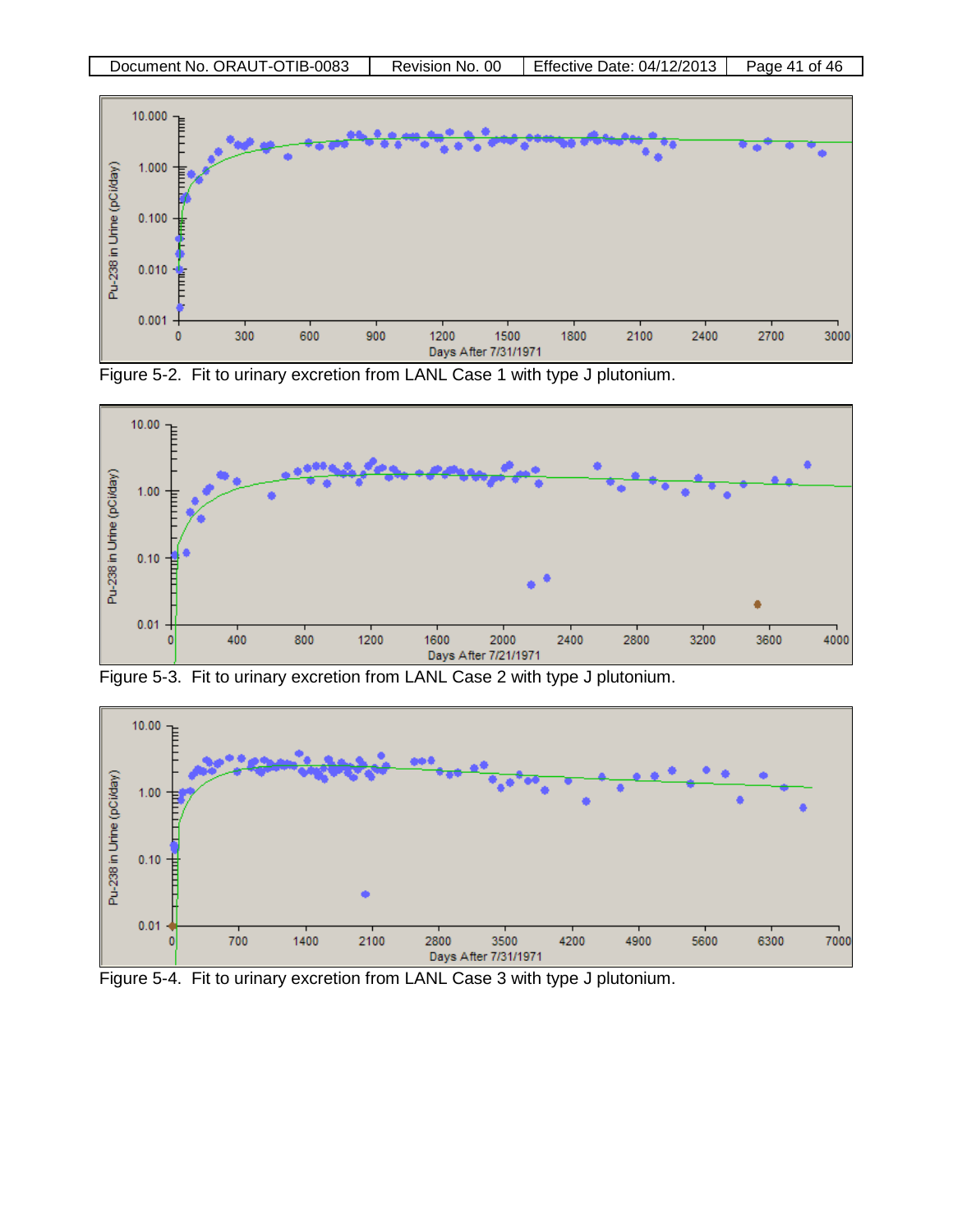

Figure 5-2. Fit to urinary excretion from LANL Case 1 with type J plutonium.



Figure 5-3. Fit to urinary excretion from LANL Case 2 with type J plutonium.



Figure 5-4. Fit to urinary excretion from LANL Case 3 with type J plutonium.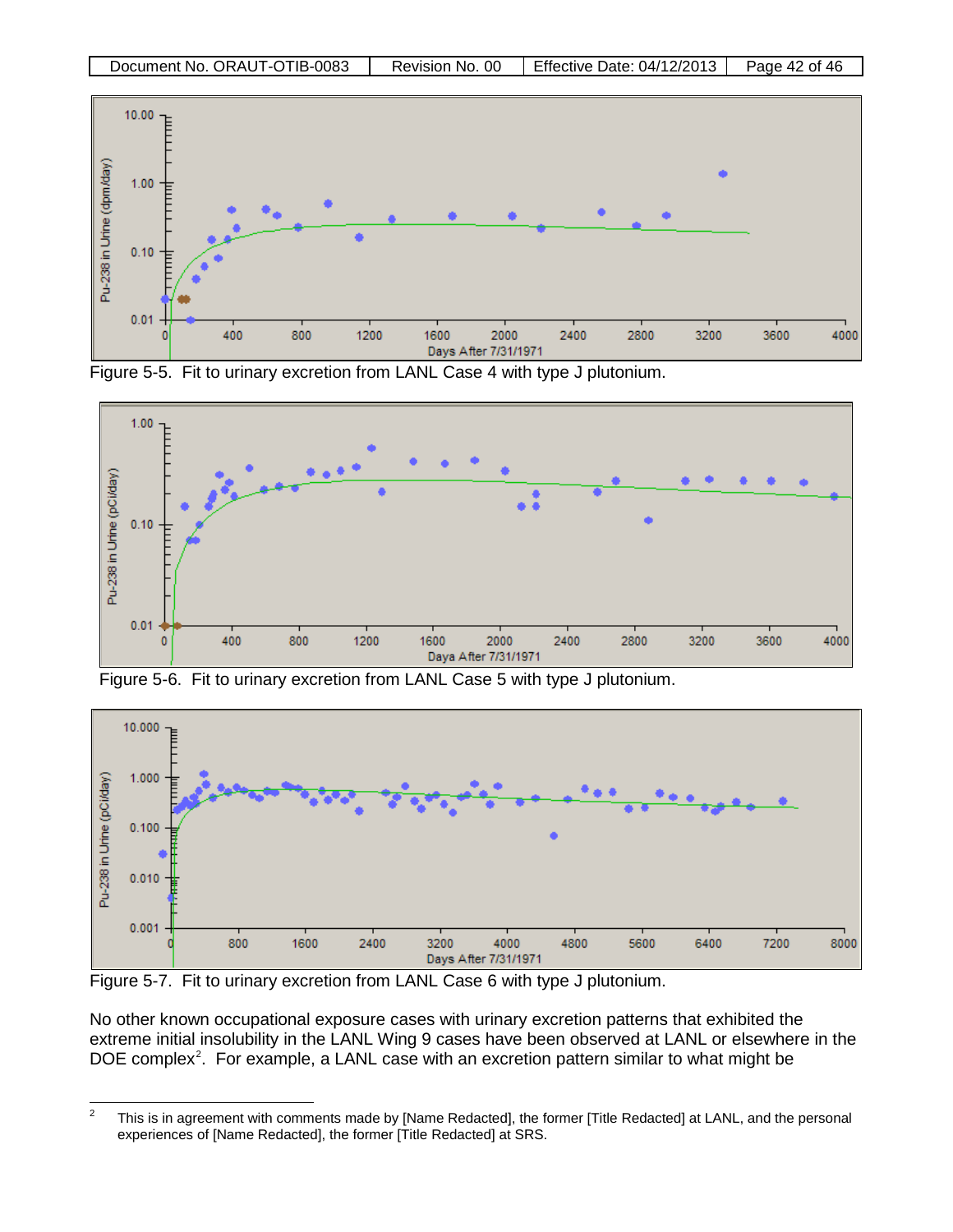

Figure 5-5. Fit to urinary excretion from LANL Case 4 with type J plutonium.



Figure 5-6. Fit to urinary excretion from LANL Case 5 with type J plutonium.



Figure 5-7. Fit to urinary excretion from LANL Case 6 with type J plutonium.

No other known occupational exposure cases with urinary excretion patterns that exhibited the extreme initial insolubility in the LANL Wing 9 cases have been observed at LANL or elsewhere in the DOE complex<sup>[2](#page-41-0)</sup>. For example, a LANL case with an excretion pattern similar to what might be

<span id="page-41-0"></span><sup>&</sup>lt;sup>2</sup> This is in agreement with comments made by [Name Redacted], the former [Title Redacted] at LANL, and the personal experiences of [Name Redacted], the former [Title Redacted] at SRS.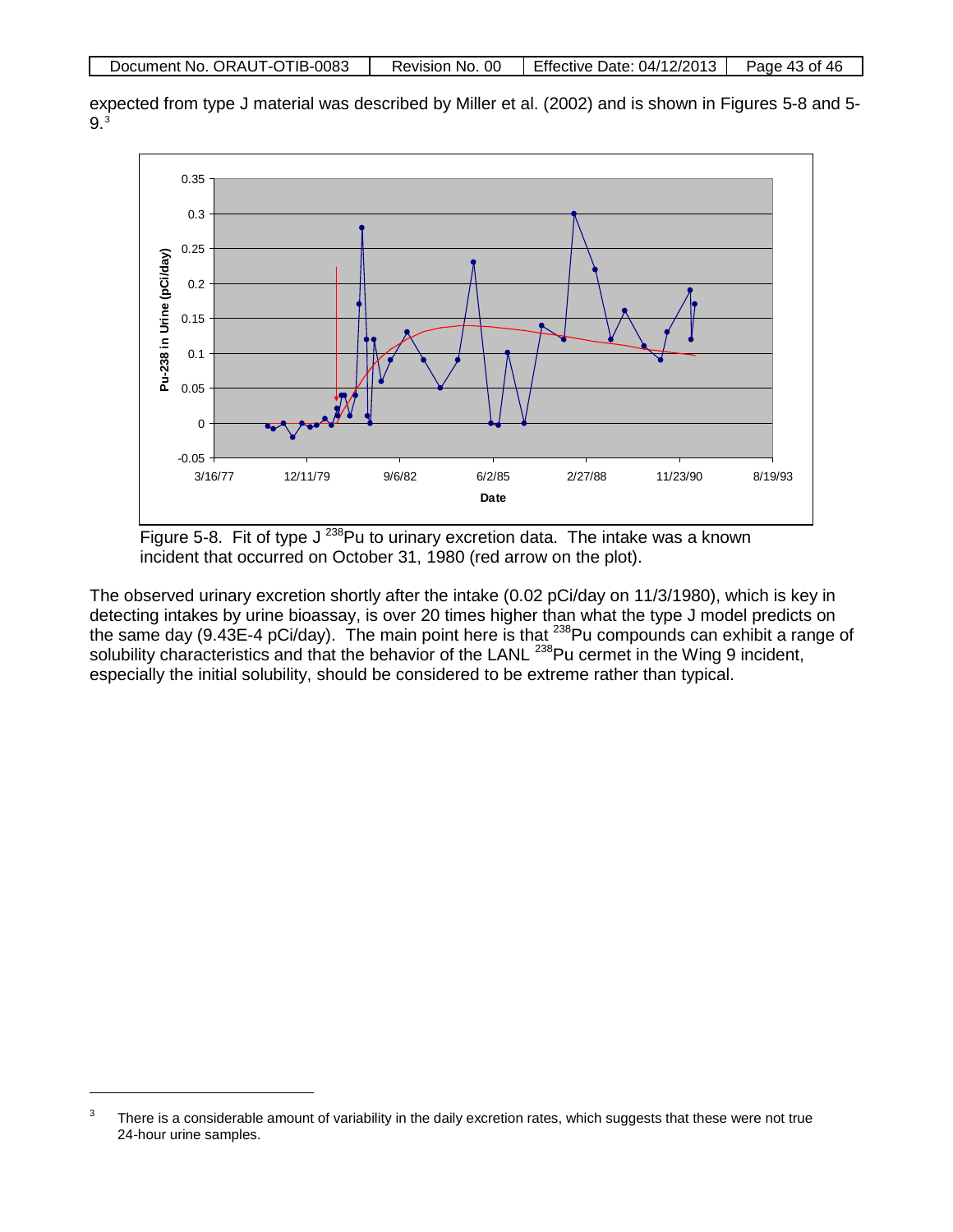|  | Document No. ORAUT-OTIB-0083 | Revision No. 00 | Effective Date: $04/12/2013$ | Page 43 of 46 |
|--|------------------------------|-----------------|------------------------------|---------------|
|--|------------------------------|-----------------|------------------------------|---------------|

expected from type J material was described by Miller et al. (2002) and is shown in Figures 5-8 and 5- 9.[3](#page-42-0)



Figure 5-8. Fit of type  $J^{238}$ Pu to urinary excretion data. The intake was a known incident that occurred on October 31, 1980 (red arrow on the plot).

The observed urinary excretion shortly after the intake (0.02 pCi/day on 11/3/1980), which is key in detecting intakes by urine bioassay, is over 20 times higher than what the type J model predicts on the same day (9.43E-4 pCi/day). The main point here is that  $^{238}$ Pu compounds can exhibit a range of solubility characteristics and that the behavior of the LANL<sup>238</sup>Pu cermet in the Wing 9 incident, especially the initial solubility, should be considered to be extreme rather than typical.

 $\overline{a}$ 

<span id="page-42-0"></span> $3$  There is a considerable amount of variability in the daily excretion rates, which suggests that these were not true 24-hour urine samples.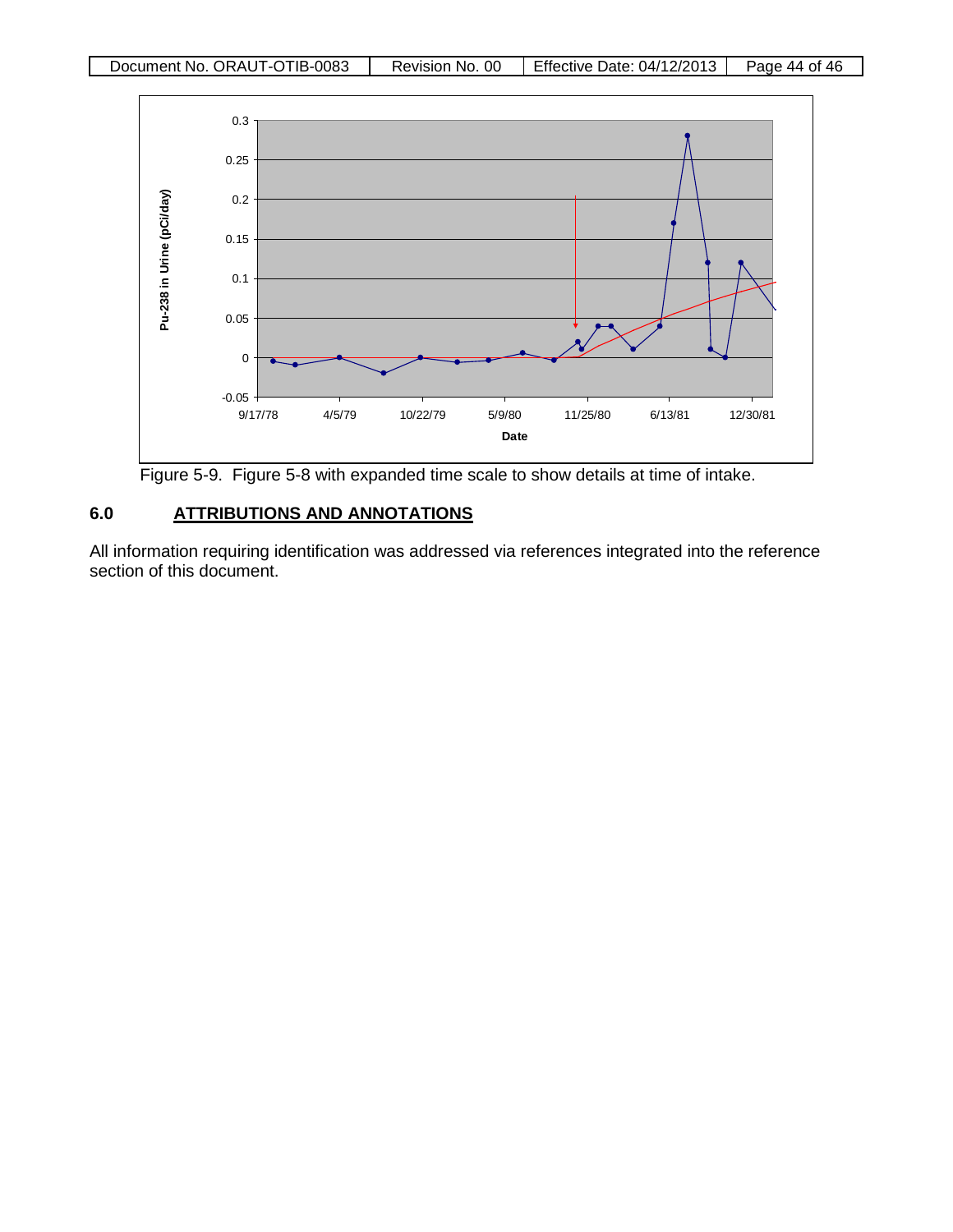

Figure 5-9. Figure 5-8 with expanded time scale to show details at time of intake.

## **6.0 ATTRIBUTIONS AND ANNOTATIONS**

All information requiring identification was addressed via references integrated into the reference section of this document.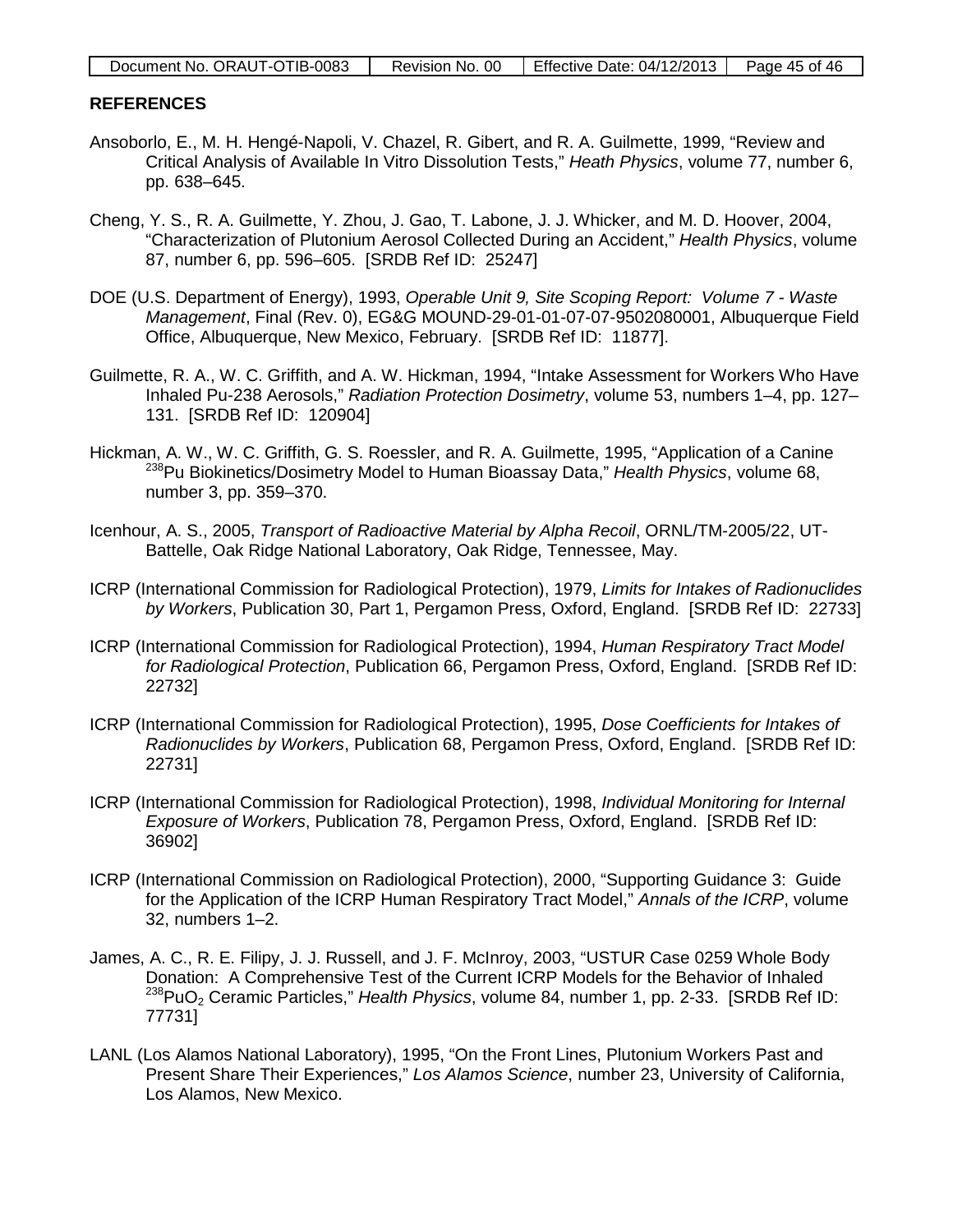| Document No. ORAUT-OTIB-0083 | Revision No. 00 | Effective Date: $04/12/2013$ | Page 45 of 46 |
|------------------------------|-----------------|------------------------------|---------------|
|                              |                 |                              |               |

#### **REFERENCES**

- Ansoborlo, E., M. H. Hengé-Napoli, V. Chazel, R. Gibert, and R. A. Guilmette, 1999, "Review and Critical Analysis of Available In Vitro Dissolution Tests," *Heath Physics*, volume 77, number 6, pp. 638–645.
- Cheng, Y. S., R. A. Guilmette, Y. Zhou, J. Gao, T. Labone, J. J. Whicker, and M. D. Hoover, 2004, "Characterization of Plutonium Aerosol Collected During an Accident," *Health Physics*, volume 87, number 6, pp. 596–605. [SRDB Ref ID: 25247]
- DOE (U.S. Department of Energy), 1993, *Operable Unit 9, Site Scoping Report: Volume 7 - Waste Management*, Final (Rev. 0), EG&G MOUND-29-01-01-07-07-9502080001, Albuquerque Field Office, Albuquerque, New Mexico, February. [SRDB Ref ID: 11877].
- Guilmette, R. A., W. C. Griffith, and A. W. Hickman, 1994, "Intake Assessment for Workers Who Have Inhaled Pu-238 Aerosols," *Radiation Protection Dosimetry*, volume 53, numbers 1–4, pp. 127– 131. [SRDB Ref ID: 120904]
- Hickman, A. W., W. C. Griffith, G. S. Roessler, and R. A. Guilmette, 1995, "Application of a Canine 238Pu Biokinetics/Dosimetry Model to Human Bioassay Data," *Health Physics*, volume 68, number 3, pp. 359–370.
- Icenhour, A. S., 2005, *Transport of Radioactive Material by Alpha Recoil*, ORNL/TM-2005/22, UT-Battelle, Oak Ridge National Laboratory, Oak Ridge, Tennessee, May.
- ICRP (International Commission for Radiological Protection), 1979, *Limits for Intakes of Radionuclides by Workers*, Publication 30, Part 1, Pergamon Press, Oxford, England. [SRDB Ref ID: 22733]
- ICRP (International Commission for Radiological Protection), 1994, *Human Respiratory Tract Model for Radiological Protection*, Publication 66, Pergamon Press, Oxford, England. [SRDB Ref ID: 22732]
- ICRP (International Commission for Radiological Protection), 1995, *Dose Coefficients for Intakes of Radionuclides by Workers*, Publication 68, Pergamon Press, Oxford, England. [SRDB Ref ID: 22731]
- ICRP (International Commission for Radiological Protection), 1998, *Individual Monitoring for Internal Exposure of Workers*, Publication 78, Pergamon Press, Oxford, England. [SRDB Ref ID: 36902]
- ICRP (International Commission on Radiological Protection), 2000, "Supporting Guidance 3: Guide for the Application of the ICRP Human Respiratory Tract Model," *Annals of the ICRP*, volume 32, numbers 1–2.
- James, A. C., R. E. Filipy, J. J. Russell, and J. F. McInroy, 2003, "USTUR Case 0259 Whole Body Donation: A Comprehensive Test of the Current ICRP Models for the Behavior of Inhaled 238PuO2 Ceramic Particles," *Health Physics*, volume 84, number 1, pp. 2-33. [SRDB Ref ID: 77731]
- LANL (Los Alamos National Laboratory), 1995, "On the Front Lines, Plutonium Workers Past and Present Share Their Experiences," *Los Alamos Science*, number 23, University of California, Los Alamos, New Mexico.